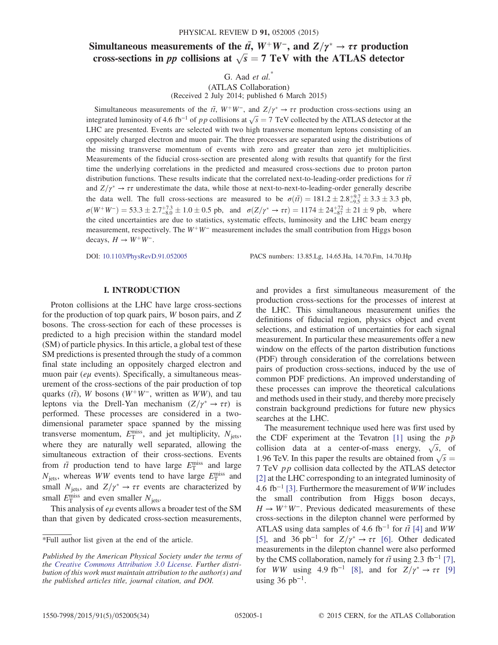# Simultaneous measurements of the  $t\bar{t}$ ,  $W^+W^-$ , and  $Z/\gamma^* \to \tau\tau$  production<br>cross-sections in *nn* collisions at  $\sqrt{s} - 7$  TeV with the ATLAS detector cross-sections in *pp* collisions at  $\sqrt{s} = 7$  TeV with the ATLAS detector

G. Aad  $et$   $al.$ <sup>\*</sup>

(ATLAS Collaboration) (Received 2 July 2014; published 6 March 2015)

Simultaneous measurements of the  $t\bar{t}$ ,  $W^+W^-$ , and  $Z/\gamma^* \to \tau\tau$  production cross-sections using an accreted luminosity of 4.6 th=1 of n n collisions at  $\sqrt{a} = 7$  TeV collected by the ATLAS detector at the integrated luminosity of 4.6 fb<sup>-1</sup> of pp collisions at  $\sqrt{s} = 7$  TeV collected by the ATLAS detector at the IHC are presented. Events are selected with two bigh transverse momentum leptons consisting of an LHC are presented. Events are selected with two high transverse momentum leptons consisting of an oppositely charged electron and muon pair. The three processes are separated using the distributions of the missing transverse momentum of events with zero and greater than zero jet multiplicities. Measurements of the fiducial cross-section are presented along with results that quantify for the first time the underlying correlations in the predicted and measured cross-sections due to proton parton distribution functions. These results indicate that the correlated next-to-leading-order predictions for  $t\bar{t}$ and  $Z/\gamma^* \to \tau \tau$  underestimate the data, while those at next-to-next-to-leading-order generally describe<br>the data well. The full grass sections are measured to be  $z(\vec{a}) = 191.2 + 2.2 + 2.2 + 2.3$  at the data well. The full cross-sections are measured to be  $\sigma(t\bar{t}) = 181.2 \pm 2.8^{+9.7}_{-9.5} \pm 3.3 \pm 3.3$  pb,  $\sigma(W^+W^-) = 53.3 \pm 2.7\frac{+7.3}{-8.0} \pm 1.0 \pm 0.5$  pb, and  $\sigma(Z/\gamma^* \to \tau\tau) = 1174 \pm 24\frac{+72}{-87} \pm 21 \pm 9$  pb, where the cited uncertainties are due to statistics, systematic effects, luminosity and the LHC beam energy measurement, respectively. The  $W^+W^-$  measurement includes the small contribution from Higgs boson decays,  $H \to W^+W^-$ .

DOI: [10.1103/PhysRevD.91.052005](http://dx.doi.org/10.1103/PhysRevD.91.052005) PACS numbers: 13.85.Lg, 14.65.Ha, 14.70.Fm, 14.70.Hp

### I. INTRODUCTION

Proton collisions at the LHC have large cross-sections for the production of top quark pairs, W boson pairs, and Z bosons. The cross-section for each of these processes is predicted to a high precision within the standard model (SM) of particle physics. In this article, a global test of these SM predictions is presented through the study of a common final state including an oppositely charged electron and muon pair ( $e\mu$  events). Specifically, a simultaneous measurement of the cross-sections of the pair production of top quarks ( $t\bar{t}$ ), W bosons (W<sup>+</sup>W<sup>−</sup>, written as WW), and tau leptons via the Drell-Yan mechanism  $(Z/\gamma^* \rightarrow \tau \tau)$  is<br>performed. These processes are considered in a twoperformed. These processes are considered in a twodimensional parameter space spanned by the missing transverse momentum,  $E_{\text{T}}^{\text{miss}}$ , and jet multiplicity,  $N_{\text{jets}}$ , where they are naturally well separated, allowing the simultaneous extraction of their cross-sections. Events from  $t\bar{t}$  production tend to have large  $E_T^{\text{miss}}$  and large  $N$  whereas  $WW$  events tend to have large  $E_{\text{miss}}^{\text{miss}}$  and  $N_{\text{jets}}$ , whereas WW events tend to have large  $E_{\text{T}}^{\text{miss}}$  and<br>small  $N_{\text{max}}$  and  $Z/\nu^* \rightarrow \tau \tau$  events are characterized by small  $N_{\text{jets}}$ , and  $Z/\gamma^* \to \tau \tau$  events are characterized by<br>small  $E_{\text{miss}}^{\text{miss}}$  and avon smaller  $N$ small  $E_{\rm T}^{\rm miss}$  and even smaller  $N_{\rm jets}$ .<br>This analysis of *eu* events allows

This analysis of  $e\mu$  events allows a broader test of the SM than that given by dedicated cross-section measurements, and provides a first simultaneous measurement of the production cross-sections for the processes of interest at the LHC. This simultaneous measurement unifies the definitions of fiducial region, physics object and event selections, and estimation of uncertainties for each signal measurement. In particular these measurements offer a new window on the effects of the parton distribution functions (PDF) through consideration of the correlations between pairs of production cross-sections, induced by the use of common PDF predictions. An improved understanding of these processes can improve the theoretical calculations and methods used in their study, and thereby more precisely constrain background predictions for future new physics searches at the LHC.

The measurement technique used here was first used by the CDF experiment at the Tevatron [\[1\]](#page-19-0) using the  $p\bar{p}$ collision data at a center-of-mass energy,  $\sqrt{s}$ , of<br>1.06 TeV In this paper the results are obtained from  $\sqrt{s}$ 1.96 TeV. In this paper the results are obtained from  $\sqrt{s}$  = 7 TeV, an collision data collected by the ATI AS detector <sup>7</sup> TeV pp collision data collected by the ATLAS detector [\[2\]](#page-19-1) at the LHC corresponding to an integrated luminosity of 4.6 fb<sup>-1</sup> [\[3\].](#page-19-2) Furthermore the measurement of  $WW$  includes the small contribution from Higgs boson decays,  $H \to W^+W^-$ . Previous dedicated measurements of these cross-sections in the dilepton channel were performed by ATLAS using data samples of 4.6 fb<sup>-1</sup> for  $t\bar{t}$  [\[4\]](#page-19-3) and WW [\[5\]](#page-19-4), and 36 pb<sup>-1</sup> for  $Z/\gamma^* \to \tau \tau$  [\[6\].](#page-19-5) Other dedicated measurements in the dilenton channel were also performed measurements in the dilepton channel were also performed by the CMS collaboration, namely for  $t\bar{t}$  using 2.3 fb<sup>-1</sup> [\[7\]](#page-19-6), for *WW* using 4.9 fb<sup>-1</sup> [\[8\]](#page-19-7), and for  $Z/\gamma^* \to \tau \tau$  [\[9\]](#page-19-8) using 36 pb<sup>-1</sup>.

<sup>\*</sup>Full author list given at the end of the article.

Published by the American Physical Society under the terms of the [Creative Commons Attribution 3.0 License.](http://creativecommons.org/licenses/by/3.0/) Further distribution of this work must maintain attribution to the author(s) and the published articles title, journal citation, and DOI.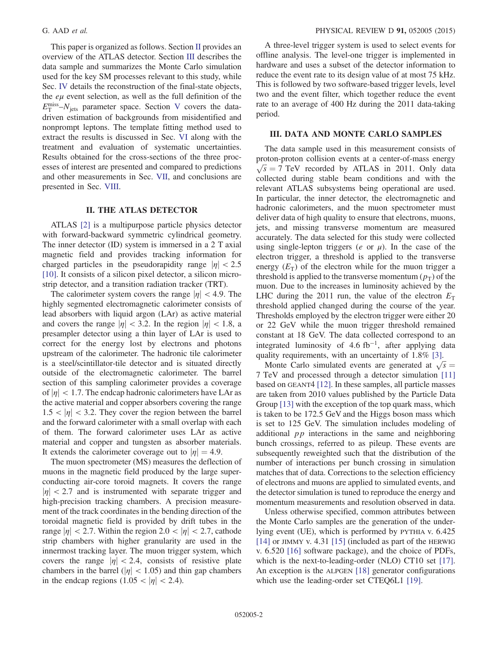This paper is organized as follows. Section [II](#page-1-0) provides an overview of the ATLAS detector. Section [III](#page-1-1) describes the data sample and summarizes the Monte Carlo simulation used for the key SM processes relevant to this study, while Sec. [IV](#page-2-0) details the reconstruction of the final-state objects, the  $e\mu$  event selection, as well as the full definition of the  $E_{\text{T}}^{\text{miss}} - N_{\text{jets}}$  parameter space. Section [V](#page-3-0) covers the data-<br>driven estimation of backgrounds from misidentified and driven estimation of backgrounds from misidentified and nonprompt leptons. The template fitting method used to extract the results is discussed in Sec. [VI](#page-7-0) along with the treatment and evaluation of systematic uncertainties. Results obtained for the cross-sections of the three processes of interest are presented and compared to predictions and other measurements in Sec. [VII](#page-11-0), and conclusions are presented in Sec. [VIII](#page-19-9).

### II. THE ATLAS DETECTOR

<span id="page-1-0"></span>ATLAS [\[2\]](#page-19-1) is a multipurpose particle physics detector with forward-backward symmetric cylindrical geometry. The inner detector (ID) system is immersed in a 2 T axial magnetic field and provides tracking information for charged particles in the pseudorapidity range  $|\eta| < 2.5$ [\[10\]](#page-19-10). It consists of a silicon pixel detector, a silicon microstrip detector, and a transition radiation tracker (TRT).

The calorimeter system covers the range  $|\eta| < 4.9$ . The highly segmented electromagnetic calorimeter consists of lead absorbers with liquid argon (LAr) as active material and covers the range  $|\eta| < 3.2$ . In the region  $|\eta| < 1.8$ , a presampler detector using a thin layer of LAr is used to correct for the energy lost by electrons and photons upstream of the calorimeter. The hadronic tile calorimeter is a steel/scintillator-tile detector and is situated directly outside of the electromagnetic calorimeter. The barrel section of this sampling calorimeter provides a coverage of  $|\eta|$  < 1.7. The endcap hadronic calorimeters have LAr as the active material and copper absorbers covering the range  $1.5 < |\eta| < 3.2$ . They cover the region between the barrel and the forward calorimeter with a small overlap with each of them. The forward calorimeter uses LAr as active material and copper and tungsten as absorber materials. It extends the calorimeter coverage out to  $|\eta| = 4.9$ .

The muon spectrometer (MS) measures the deflection of muons in the magnetic field produced by the large superconducting air-core toroid magnets. It covers the range  $|\eta|$  < 2.7 and is instrumented with separate trigger and high-precision tracking chambers. A precision measurement of the track coordinates in the bending direction of the toroidal magnetic field is provided by drift tubes in the range  $|\eta|$  < 2.7. Within the region 2.0 <  $|\eta|$  < 2.7, cathode strip chambers with higher granularity are used in the innermost tracking layer. The muon trigger system, which covers the range  $|\eta| < 2.4$ , consists of resistive plate chambers in the barrel ( $|\eta|$  < 1.05) and thin gap chambers in the endcap regions  $(1.05 < |\eta| < 2.4)$ .

A three-level trigger system is used to select events for offline analysis. The level-one trigger is implemented in hardware and uses a subset of the detector information to reduce the event rate to its design value of at most 75 kHz. This is followed by two software-based trigger levels, level two and the event filter, which together reduce the event rate to an average of 400 Hz during the 2011 data-taking period.

# <span id="page-1-1"></span>III. DATA AND MONTE CARLO SAMPLES

The data sample used in this measurement consists of proton-proton collision events at a center-of-mass energy  $\sqrt{s}$  = 7 TeV recorded by ATLAS in 2011. Only data<br>collected during stable beam conditions and with the collected during stable beam conditions and with the relevant ATLAS subsystems being operational are used. In particular, the inner detector, the electromagnetic and hadronic calorimeters, and the muon spectrometer must deliver data of high quality to ensure that electrons, muons, jets, and missing transverse momentum are measured accurately. The data selected for this study were collected using single-lepton triggers (*e* or  $\mu$ ). In the case of the electron trigger, a threshold is applied to the transverse energy  $(E_T)$  of the electron while for the muon trigger a threshold is applied to the transverse momentum  $(p_T)$  of the muon. Due to the increases in luminosity achieved by the LHC during the 2011 run, the value of the electron  $E<sub>T</sub>$ threshold applied changed during the course of the year. Thresholds employed by the electron trigger were either 20 or 22 GeV while the muon trigger threshold remained constant at 18 GeV. The data collected correspond to an integrated luminosity of  $4.6$  fb<sup>-1</sup>, after applying data quality requirements, with an uncertainty of 1.8% [\[3\]](#page-19-2).

Monte Carlo simulated events are generated at  $\sqrt{s}$  =<br>FeV and processed through a detector simulation [11] 7 TeV and processed through a detector simulation [\[11\]](#page-19-11) based on GEANT4 [\[12\].](#page-19-12) In these samples, all particle masses are taken from 2010 values published by the Particle Data Group [\[13\]](#page-19-13) with the exception of the top quark mass, which is taken to be 172.5 GeV and the Higgs boson mass which is set to 125 GeV. The simulation includes modeling of additional  $pp$  interactions in the same and neighboring bunch crossings, referred to as pileup. These events are subsequently reweighted such that the distribution of the number of interactions per bunch crossing in simulation matches that of data. Corrections to the selection efficiency of electrons and muons are applied to simulated events, and the detector simulation is tuned to reproduce the energy and momentum measurements and resolution observed in data.

Unless otherwise specified, common attributes between the Monte Carlo samples are the generation of the underlying event (UE), which is performed by PYTHIA v. 6.425 [\[14\]](#page-19-14) or JIMMY v. 4.31 [\[15\]](#page-19-15) (included as part of the HERWIG v. 6.520 [\[16\]](#page-20-0) software package), and the choice of PDFs, which is the next-to-leading-order (NLO) CT10 set [\[17\]](#page-20-1). An exception is the ALPGEN [\[18\]](#page-20-2) generator configurations which use the leading-order set CTEQ6L1 [\[19\]](#page-20-3).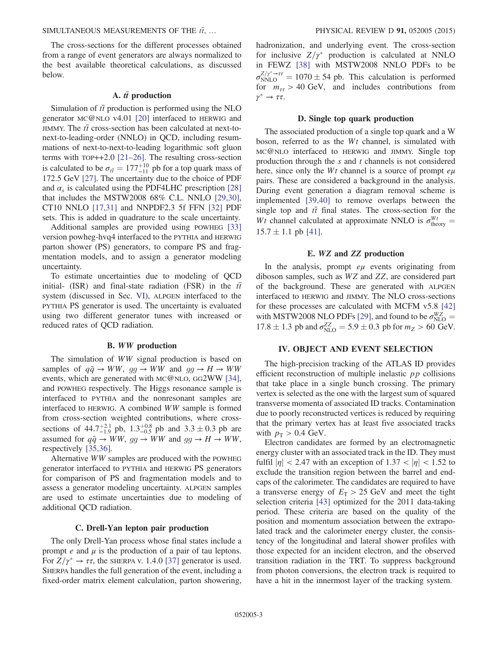The cross-sections for the different processes obtained from a range of event generators are always normalized to the best available theoretical calculations, as discussed below.

# A.  $t\bar{t}$  production

Simulation of  $t\bar{t}$  production is performed using the NLO generator MC@NLO v4.01 [\[20\]](#page-20-4) interfaced to HERWIG and JIMMY. The  $t\bar{t}$  cross-section has been calculated at next-tonext-to-leading-order (NNLO) in QCD, including resummations of next-to-next-to-leading logarithmic soft gluon terms with TOP++2.0 [\[21](#page-20-5)–26]. The resulting cross-section is calculated to be  $\sigma_{t\bar{t}} = 177^{+10}_{-11}$  pb for a top quark mass of 172.5 GeV 1271. The uncertainty due to the choice of PDE 172.5 GeV [\[27\]](#page-20-6). The uncertainty due to the choice of PDF and  $\alpha_s$  is calculated using the PDF4LHC prescription [\[28\]](#page-20-7) that includes the MSTW2008 68% C.L. NNLO [\[29,30\]](#page-20-8), CT10 NNLO [\[17,31\]](#page-20-1) and NNPDF2.3 5f FFN [\[32\]](#page-20-9) PDF sets. This is added in quadrature to the scale uncertainty.

Additional samples are provided using POWHEG [\[33\]](#page-20-10) version powheg-hvq4 interfaced to the PYTHIA and HERWIG parton shower (PS) generators, to compare PS and fragmentation models, and to assign a generator modeling uncertainty.

To estimate uncertainties due to modeling of QCD initial- (ISR) and final-state radiation (FSR) in the  $t\bar{t}$ system (discussed in Sec. [VI](#page-7-0)), ALPGEN interfaced to the PYTHIA PS generator is used. The uncertainty is evaluated using two different generator tunes with increased or reduced rates of QCD radiation.

### B. WW production

<span id="page-2-1"></span>The simulation of WW signal production is based on samples of  $q\bar{q} \rightarrow WW$ ,  $qq \rightarrow WW$  and  $qq \rightarrow H \rightarrow WW$ events, which are generated with MC@NLO, GG2WW [\[34\]](#page-20-11), and POWHEG respectively. The Higgs resonance sample is interfaced to PYTHIA and the nonresonant samples are interfaced to HERWIG. A combined WW sample is formed from cross-section weighted contributions, where crosssections of  $44.7^{+2.1}_{-1.9}$  pb,  $1.3^{+0.8}_{-0.5}$  pb and  $3.3 \pm 0.3$  pb are assumed for  $q\bar{q} \rightarrow WW$ ,  $gg \rightarrow WW$  and  $gg \rightarrow H \rightarrow WW$ , respectively [\[35,36\].](#page-20-12)

Alternative WW samples are produced with the POWHEG generator interfaced to PYTHIA and HERWIG PS generators for comparison of PS and fragmentation models and to assess a generator modeling uncertainty. ALPGEN samples are used to estimate uncertainties due to modeling of additional QCD radiation.

### C. Drell-Yan lepton pair production

<span id="page-2-2"></span>The only Drell-Yan process whose final states include a prompt  $e$  and  $\mu$  is the production of a pair of tau leptons. For  $Z/\gamma^* \to \tau \tau$ , the SHERPA v. 1.4.0 [\[37\]](#page-20-13) generator is used.<br>SHERPA handles the full generation of the event including a SHERPA handles the full generation of the event, including a fixed-order matrix element calculation, parton showering,

hadronization, and underlying event. The cross-section for inclusive  $Z/\gamma^*$  production is calculated at NNLO<br>in FEWZ [38] with MSTW2008 NNLO PDEs to be in FEWZ [\[38\]](#page-20-14) with MSTW2008 NNLO PDFs to be  $\sigma_{NNLO}^{Z/\gamma^* \rightarrow \tau\tau} = 1070 \pm 54$  pb. This calculation is performed for  $m_{\tau\tau} > 40$  GeV, and includes contributions from  $\gamma^* \to \tau \tau$ .

### D. Single top quark production

The associated production of a single top quark and a W boson, referred to as the Wt channel, is simulated with MC@NLO interfaced to HERWIG and JIMMY. Single top production through the  $s$  and  $t$  channels is not considered here, since only the  $Wt$  channel is a source of prompt  $e\mu$ pairs. These are considered a background in the analysis. During event generation a diagram removal scheme is implemented [\[39,40\]](#page-20-15) to remove overlaps between the single top and  $t\bar{t}$  final states. The cross-section for the Wt channel calculated at approximate NNLO is  $\sigma_{\text{theory}}^{Wt} =$ <br>15.7 + 1.1 pb [41]  $15.7 \pm 1.1$  pb [\[41\]](#page-20-16).

### E. WZ and ZZ production

In the analysis, prompt  $e\mu$  events originating from diboson samples, such as WZ and ZZ, are considered part of the background. These are generated with ALPGEN interfaced to HERWIG and JIMMY. The NLO cross-sections for these processes are calculated with MCFM v5.8 [\[42\]](#page-20-17) with MSTW2008 NLO PDFs [\[29\],](#page-20-8) and found to be  $\sigma_{\text{NLO}}^{\text{WZ}} =$  $17.8 \pm 1.3$  pb and  $\sigma_{\text{NLO}}^{ZZ} = 5.9 \pm 0.3$  pb for  $m_Z > 60$  GeV.

# <span id="page-2-0"></span>IV. OBJECT AND EVENT SELECTION

The high-precision tracking of the ATLAS ID provides efficient reconstruction of multiple inelastic  $pp$  collisions that take place in a single bunch crossing. The primary vertex is selected as the one with the largest sum of squared transverse momenta of associated ID tracks. Contamination due to poorly reconstructed vertices is reduced by requiring that the primary vertex has at least five associated tracks with  $p_T > 0.4$  GeV.

Electron candidates are formed by an electromagnetic energy cluster with an associated track in the ID. They must fulfil  $|\eta|$  < 2.47 with an exception of 1.37 <  $|\eta|$  < 1.52 to exclude the transition region between the barrel and endcaps of the calorimeter. The candidates are required to have a transverse energy of  $E_T > 25$  GeV and meet the tight selection criteria [\[43\]](#page-20-18) optimized for the 2011 data-taking period. These criteria are based on the quality of the position and momentum association between the extrapolated track and the calorimeter energy cluster, the consistency of the longitudinal and lateral shower profiles with those expected for an incident electron, and the observed transition radiation in the TRT. To suppress background from photon conversions, the electron track is required to have a hit in the innermost layer of the tracking system.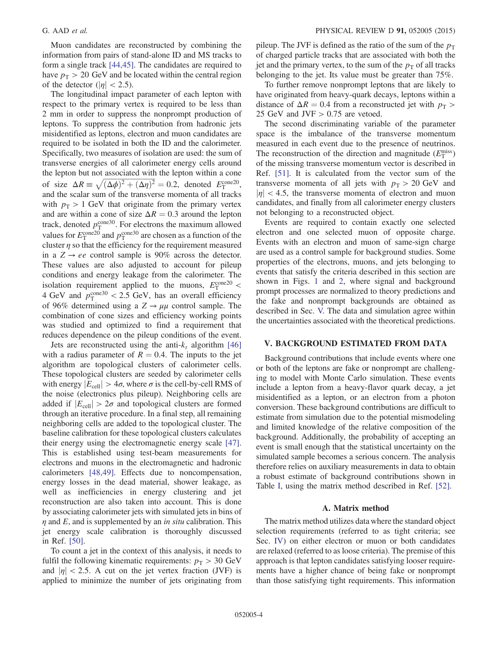Muon candidates are reconstructed by combining the information from pairs of stand-alone ID and MS tracks to form a single track [\[44,45\]](#page-20-19). The candidates are required to have  $p_T > 20$  GeV and be located within the central region of the detector ( $|\eta|$  < 2.5).

The longitudinal impact parameter of each lepton with respect to the primary vertex is required to be less than 2 mm in order to suppress the nonprompt production of leptons. To suppress the contribution from hadronic jets misidentified as leptons, electron and muon candidates are required to be isolated in both the ID and the calorimeter. Specifically, two measures of isolation are used: the sum of transverse energies of all calorimeter energy cells around the lepton but not associated with the lepton within a cone of size  $\Delta R \equiv \sqrt{(\Delta \phi)^2 + (\Delta \eta)^2} = 0.2$ , denoted  $E_{\text{T}}^{\text{cone}20}$ , and the scalar sum of the transverse momenta of all tracks and the scalar sum of the transverse momenta of all tracks with  $p_T > 1$  GeV that originate from the primary vertex and are within a cone of size  $\Delta R = 0.3$  around the lepton track, denoted  $p_T^{\text{cone30}}$ . For electrons the maximum allowed<br>values for  $F^{\text{cone20}}$  and  $p_{\text{cone30}}$  are chosen as a function of the values for  $E_T^{\text{cone20}}$  and  $p_T^{\text{cone30}}$  are chosen as a function of the cluster *n* so that the efficiency for the requirement measured cluster  $\eta$  so that the efficiency for the requirement measured in a  $Z \rightarrow ee$  control sample is 90% across the detector. These values are also adjusted to account for pileup conditions and energy leakage from the calorimeter. The isolation requirement applied to the muons,  $E_{\rm T}^{\rm cone20}$  < A GeV and  $p_T^{\text{con}} < 2.5$  GeV, has an overall efficiency<br>of 96% determined using a  $Z \rightarrow \mu\mu$  control sample. The of 96% determined using a  $Z \rightarrow \mu\mu$  control sample. The combination of cone sizes and efficiency working points was studied and optimized to find a requirement that reduces dependence on the pileup conditions of the event.

Jets are reconstructed using the anti- $k_t$  algorithm [\[46\]](#page-20-20) with a radius parameter of  $R = 0.4$ . The inputs to the jet algorithm are topological clusters of calorimeter cells. These topological clusters are seeded by calorimeter cells with energy  $|E_{cell}| > 4\sigma$ , where  $\sigma$  is the cell-by-cell RMS of the noise (electronics plus pileup). Neighboring cells are added if  $|E_{cell}| > 2\sigma$  and topological clusters are formed through an iterative procedure. In a final step, all remaining neighboring cells are added to the topological cluster. The baseline calibration for these topological clusters calculates their energy using the electromagnetic energy scale [\[47\]](#page-20-21). This is established using test-beam measurements for electrons and muons in the electromagnetic and hadronic calorimeters [\[48,49\].](#page-20-22) Effects due to noncompensation, energy losses in the dead material, shower leakage, as well as inefficiencies in energy clustering and jet reconstruction are also taken into account. This is done by associating calorimeter jets with simulated jets in bins of  $\eta$  and E, and is supplemented by an *in situ* calibration. This jet energy scale calibration is thoroughly discussed in Ref. [\[50\]](#page-20-23).

To count a jet in the context of this analysis, it needs to fulfil the following kinematic requirements:  $p_T > 30 \text{ GeV}$ and  $|\eta|$  < 2.5. A cut on the jet vertex fraction (JVF) is applied to minimize the number of jets originating from pileup. The JVF is defined as the ratio of the sum of the  $p_T$ of charged particle tracks that are associated with both the jet and the primary vertex, to the sum of the  $p<sub>T</sub>$  of all tracks belonging to the jet. Its value must be greater than 75%.

To further remove nonprompt leptons that are likely to have originated from heavy-quark decays, leptons within a distance of  $\Delta R = 0.4$  from a reconstructed jet with  $p_T >$ 25 GeV and JVF  $> 0.75$  are vetoed.

The second discriminating variable of the parameter space is the imbalance of the transverse momentum measured in each event due to the presence of neutrinos. The reconstruction of the direction and magnitude  $(E_{\text{T}}^{\text{miss}})$ <br>of the missing transverse momentum vector is described in of the missing transverse momentum vector is described in Ref. [\[51\]](#page-20-24). It is calculated from the vector sum of the transverse momenta of all jets with  $p_T > 20$  GeV and  $|\eta|$  < 4.5, the transverse momenta of electron and muon candidates, and finally from all calorimeter energy clusters not belonging to a reconstructed object.

Events are required to contain exactly one selected electron and one selected muon of opposite charge. Events with an electron and muon of same-sign charge are used as a control sample for background studies. Some properties of the electrons, muons, and jets belonging to events that satisfy the criteria described in this section are shown in Figs. [1](#page-4-0) and [2](#page-5-0), where signal and background prompt processes are normalized to theory predictions and the fake and nonprompt backgrounds are obtained as described in Sec. [V.](#page-3-0) The data and simulation agree within the uncertainties associated with the theoretical predictions.

### <span id="page-3-0"></span>V. BACKGROUND ESTIMATED FROM DATA

Background contributions that include events where one or both of the leptons are fake or nonprompt are challenging to model with Monte Carlo simulation. These events include a lepton from a heavy-flavor quark decay, a jet misidentified as a lepton, or an electron from a photon conversion. These background contributions are difficult to estimate from simulation due to the potential mismodeling and limited knowledge of the relative composition of the background. Additionally, the probability of accepting an event is small enough that the statistical uncertainty on the simulated sample becomes a serious concern. The analysis therefore relies on auxiliary measurements in data to obtain a robust estimate of background contributions shown in Table [I,](#page-6-0) using the matrix method described in Ref. [\[52\].](#page-20-25)

### A. Matrix method

The matrix method utilizes data where the standard object selection requirements (referred to as tight criteria; see Sec. [IV](#page-2-0)) on either electron or muon or both candidates are relaxed (referred to as loose criteria). The premise of this approach is that lepton candidates satisfying looser requirements have a higher chance of being fake or nonprompt than those satisfying tight requirements. This information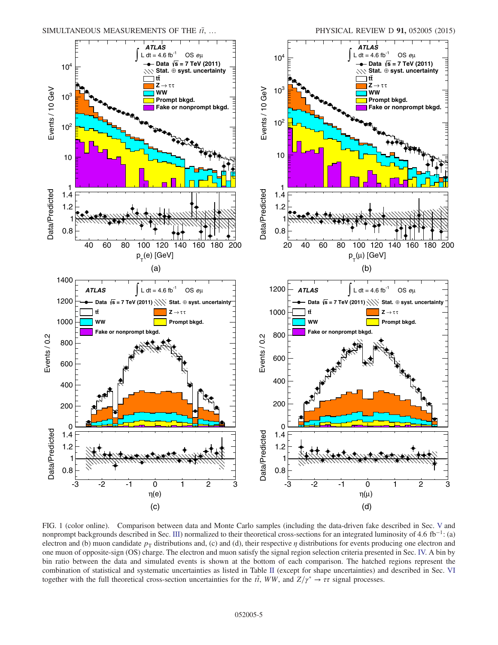<span id="page-4-0"></span>

FIG. 1 (color online). Comparison between data and Monte Carlo samples (including the data-driven fake described in Sec. [V](#page-3-0) and nonprompt backgrounds described in Sec. [III\)](#page-1-1) normalized to their theoretical cross-sections for an integrated luminosity of 4.6 fb<sup>-1</sup>: (a) electron and (b) muon candidate  $p<sub>T</sub>$  distributions and, (c) and (d), their respective  $\eta$  distributions for events producing one electron and one muon of opposite-sign (OS) charge. The electron and muon satisfy the signal region selection criteria presented in Sec. [IV.](#page-2-0) A bin by bin ratio between the data and simulated events is shown at the bottom of each comparison. The hatched regions represent the combination of statistical and systematic uncertainties as listed in Table [II](#page-9-0) (except for shape uncertainties) and described in Sec. [VI](#page-7-0) together with the full theoretical cross-section uncertainties for the  $t\bar{t}$ , WW, and  $Z/\gamma^* \to \tau\tau$  signal processes.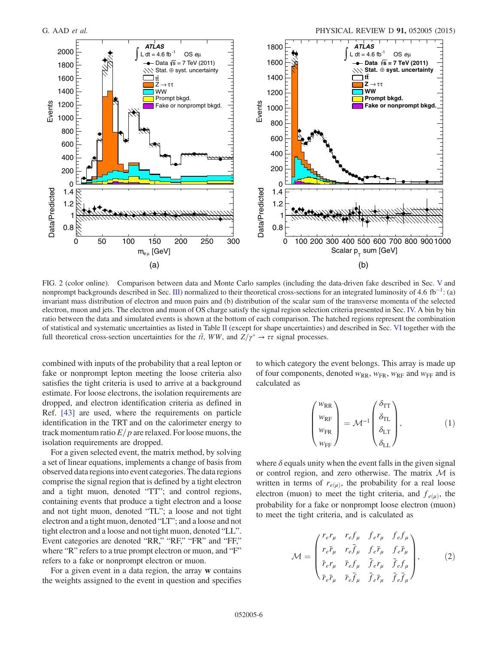<span id="page-5-0"></span>

FIG. 2 (color online). Comparison between data and Monte Carlo samples (including the data-driven fake described in Sec. [V](#page-3-0) and nonprompt backgrounds described in Sec. [III\)](#page-1-1) normalized to their theoretical cross-sections for an integrated luminosity of 4.6 fb<sup>-1</sup>: (a) invariant mass distribution of electron and muon pairs and (b) distribution of the scalar sum of the transverse momenta of the selected electron, muon and jets. The electron and muon of OS charge satisfy the signal region selection criteria presented in Sec. [IV.](#page-2-0) A bin by bin ratio between the data and simulated events is shown at the bottom of each comparison. The hatched regions represent the combination of statistical and systematic uncertainties as listed in Table [II](#page-9-0) (except for shape uncertainties) and described in Sec. [VI](#page-7-0) together with the full theoretical cross-section uncertainties for the  $t\bar{t}$ , WW, and  $Z/\gamma^* \to \tau\tau$  signal processes.

combined with inputs of the probability that a real lepton or fake or nonprompt lepton meeting the loose criteria also satisfies the tight criteria is used to arrive at a background estimate. For loose electrons, the isolation requirements are dropped, and electron identification criteria as defined in Ref. [\[43\]](#page-20-18) are used, where the requirements on particle identification in the TRT and on the calorimeter energy to track momentum ratio  $E/p$  are relaxed. For loose muons, the isolation requirements are dropped.

For a given selected event, the matrix method, by solving a set of linear equations, implements a change of basis from observed data regions into event categories. The data regions comprise the signal region that is defined by a tight electron and a tight muon, denoted "TT"; and control regions, containing events that produce a tight electron and a loose and not tight muon, denoted "TL"; a loose and not tight electron and a tight muon, denoted "LT"; and a loose and not tight electron and a loose and not tight muon, denoted "LL". Event categories are denoted "RR," "RF," "FR" and "FF," where "R" refers to a true prompt electron or muon, and "F" refers to a fake or nonprompt electron or muon.

For a given event in a data region, the array w contains the weights assigned to the event in question and specifies to which category the event belongs. This array is made up of four components, denoted  $w_{RR}$ ,  $w_{FR}$ ,  $w_{RF}$  and  $w_{FF}$  and is calculated as

$$
\begin{pmatrix} w_{\rm RR} \\ w_{\rm RF} \\ w_{\rm FR} \\ w_{\rm FF} \end{pmatrix} = \mathcal{M}^{-1} \begin{pmatrix} \delta_{\rm TT} \\ \delta_{\rm TL} \\ \delta_{\rm LT} \\ \delta_{\rm LL} \end{pmatrix}, \tag{1}
$$

where  $\delta$  equals unity when the event falls in the given signal or control region, and zero otherwise. The matrix  $M$  is written in terms of  $r_{e(\mu)}$ , the probability for a real loose electron (muon) to meet the tight criteria, and  $f_{e(\mu)}$ , the probability for a fake or nonprompt loose electron (muon) to meet the tight criteria, and is calculated as

$$
\mathcal{M} = \begin{pmatrix} r_e r_\mu & r_e f_\mu & f_e r_\mu & f_e f_\mu \\ r_e \bar{r}_\mu & r_e \bar{f}_\mu & f_e \bar{r}_\mu & f_e \bar{r}_\mu \\ \bar{r}_e r_\mu & \bar{r}_e f_\mu & \bar{f}_e r_\mu & \bar{f}_e f_\mu \\ \bar{r}_e \bar{r}_\mu & \bar{r}_e \bar{f}_\mu & \bar{f}_e \bar{r}_\mu & \bar{f}_e \bar{f}_\mu \end{pmatrix},
$$
(2)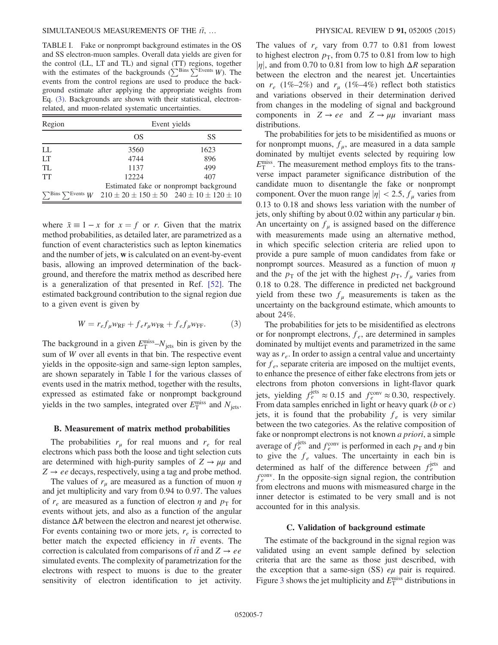<span id="page-6-0"></span>TABLE I. Fake or nonprompt background estimates in the OS and SS electron-muon samples. Overall data yields are given for the control (LL, LT and TL) and signal (TT) regions, together with the estimates of the backgrounds ( $\sum^{\text{Bins}} \sum^{\text{Events}} W$ ). The events from the control regions are used to produce the background estimate after applying the appropriate weights from Eq. [\(3\)](#page-6-1). Backgrounds are shown with their statistical, electronrelated, and muon-related systematic uncertainties.

| Region                                          | Event yields                                            |      |  |  |  |  |
|-------------------------------------------------|---------------------------------------------------------|------|--|--|--|--|
|                                                 | OS                                                      | SS   |  |  |  |  |
| LL                                              | 3560                                                    | 1623 |  |  |  |  |
| LТ                                              | 4744                                                    | 896  |  |  |  |  |
| TL                                              | 1137                                                    | 499  |  |  |  |  |
| TT                                              | 12224                                                   | 407  |  |  |  |  |
|                                                 | Estimated fake or nonprompt background                  |      |  |  |  |  |
| $\nabla^{\text{Bins}} \nabla^{\text{Events}} W$ | $210 \pm 20 \pm 150 \pm 50$ $240 \pm 10 \pm 120 \pm 10$ |      |  |  |  |  |

where  $\bar{x} \equiv 1 - x$  for  $x = f$  or r. Given that the matrix method probabilities, as detailed later, are parametrized as a function of event characteristics such as lepton kinematics and the number of jets, w is calculated on an event-by-event basis, allowing an improved determination of the background, and therefore the matrix method as described here is a generalization of that presented in Ref. [\[52\].](#page-20-25) The estimated background contribution to the signal region due to a given event is given by

<span id="page-6-1"></span>
$$
W = r_e f_\mu w_{\rm RF} + f_e r_\mu w_{\rm FR} + f_e f_\mu w_{\rm FF}.
$$
 (3)

The background in a given  $E_T^{\text{miss}}-N_{\text{jets}}$  bin is given by the sum of W over all events in that hin. The respective event sum of W over all events in that bin. The respective event yields in the opposite-sign and same-sign lepton samples, are shown separately in Table [I](#page-6-0) for the various classes of events used in the matrix method, together with the results, expressed as estimated fake or nonprompt background yields in the two samples, integrated over  $E_{\text{T}}^{\text{miss}}$  and  $N_{\text{jets}}$ .

### B. Measurement of matrix method probabilities

The probabilities  $r_{\mu}$  for real muons and  $r_e$  for real electrons which pass both the loose and tight selection cuts are determined with high-purity samples of  $Z \rightarrow \mu\mu$  and  $Z \rightarrow ee$  decays, respectively, using a tag and probe method.

The values of  $r_{\mu}$  are measured as a function of muon  $\eta$ and jet multiplicity and vary from 0.94 to 0.97. The values of  $r_e$  are measured as a function of electron  $\eta$  and  $p_T$  for events without jets, and also as a function of the angular distance  $\Delta R$  between the electron and nearest jet otherwise. For events containing two or more jets,  $r_e$  is corrected to better match the expected efficiency in  $t\bar{t}$  events. The correction is calculated from comparisons of  $t\bar{t}$  and  $Z \rightarrow ee$ simulated events. The complexity of parametrization for the electrons with respect to muons is due to the greater sensitivity of electron identification to jet activity. The values of  $r_e$  vary from 0.77 to 0.81 from lowest to highest electron  $p_T$ , from 0.75 to 0.81 from low to high  $|\eta|$ , and from 0.70 to 0.81 from low to high  $\Delta R$  separation between the electron and the nearest jet. Uncertainties on  $r_e$  (1%–2%) and  $r_\mu$  (1%–4%) reflect both statistics and variations observed in their determination derived from changes in the modeling of signal and background components in  $Z \rightarrow ee$  and  $Z \rightarrow \mu\mu$  invariant mass distributions.

The probabilities for jets to be misidentified as muons or for nonprompt muons,  $f_{\mu}$ , are measured in a data sample dominated by multijet events selected by requiring low  $E_T^{\text{miss}}$ . The measurement method employs fits to the trans-<br>verse impact parameter significance distribution of the verse impact parameter significance distribution of the candidate muon to disentangle the fake or nonprompt component. Over the muon range  $|\eta| < 2.5$ ,  $f_u$  varies from 0.13 to 0.18 and shows less variation with the number of jets, only shifting by about 0.02 within any particular  $\eta$  bin. An uncertainty on  $f_{\mu}$  is assigned based on the difference with measurements made using an alternative method, in which specific selection criteria are relied upon to provide a pure sample of muon candidates from fake or nonprompt sources. Measured as a function of muon  $\eta$ and the  $p_T$  of the jet with the highest  $p_T$ ,  $f_\mu$  varies from 0.18 to 0.28. The difference in predicted net background yield from these two  $f_{\mu}$  measurements is taken as the uncertainty on the background estimate, which amounts to about 24%.

The probabilities for jets to be misidentified as electrons or for nonprompt electrons,  $f_e$ , are determined in samples dominated by multijet events and parametrized in the same way as  $r_e$ . In order to assign a central value and uncertainty for  $f_e$ , separate criteria are imposed on the multijet events, to enhance the presence of either fake electrons from jets or electrons from photon conversions in light-flavor quark jets, yielding  $f_e^{\text{jets}} \approx 0.15$  and  $f_e^{\text{conv}} \approx 0.30$ , respectively.<br>From data samples enriched in light or heavy quark (*b* or *c*) From data samples enriched in light or heavy quark  $(b \text{ or } c)$ jets, it is found that the probability  $f_e$  is very similar between the two categories. As the relative composition of fake or nonprompt electrons is not known *a priori*, a simple average of  $f_e^{jets}$  and  $f_e^{conv}$  is performed in each  $p_T$  and  $\eta$  bin<br>to give the f values. The uncertainty in each bin is to give the  $f_e$  values. The uncertainty in each bin is determined as half of the difference between  $f_e^{jets}$  and  $f_{\text{conv}}^{conv}$  in the opposite-sign signal region, the contribution  $f_{\epsilon}^{\text{conv}}$ . In the opposite-sign signal region, the contribution from electrons and muons with mismeasured charge in the from electrons and muons with mismeasured charge in the inner detector is estimated to be very small and is not accounted for in this analysis.

### C. Validation of background estimate

The estimate of the background in the signal region was validated using an event sample defined by selection criteria that are the same as those just described, with the exception that a same-sign (SS)  $e\mu$  pair is required. Figure [3](#page-7-1) shows the jet multiplicity and  $E_{\rm T}^{\rm miss}$  distributions in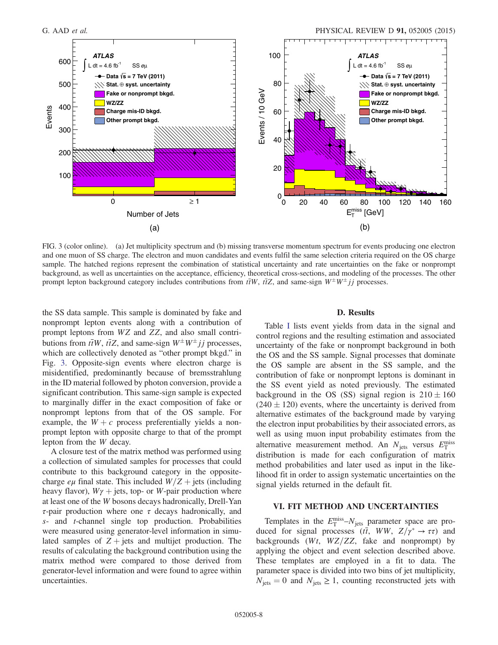<span id="page-7-1"></span>

FIG. 3 (color online). (a) Jet multiplicity spectrum and (b) missing transverse momentum spectrum for events producing one electron and one muon of SS charge. The electron and muon candidates and events fulfil the same selection criteria required on the OS charge sample. The hatched regions represent the combination of statistical uncertainty and rate uncertainties on the fake or nonprompt background, as well as uncertainties on the acceptance, efficiency, theoretical cross-sections, and modeling of the processes. The other prompt lepton background category includes contributions from  $t\bar{t}W$ ,  $t\bar{t}Z$ , and same-sign  $W^{\pm}W^{\pm}jj$  processes.

the SS data sample. This sample is dominated by fake and nonprompt lepton events along with a contribution of prompt leptons from WZ and ZZ, and also small contributions from  $t\bar{t}W$ ,  $t\bar{t}Z$ , and same-sign  $W^{\pm}W^{\pm}jj$  processes, which are collectively denoted as "other prompt bkgd." in Fig. [3.](#page-7-1) Opposite-sign events where electron charge is misidentified, predominantly because of bremsstrahlung in the ID material followed by photon conversion, provide a significant contribution. This same-sign sample is expected to marginally differ in the exact composition of fake or nonprompt leptons from that of the OS sample. For example, the  $W + c$  process preferentially yields a nonprompt lepton with opposite charge to that of the prompt lepton from the W decay.

A closure test of the matrix method was performed using a collection of simulated samples for processes that could contribute to this background category in the oppositecharge  $e\mu$  final state. This included  $W/Z +$  jets (including heavy flavor),  $W\gamma$  + jets, top- or W-pair production where at least one of the W bosons decays hadronically, Drell-Yan τ-pair production where one τ decays hadronically, and s- and t-channel single top production. Probabilities were measured using generator-level information in simulated samples of  $Z + \text{jets}$  and multijet production. The results of calculating the background contribution using the matrix method were compared to those derived from generator-level information and were found to agree within uncertainties.

### D. Results

Table [I](#page-6-0) lists event yields from data in the signal and control regions and the resulting estimation and associated uncertainty of the fake or nonprompt background in both the OS and the SS sample. Signal processes that dominate the OS sample are absent in the SS sample, and the contribution of fake or nonprompt leptons is dominant in the SS event yield as noted previously. The estimated background in the OS (SS) signal region is  $210 \pm 160$  $(240 \pm 120)$  events, where the uncertainty is derived from alternative estimates of the background made by varying the electron input probabilities by their associated errors, as well as using muon input probability estimates from the alternative measurement method. An  $N_{\text{jets}}$  versus  $E_{\text{T}}^{\text{miss}}$ <br>distribution is made for each configuration of matrix distribution is made for each configuration of matrix method probabilities and later used as input in the likelihood fit in order to assign systematic uncertainties on the signal yields returned in the default fit.

# <span id="page-7-0"></span>VI. FIT METHOD AND UNCERTAINTIES

Templates in the  $E_T^{\text{miss}} - N_{\text{jets}}$  parameter space are pro-<br>ced for signal processes  $(\vec{H} \cdot WW - Z/\nu^* \rightarrow \tau \tau)$  and duced for signal processes  $(t\bar{t}, WW, Z/\gamma^* \rightarrow \tau\tau)$  and<br>hackgrounds  $(Wt, WZ/ZZ)$  fake and nonprompt) by backgrounds ( $Wt$ ,  $WZ/ZZ$ , fake and nonprompt) by applying the object and event selection described above. These templates are employed in a fit to data. The parameter space is divided into two bins of jet multiplicity,  $N_{\text{jets}} = 0$  and  $N_{\text{jets}} \ge 1$ , counting reconstructed jets with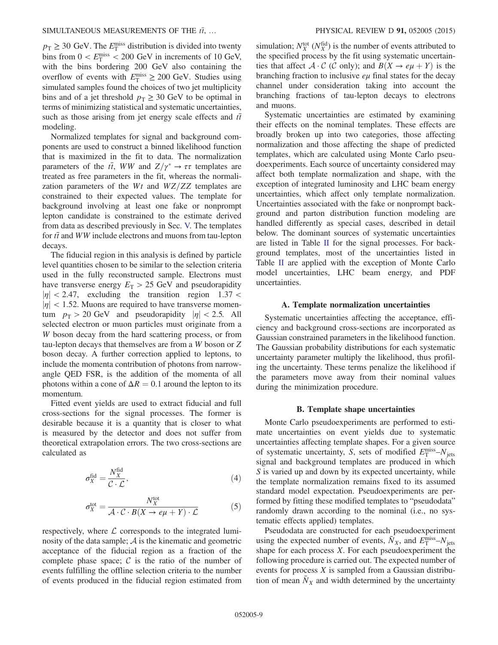$p_T \ge 30$  GeV. The  $E_T^{\text{miss}}$  distribution is divided into twenty<br>hins from  $0 \le F^{\text{miss}} \le 200$  GeV in increments of 10 GeV bins from  $0 < E_{\rm T}^{\rm miss} < 200$  GeV in increments of 10 GeV, with the bins bordering 200 GeV also containing the with the bins bordering 200 GeV also containing the overflow of events with  $E_{\rm T}^{\rm miss} \ge 200$  GeV. Studies using<br>simulated samples found the choices of two jet multiplicity simulated samples found the choices of two jet multiplicity bins and of a jet threshold  $p_T \geq 30$  GeV to be optimal in terms of minimizing statistical and systematic uncertainties, such as those arising from jet energy scale effects and  $t\bar{t}$ modeling.

Normalized templates for signal and background components are used to construct a binned likelihood function that is maximized in the fit to data. The normalization parameters of the  $t\bar{t}$ , WW and  $Z/\gamma^* \to \tau \tau$  templates are<br>treated as free parameters in the fit whereas the pormalitreated as free parameters in the fit, whereas the normalization parameters of the  $Wt$  and  $WZ/ZZ$  templates are constrained to their expected values. The template for background involving at least one fake or nonprompt lepton candidate is constrained to the estimate derived from data as described previously in Sec. [V.](#page-3-0) The templates for  $t\bar{t}$  and WW include electrons and muons from tau-lepton decays.

The fiducial region in this analysis is defined by particle level quantities chosen to be similar to the selection criteria used in the fully reconstructed sample. Electrons must have transverse energy  $E_T > 25$  GeV and pseudorapidity  $|\eta|$  < 2.47, excluding the transition region 1.37 <  $|\eta|$  < 1.52. Muons are required to have transverse momentum  $p_T > 20$  GeV and pseudorapidity  $|\eta| < 2.5$ . All selected electron or muon particles must originate from a W boson decay from the hard scattering process, or from tau-lepton decays that themselves are from a W boson or Z boson decay. A further correction applied to leptons, to include the momenta contribution of photons from narrowangle QED FSR, is the addition of the momenta of all photons within a cone of  $\Delta R = 0.1$  around the lepton to its momentum.

<span id="page-8-0"></span>Fitted event yields are used to extract fiducial and full cross-sections for the signal processes. The former is desirable because it is a quantity that is closer to what is measured by the detector and does not suffer from theoretical extrapolation errors. The two cross-sections are calculated as

$$
\sigma_X^{\text{fid}} = \frac{N_X^{\text{fid}}}{\mathcal{C} \cdot \mathcal{L}},\tag{4}
$$

$$
\sigma_X^{\text{tot}} = \frac{N_X^{\text{tot}}}{\mathcal{A} \cdot \mathcal{C} \cdot B(X \to e\mu + Y) \cdot \mathcal{L}} \tag{5}
$$

<span id="page-8-1"></span>respectively, where  $\mathcal L$  corresponds to the integrated luminosity of the data sample;  $A$  is the kinematic and geometric acceptance of the fiducial region as a fraction of the complete phase space;  $\mathcal C$  is the ratio of the number of events fulfilling the offline selection criteria to the number of events produced in the fiducial region estimated from

simulation;  $N_X^{\text{tot}}$  ( $N_X^{\text{fid}}$ ) is the number of events attributed to the specified process by the fit using systematic uncertainthe specified process by the fit using systematic uncertainties that affect  $\mathcal{A} \cdot \mathcal{C}$  (C only); and  $B(X \rightarrow e\mu + Y)$  is the branching fraction to inclusive  $e\mu$  final states for the decay channel under consideration taking into account the branching fractions of tau-lepton decays to electrons and muons.

Systematic uncertainties are estimated by examining their effects on the nominal templates. These effects are broadly broken up into two categories, those affecting normalization and those affecting the shape of predicted templates, which are calculated using Monte Carlo pseudoexperiments. Each source of uncertainty considered may affect both template normalization and shape, with the exception of integrated luminosity and LHC beam energy uncertainties, which affect only template normalization. Uncertainties associated with the fake or nonprompt background and parton distribution function modeling are handled differently as special cases, described in detail below. The dominant sources of systematic uncertainties are listed in Table [II](#page-9-0) for the signal processes. For background templates, most of the uncertainties listed in Table [II](#page-9-0) are applied with the exception of Monte Carlo model uncertainties, LHC beam energy, and PDF uncertainties.

### A. Template normalization uncertainties

Systematic uncertainties affecting the acceptance, efficiency and background cross-sections are incorporated as Gaussian constrained parameters in the likelihood function. The Gaussian probability distributions for each systematic uncertainty parameter multiply the likelihood, thus profiling the uncertainty. These terms penalize the likelihood if the parameters move away from their nominal values during the minimization procedure.

### B. Template shape uncertainties

Monte Carlo pseudoexperiments are performed to estimate uncertainties on event yields due to systematic uncertainties affecting template shapes. For a given source of systematic uncertainty, S, sets of modified  $E_T^{\text{miss}}-N_{\text{jets}}$ <br>signal and background templates are produced in which signal and background templates are produced in which S is varied up and down by its expected uncertainty, while the template normalization remains fixed to its assumed standard model expectation. Pseudoexperiments are performed by fitting these modified templates to "pseudodata" randomly drawn according to the nominal (i.e., no systematic effects applied) templates.

Pseudodata are constructed for each pseudoexperiment using the expected number of events,  $\overline{N}_X$ , and  $E_T^{\text{miss}}-N_{\text{jets}}$ <br>shape for each process X. For each pseudoexperiment the shape for each process  $X$ . For each pseudoexperiment the following procedure is carried out. The expected number of events for process X is sampled from a Gaussian distribution of mean  $N_X$  and width determined by the uncertainty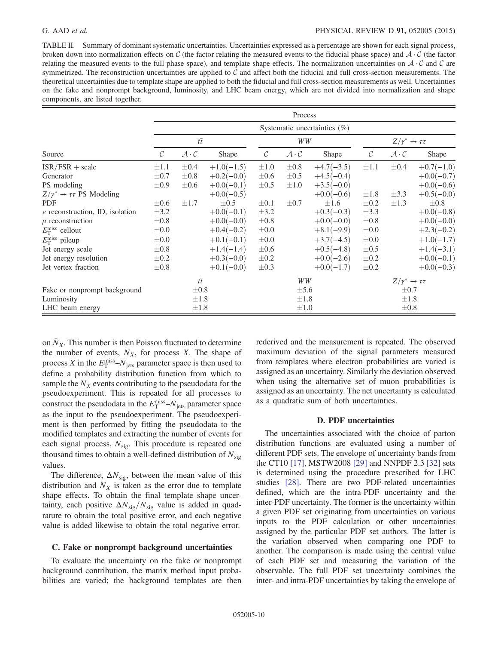# G. AAD *et al.* PHYSICAL REVIEW D **91**, 052005 (2015)

<span id="page-9-0"></span>TABLE II. Summary of dominant systematic uncertainties. Uncertainties expressed as a percentage are shown for each signal process, broken down into normalization effects on C (the factor relating the measured events to the fiducial phase space) and  $A \cdot C$  (the factor relating the measured events to the full phase space), and template shape effects. The normalization uncertainties on  $A \cdot C$  and C are symmetrized. The reconstruction uncertainties are applied to  $C$  and affect both the fiducial and full cross-section measurements. The theoretical uncertainties due to template shape are applied to both the fiducial and full cross-section measurements as well. Uncertainties on the fake and nonprompt background, luminosity, and LHC beam energy, which are not divided into normalization and shape components, are listed together.

|                                                | Process           |                                 |              |               |                                 |              |                            |                                 |              |
|------------------------------------------------|-------------------|---------------------------------|--------------|---------------|---------------------------------|--------------|----------------------------|---------------------------------|--------------|
|                                                |                   | Systematic uncertainties $(\%)$ |              |               |                                 |              |                            |                                 |              |
|                                                |                   | $t\overline{t}$                 |              | WW            |                                 |              | $Z/\gamma^* \to \tau \tau$ |                                 |              |
| Source                                         | $\mathcal{C}_{0}$ | $\mathcal{A} \cdot \mathcal{C}$ | Shape        | $\mathcal{C}$ | $\mathcal{A} \cdot \mathcal{C}$ | Shape        | $\mathcal{C}$              | $\mathcal{A} \cdot \mathcal{C}$ | Shape        |
| $ISR/FSR + scale$                              | $\pm 1.1$         | $\pm 0.4$                       | $+1.0(-1.5)$ | $\pm 1.0$     | $\pm 0.8$                       | $+4.7(-3.5)$ | $\pm 1.1$                  | $\pm 0.4$                       | $+0.7(-1.0)$ |
| Generator                                      | $\pm 0.7$         | $\pm 0.8$                       | $+0.2(-0.0)$ | $\pm 0.6$     | $\pm 0.5$                       | $+4.5(-0.4)$ |                            |                                 | $+0.0(-0.7)$ |
| PS modeling                                    | $\pm 0.9$         | $\pm 0.6$                       | $+0.0(-0.1)$ | $\pm 0.5$     | $\pm 1.0$                       | $+3.5(-0.0)$ |                            |                                 | $+0.0(-0.6)$ |
| $Z/\gamma^* \rightarrow \tau \tau$ PS Modeling |                   |                                 | $+0.0(-0.5)$ |               |                                 | $+0.0(-0.6)$ | $\pm 1.8$                  | $\pm 3.3$                       | $+0.5(-0.0)$ |
| <b>PDF</b>                                     | $\pm 0.6$         | $\pm 1.7$                       | $\pm 0.5$    | $\pm 0.1$     | $\pm 0.7$                       | $\pm 1.6$    | $\pm 0.2$                  | $\pm 1.3$                       | $\pm 0.8$    |
| $e$ reconstruction, ID, isolation              | $\pm$ 3.2         |                                 | $+0.0(-0.1)$ | $\pm 3.2$     |                                 | $+0.3(-0.3)$ | $\pm 3.3$                  |                                 | $+0.0(-0.8)$ |
| $\mu$ reconstruction                           | $\pm 0.8$         |                                 | $+0.0(-0.0)$ | $\pm 0.8$     |                                 | $+0.0(-0.0)$ | $\pm 0.8$                  |                                 | $+0.0(-0.0)$ |
| $E_{\rm T}^{\rm miss}$ cellout                 | $\pm 0.0$         |                                 | $+0.4(-0.2)$ | $\pm 0.0$     |                                 | $+8.1(-9.9)$ | $\pm 0.0$                  |                                 | $+2.3(-0.2)$ |
| $E_{\rm T}^{\rm miss}$ pileup                  | $\pm 0.0$         |                                 | $+0.1(-0.1)$ | $\pm 0.0$     |                                 | $+3.7(-4.5)$ | $\pm 0.0$                  |                                 | $+1.0(-1.7)$ |
| Jet energy scale                               | $\pm 0.8$         |                                 | $+1.4(-1.4)$ | $\pm 0.6$     |                                 | $+0.5(-4.8)$ | $\pm 0.5$                  |                                 | $+1.4(-3.1)$ |
| Jet energy resolution                          | $\pm 0.2$         |                                 | $+0.3(-0.0)$ | $\pm 0.2$     |                                 | $+0.0(-2.6)$ | $\pm 0.2$                  |                                 | $+0.0(-0.1)$ |
| Jet vertex fraction                            | $\pm 0.8$         |                                 | $+0.1(-0.0)$ | $\pm 0.3$     |                                 | $+0.0(-1.7)$ | $\pm 0.2$                  |                                 | $+0.0(-0.3)$ |
|                                                |                   | $t\overline{t}$                 |              |               | WW                              |              |                            | $Z/\gamma^* \to \tau \tau$      |              |
| Fake or nonprompt background                   |                   | $\pm 0.8$                       |              |               | $\pm$ 5.6                       |              |                            | $\pm 0.7$                       |              |
| Luminosity                                     |                   | $\pm 1.8$                       |              |               | $\pm 1.8$                       |              |                            | $\pm 1.8$                       |              |
| LHC beam energy                                |                   | $\pm 1.8$                       |              |               | $\pm 1.0$                       |              |                            | $\pm 0.8$                       |              |

on  $\bar{N}_X$ . This number is then Poisson fluctuated to determine the number of events,  $N_X$ , for process X. The shape of process X in the  $E_T^{\text{miss}} - N_{\text{jets}}$  parameter space is then used to define a probability distribution function from which to define a probability distribution function from which to sample the  $N_X$  events contributing to the pseudodata for the pseudoexperiment. This is repeated for all processes to construct the pseudodata in the  $E_T^{\text{miss}} - N_{\text{jets}}$  parameter space<br>as the input to the pseudoexperiment. The pseudoexperias the input to the pseudoexperiment. The pseudoexperiment is then performed by fitting the pseudodata to the modified templates and extracting the number of events for each signal process,  $N_{\text{sig}}$ . This procedure is repeated one thousand times to obtain a well-defined distribution of  $N_{sig}$ values.

The difference,  $\Delta N_{\text{sig}}$ , between the mean value of this distribution and  $\bar{N}_x$  is taken as the error due to template shape effects. To obtain the final template shape uncertainty, each positive  $\Delta N_{\text{sig}}/N_{\text{sig}}$  value is added in quadrature to obtain the total positive error, and each negative value is added likewise to obtain the total negative error.

### <span id="page-9-2"></span>C. Fake or nonprompt background uncertainties

To evaluate the uncertainty on the fake or nonprompt background contribution, the matrix method input probabilities are varied; the background templates are then rederived and the measurement is repeated. The observed maximum deviation of the signal parameters measured from templates where electron probabilities are varied is assigned as an uncertainty. Similarly the deviation observed when using the alternative set of muon probabilities is assigned as an uncertainty. The net uncertainty is calculated as a quadratic sum of both uncertainties.

### D. PDF uncertainties

<span id="page-9-1"></span>The uncertainties associated with the choice of parton distribution functions are evaluated using a number of different PDF sets. The envelope of uncertainty bands from the CT10 [\[17\]](#page-20-1), MSTW2008 [\[29\]](#page-20-8) and NNPDF 2.3 [\[32\]](#page-20-9) sets is determined using the procedure prescribed for LHC studies [\[28\].](#page-20-7) There are two PDF-related uncertainties defined, which are the intra-PDF uncertainty and the inter-PDF uncertainty. The former is the uncertainty within a given PDF set originating from uncertainties on various inputs to the PDF calculation or other uncertainties assigned by the particular PDF set authors. The latter is the variation observed when comparing one PDF to another. The comparison is made using the central value of each PDF set and measuring the variation of the observable. The full PDF set uncertainty combines the inter- and intra-PDF uncertainties by taking the envelope of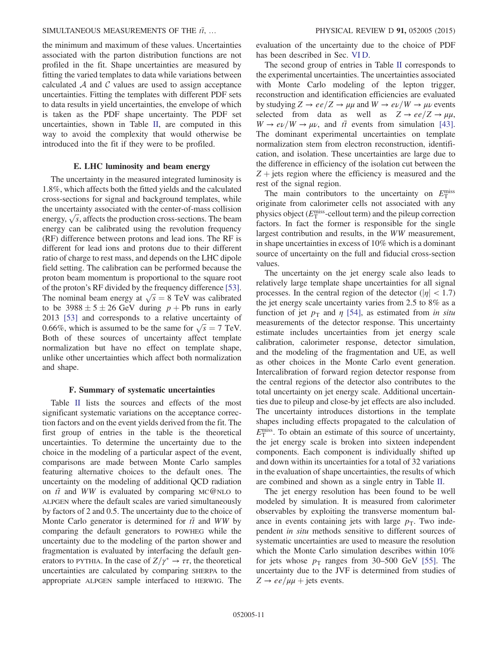# SIMULTANEOUS MEASUREMENTS OF THE  $t\bar{t}$ , … PHYSICAL REVIEW D 91, 052005 (2015)

the minimum and maximum of these values. Uncertainties associated with the parton distribution functions are not profiled in the fit. Shape uncertainties are measured by fitting the varied templates to data while variations between calculated  $A$  and  $C$  values are used to assign acceptance uncertainties. Fitting the templates with different PDF sets to data results in yield uncertainties, the envelope of which is taken as the PDF shape uncertainty. The PDF set uncertainties, shown in Table [II,](#page-9-0) are computed in this way to avoid the complexity that would otherwise be introduced into the fit if they were to be profiled.

### E. LHC luminosity and beam energy

The uncertainty in the measured integrated luminosity is 1.8%, which affects both the fitted yields and the calculated cross-sections for signal and background templates, while the uncertainty associated with the center-of-mass collision  $\frac{1}{\sqrt{s}}$ , affects the production cross-sections. The beam<br>energy,  $\sqrt{s}$ , affects the production cross-sections. The beam energy can be calibrated using the revolution frequency (RF) difference between protons and lead ions. The RF is different for lead ions and protons due to their different ratio of charge to rest mass, and depends on the LHC dipole field setting. The calibration can be performed because the proton beam momentum is proportional to the square root of the proton's RF divided by the frequency difference [\[53\]](#page-20-26). The nominal beam energy at  $\sqrt{s} = 8$  TeV was calibrated<br>to be 3988 + 5 + 26 GeV during  $p +$  Pb runs in early to be  $3988 \pm 5 \pm 26$  GeV during  $p + Pb$  runs in early 2013 [\[53\]](#page-20-26) and corresponds to a relative uncertainty of 0.66%, which is assumed to be the same for  $\sqrt{s} = 7$  TeV.<br>Both of these sources of uncertainty affect template Both of these sources of uncertainty affect template normalization but have no effect on template shape, unlike other uncertainties which affect both normalization and shape.

### F. Summary of systematic uncertainties

Table [II](#page-9-0) lists the sources and effects of the most significant systematic variations on the acceptance correction factors and on the event yields derived from the fit. The first group of entries in the table is the theoretical uncertainties. To determine the uncertainty due to the choice in the modeling of a particular aspect of the event, comparisons are made between Monte Carlo samples featuring alternative choices to the default ones. The uncertainty on the modeling of additional QCD radiation on  $t\bar{t}$  and WW is evaluated by comparing MC@NLO to ALPGEN where the default scales are varied simultaneously by factors of 2 and 0.5. The uncertainty due to the choice of Monte Carlo generator is determined for  $t\bar{t}$  and WW by comparing the default generators to POWHEG while the uncertainty due to the modeling of the parton shower and fragmentation is evaluated by interfacing the default generators to PYTHIA. In the case of  $Z/\gamma^* \to \tau \tau$ , the theoretical<br>uncertainties are calculated by comparing SHEPPA to the uncertainties are calculated by comparing SHERPA to the appropriate ALPGEN sample interfaced to HERWIG. The evaluation of the uncertainty due to the choice of PDF has been described in Sec. [VI D.](#page-9-1)

The second group of entries in Table [II](#page-9-0) corresponds to the experimental uncertainties. The uncertainties associated with Monte Carlo modeling of the lepton trigger, reconstruction and identification efficiencies are evaluated by studying  $Z \to ee/Z \to \mu\mu$  and  $W \to e\nu/W \to \mu\nu$  events selected from data as well as  $Z \rightarrow ee/Z \rightarrow \mu\mu$ ,  $W \to e\nu/W \to \mu\nu$ , and  $t\bar{t}$  events from simulation [\[43\]](#page-20-18). The dominant experimental uncertainties on template normalization stem from electron reconstruction, identification, and isolation. These uncertainties are large due to the difference in efficiency of the isolation cut between the  $Z$  + jets region where the efficiency is measured and the rest of the signal region.

The main contributors to the uncertainty on  $E_T^{\text{miss}}$ <br>ginate from calorimeter cells not associated with any originate from calorimeter cells not associated with any physics object  $(E_T^{\text{miss}}\text{-}cellout term)$  and the pileup correction<br>factors. In fact the former is responsible for the single factors. In fact the former is responsible for the single largest contribution and results, in the WW measurement, in shape uncertainties in excess of 10% which is a dominant source of uncertainty on the full and fiducial cross-section values.

The uncertainty on the jet energy scale also leads to relatively large template shape uncertainties for all signal processes. In the central region of the detector ( $|\eta|$  < 1.7) the jet energy scale uncertainty varies from 2.5 to 8% as a function of jet  $p_T$  and  $\eta$  [\[54\],](#page-20-27) as estimated from in situ measurements of the detector response. This uncertainty estimate includes uncertainties from jet energy scale calibration, calorimeter response, detector simulation, and the modeling of the fragmentation and UE, as well as other choices in the Monte Carlo event generation. Intercalibration of forward region detector response from the central regions of the detector also contributes to the total uncertainty on jet energy scale. Additional uncertainties due to pileup and close-by jet effects are also included. The uncertainty introduces distortions in the template shapes including effects propagated to the calculation of  $E_{\rm T}^{\rm miss}$ . To obtain an estimate of this source of uncertainty, the jet energy scale is broken into sixteen independent the jet energy scale is broken into sixteen independent components. Each component is individually shifted up and down within its uncertainties for a total of 32 variations in the evaluation of shape uncertainties, the results of which are combined and shown as a single entry in Table [II](#page-9-0).

The jet energy resolution has been found to be well modeled by simulation. It is measured from calorimeter observables by exploiting the transverse momentum balance in events containing jets with large  $p_T$ . Two independent in situ methods sensitive to different sources of systematic uncertainties are used to measure the resolution which the Monte Carlo simulation describes within 10% for jets whose  $p_T$  ranges from 30–500 GeV [\[55\]](#page-20-28). The uncertainty due to the JVF is determined from studies of  $Z \rightarrow ee/\mu\mu$  + jets events.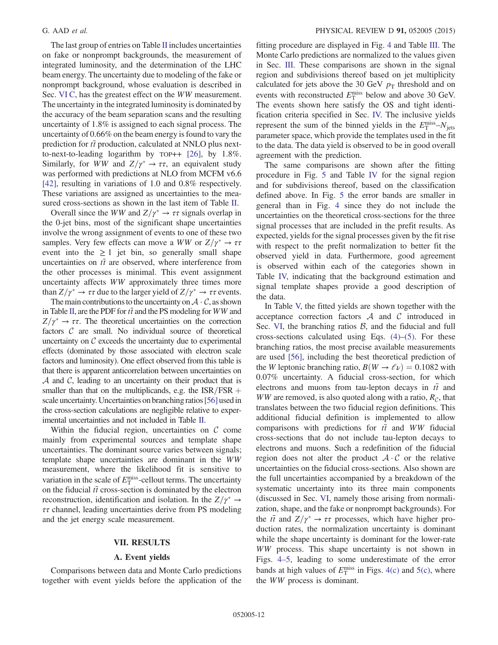The last group of entries on Table [II](#page-9-0) includes uncertainties on fake or nonprompt backgrounds, the measurement of integrated luminosity, and the determination of the LHC beam energy. The uncertainty due to modeling of the fake or nonprompt background, whose evaluation is described in Sec. [VI C](#page-9-2), has the greatest effect on the WW measurement. The uncertainty in the integrated luminosity is dominated by the accuracy of the beam separation scans and the resulting uncertainty of 1.8% is assigned to each signal process. The uncertainty of 0.66% on the beam energy is found to vary the prediction for  $t\bar{t}$  production, calculated at NNLO plus nextto-next-to-leading logarithm by TOP++ [\[26\]](#page-20-29), by 1.8%. Similarly, for WW and  $Z/\gamma^* \to \tau \tau$ , an equivalent study was performed with predictions at NI O from MCFM v6.6 was performed with predictions at NLO from MCFM v6.6 [\[42\]](#page-20-17), resulting in variations of 1.0 and 0.8% respectively. These variations are assigned as uncertainties to the measured cross-sections as shown in the last item of Table [II](#page-9-0).

Overall since the WW and  $Z/\gamma^* \to \tau \tau$  signals overlap in<br>  $\Theta$ -let bins most of the significant shape uncertainties the 0-jet bins, most of the significant shape uncertainties involve the wrong assignment of events to one of these two samples. Very few effects can move a WW or  $Z/\gamma^* \to \tau \tau$ <br>event into the  $> 1$  jet bin, so generally small shape event into the  $\geq 1$  jet bin, so generally small shape uncertainties on  $t\bar{t}$  are observed, where interference from the other processes is minimal. This event assignment uncertainty affects WW approximately three times more than  $Z/\gamma^* \to \tau \tau$  due to the larger yield of  $Z/\gamma^* \to \tau \tau$  events.<br>The main contributions to the uncertainty on  $\Lambda \cdot C$  as shown

The main contributions to the uncertainty on  $\mathcal{A} \cdot \mathcal{C}$ , as shown in Table [II,](#page-9-0) are the PDF for  $t\bar{t}$  and the PS modeling for WW and  $Z/\gamma^* \to \tau \tau$ . The theoretical uncertainties on the correction factors  $C$  are small. No individual source of theoretical factors  $C$  are small. No individual source of theoretical uncertainty on  $\mathcal C$  exceeds the uncertainty due to experimental effects (dominated by those associated with electron scale factors and luminosity). One effect observed from this table is that there is apparent anticorrelation between uncertainties on  $A$  and  $C$ , leading to an uncertainty on their product that is smaller than that on the multiplicands, e.g. the  $ISR/FSR +$ scale uncertainty. Uncertainties on branching ratios [\[56\]](#page-20-30) used in the cross-section calculations are negligible relative to experimental uncertainties and not included in Table [II.](#page-9-0)

Within the fiducial region, uncertainties on  $C$  come mainly from experimental sources and template shape uncertainties. The dominant source varies between signals; template shape uncertainties are dominant in the WW measurement, where the likelihood fit is sensitive to variation in the scale of  $E_T^{\text{miss}}$ -cellout terms. The uncertainty<br>on the fiducial  $t\bar{t}$  cross-section is dominated by the electron on the fiducial  $t\bar{t}$  cross-section is dominated by the electron reconstruction, identification and isolation. In the  $Z/\gamma^* \rightarrow \tau\tau$  channel leading uncertainties derive from PS modeling  $\tau\tau$  channel, leading uncertainties derive from PS modeling and the jet energy scale measurement.

## VII. RESULTS

# A. Event yields

<span id="page-11-0"></span>Comparisons between data and Monte Carlo predictions together with event yields before the application of the fitting procedure are displayed in Fig. [4](#page-12-0) and Table [III](#page-14-0). The Monte Carlo predictions are normalized to the values given in Sec. [III.](#page-1-1) These comparisons are shown in the signal region and subdivisions thereof based on jet multiplicity calculated for jets above the 30 GeV  $p_T$  threshold and on events with reconstructed  $E_T^{\text{miss}}$  below and above 30 GeV.<br>The events shown here satisfy the OS and tight identi-The events shown here satisfy the OS and tight identification criteria specified in Sec. [IV.](#page-2-0) The inclusive yields represent the sum of the binned yields in the  $E_T^{\text{miss}}-N_{\text{jets}}$ <br>parameter space, which provide the templates used in the fit parameter space, which provide the templates used in the fit to the data. The data yield is observed to be in good overall agreement with the prediction.

The same comparisons are shown after the fitting procedure in Fig. [5](#page-13-0) and Table [IV](#page-14-1) for the signal region and for subdivisions thereof, based on the classification defined above. In Fig. [5](#page-13-0) the error bands are smaller in general than in Fig. [4](#page-12-0) since they do not include the uncertainties on the theoretical cross-sections for the three signal processes that are included in the prefit results. As expected, yields for the signal processes given by the fit rise with respect to the prefit normalization to better fit the observed yield in data. Furthermore, good agreement is observed within each of the categories shown in Table [IV,](#page-14-1) indicating that the background estimation and signal template shapes provide a good description of the data.

In Table [V,](#page-15-0) the fitted yields are shown together with the acceptance correction factors  $A$  and  $C$  introduced in Sec. [VI](#page-7-0), the branching ratios  $B$ , and the fiducial and full cross-sections calculated using Eqs.  $(4)$ – $(5)$ . For these branching ratios, the most precise available measurements are used [\[56\],](#page-20-30) including the best theoretical prediction of the W leptonic branching ratio,  $B(W \to \ell \nu) = 0.1082$  with 0.07% uncertainty. A fiducial cross-section, for which electrons and muons from tau-lepton decays in  $t\bar{t}$  and WW are removed, is also quoted along with a ratio,  $R_c$ , that translates between the two fiducial region definitions. This additional fiducial definition is implemented to allow comparisons with predictions for  $t\bar{t}$  and WW fiducial cross-sections that do not include tau-lepton decays to electrons and muons. Such a redefinition of the fiducial region does not alter the product  $A \cdot C$  or the relative uncertainties on the fiducial cross-sections. Also shown are the full uncertainties accompanied by a breakdown of the systematic uncertainty into its three main components (discussed in Sec. [VI,](#page-7-0) namely those arising from normalization, shape, and the fake or nonprompt backgrounds). For the  $t\bar{t}$  and  $Z/\gamma^* \rightarrow \tau\tau$  processes, which have higher pro-<br>duction rates, the normalization uncertainty is dominant duction rates, the normalization uncertainty is dominant while the shape uncertainty is dominant for the lower-rate WW process. This shape uncertainty is not shown in Figs. [4](#page-12-0)–5, leading to some underestimate of the error bands at high values of  $E_T^{\text{miss}}$  in Figs. [4\(c\)](#page-12-0) and [5\(c\),](#page-13-0) where the *WW* process is dominant the WW process is dominant.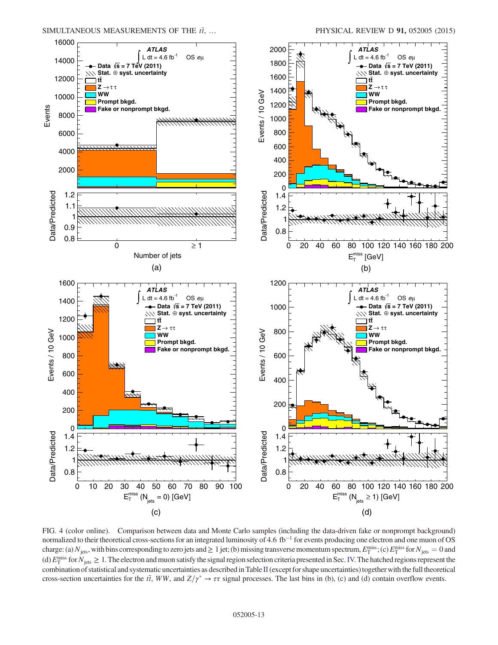<span id="page-12-0"></span>

FIG. 4 (color online). Comparison between data and Monte Carlo samples (including the data-driven fake or nonprompt background) normalized to their theoretical cross-sections for an integrated luminosity of 4.6 fb<sup>-1</sup> for events producing one electron and one muon of OS charge: (a)  $N_{\text{jets}}$ , with bins corresponding to zero jets and  $\geq 1$  jet; (b) missing transverse momentum spectrum,  $E_{\text{T}}^{\text{miss}}$ ; (c)  $E_{\text{T}}^{\text{miss}}$  for  $N_{\text{jets}} = 0$  and  $\langle A \rangle$   $E_{\text{miss}}^{\text{miss}}$  for  $N_{\text{obs}} > 1$ . The (d)  $E_{\rm T}^{\rm miss}$  for  $N_{\rm jets} \geq 1$ . The electron and muon satisfy the signal region selection criteria presented in Sec. [IV.](#page-2-0) The hatched regions represent the combination of statistical and systematic uncertainties as de combination of statistical and systematic uncertainties as described in Table [II](#page-9-0) (except for shape uncertainties) together with the full theoretical cross-section uncertainties for the  $t\bar{t}$ , WW, and  $Z/\gamma^* \to \tau\tau$  signal processes. The last bins in (b), (c) and (d) contain overflow events.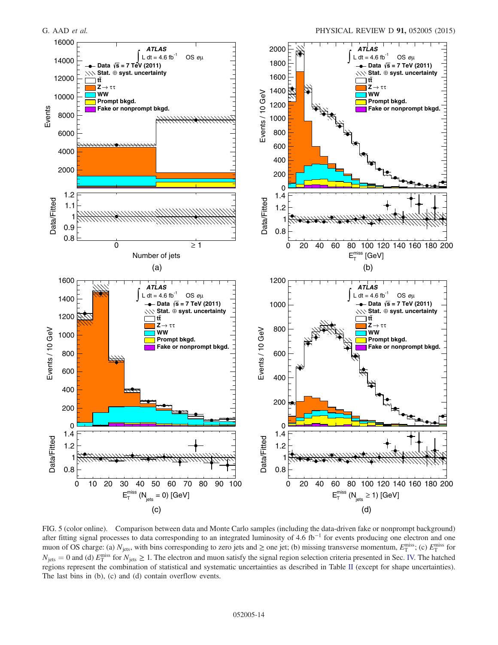<span id="page-13-0"></span>

FIG. 5 (color online). Comparison between data and Monte Carlo samples (including the data-driven fake or nonprompt background) after fitting signal processes to data corresponding to an integrated luminosity of 4.6 fb−<sup>1</sup> for events producing one electron and one muon of OS charge: (a)  $N_{\text{jets}}$ , with bins corresponding to zero jets and  $\geq$  one jet; (b) missing transverse momentum,  $E_{\text{T}}^{\text{miss}}$ ; (c)  $E_{\text{T}}^{\text{miss}}$  for  $N_{\text{max}} > 1$ . The electron and muon estisfy the signal rati  $N_{\text{jets}} = 0$  and (d)  $E_{\text{T}}^{\text{miss}}$  for  $N_{\text{jets}} \ge 1$ . The electron and muon satisfy the signal region selection criteria presented in Sec. [IV.](#page-2-0) The hatched regions represent the combination of statistical and systematic uncertainties as described in Table [II](#page-9-0) (except for shape uncertainties). The last bins in (b), (c) and (d) contain overflow events.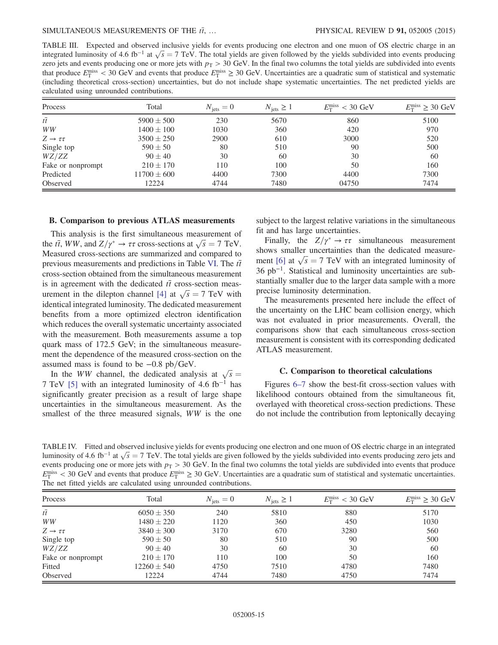<span id="page-14-0"></span>TABLE III. Expected and observed inclusive yields for events producing one electron and one muon of OS electric charge in an integrated luminosity of 4.6 fb<sup>-1</sup> at  $\sqrt{s} = 7$  TeV. The total yields are given followed by the yields subdivided into events producing zero jets and events producing one or more jets with  $n_s > 30$  GeV. In the final two zero jets and events producing one or more jets with  $p<sub>T</sub> > 30$  GeV. In the final two columns the total yields are subdivided into events that produce  $E_T^{\text{miss}} < 30 \text{ GeV}$  and events that produce  $E_T^{\text{miss}} \ge 30 \text{ GeV}$ . Uncertainties are a quadratic sum of statistical and systematic (including theoretical cross-section) uncertainties but do not include shape (including theoretical cross-section) uncertainties, but do not include shape systematic uncertainties. The net predicted yields are calculated using unrounded contributions.

| Process                   | Total           | $N_{\text{jets}} = 0$ | $N_{\text{jets}} \geq 1$ | $E_{\rm T}^{\rm miss}$ < 30 GeV | $E_{\rm T}^{\rm miss} \geq 30~{\rm GeV}$ |
|---------------------------|-----------------|-----------------------|--------------------------|---------------------------------|------------------------------------------|
| $t\overline{t}$           | $5900 \pm 500$  | 230                   | 5670                     | 860                             | 5100                                     |
| WW                        | $1400 \pm 100$  | 1030                  | 360                      | 420                             | 970                                      |
| $Z \rightarrow \tau \tau$ | $3500 \pm 250$  | 2900                  | 610                      | 3000                            | 520                                      |
| Single top                | $590 \pm 50$    | 80                    | 510                      | 90                              | 500                                      |
| WZ/ZZ                     | $90 + 40$       | 30                    | 60                       | 30                              | 60                                       |
| Fake or nonprompt         | $210 \pm 170$   | 110                   | 100                      | 50                              | 160                                      |
| Predicted                 | $11700 \pm 600$ | 4400                  | 7300                     | 4400                            | 7300                                     |
| Observed                  | 12224           | 4744                  | 7480                     | 04750                           | 7474                                     |

### B. Comparison to previous ATLAS measurements

This analysis is the first simultaneous measurement of the ti, WW, and  $Z/\gamma^* \to \tau \tau$  cross-sections at  $\sqrt{s} = 7$  TeV.<br>Measured cross-sections are summarized and compared to Measured cross-sections are summarized and compared to previous measurements and predictions in Table [VI](#page-16-0). The  $t\bar{t}$ cross-section obtained from the simultaneous measurement is in agreement with the dedicated  $t\bar{t}$  cross-section meas-urement in the dilepton channel [\[4\]](#page-19-3) at  $\sqrt{s} = 7$  TeV with<br>identical integrated luminosity. The dedicated measurement identical integrated luminosity. The dedicated measurement benefits from a more optimized electron identification which reduces the overall systematic uncertainty associated with the measurement. Both measurements assume a top quark mass of 172.5 GeV; in the simultaneous measurement the dependence of the measured cross-section on the assumed mass is found to be  $-0.8$  pb/GeV.

In the WW channel, the dedicated analysis at  $\sqrt{s}$  =<br>TeV [5] with an integrated luminosity of 4.6 fb<sup>-1</sup> has 7 TeV [\[5\]](#page-19-4) with an integrated luminosity of 4.6 fb<sup>-1</sup> has significantly greater precision as a result of large shape uncertainties in the simultaneous measurement. As the smallest of the three measured signals, WW is the one subject to the largest relative variations in the simultaneous fit and has large uncertainties.

Finally, the  $Z/\gamma^* \to \tau \tau$  simultaneous measurement<br>ows smaller uncertainties than the dedicated measureshows smaller uncertainties than the dedicated measure-ment [\[6\]](#page-19-5) at  $\sqrt{s} = 7$  TeV with an integrated luminosity of 36 pb<sup>-1</sup>. Statistical and luminosity uncertainties are sub-36 pb<sup>−</sup><sup>1</sup>. Statistical and luminosity uncertainties are substantially smaller due to the larger data sample with a more precise luminosity determination.

The measurements presented here include the effect of the uncertainty on the LHC beam collision energy, which was not evaluated in prior measurements. Overall, the comparisons show that each simultaneous cross-section measurement is consistent with its corresponding dedicated ATLAS measurement.

### C. Comparison to theoretical calculations

Figures 6[–](#page-17-0)7 show the best-fit cross-section values with likelihood contours obtained from the simultaneous fit, overlayed with theoretical cross-section predictions. These do not include the contribution from leptonically decaying

<span id="page-14-1"></span>TABLE IV. Fitted and observed inclusive yields for events producing one electron and one muon of OS electric charge in an integrated luminosity of 4.6 fb<sup>-1</sup> at  $\sqrt{s} = 7$  TeV. The total yields are given followed by the yields subdivided into events producing zero jets and events producing  $\cos$  is and events producing one or more jets with  $n_{\rm m} > 30$  events producing one or more jets with  $p<sub>T</sub> > 30$  GeV. In the final two columns the total yields are subdivided into events that produce  $E_T^{\text{miss}} < 30 \text{ GeV}$  and events that produce  $E_T^{\text{miss}} \ge 30 \text{ GeV}$ . Uncertainties are a quadratic sum of statistical and systematic uncertainties.<br>The net fitted vields are calculated using unrounded contributions The net fitted yields are calculated using unrounded contributions.

| Process                   | Total           | $N_{\text{jets}} = 0$ | $N_{\text{jets}} \geq 1$ | $E_{\rm T}^{\rm miss}$ < 30 GeV | $E_{\rm T}^{\rm miss} \geq 30$ GeV |
|---------------------------|-----------------|-----------------------|--------------------------|---------------------------------|------------------------------------|
| $t\overline{t}$           | $6050 \pm 350$  | 240                   | 5810                     | 880                             | 5170                               |
| WW                        | $1480 \pm 220$  | 1120                  | 360                      | 450                             | 1030                               |
| $Z \rightarrow \tau \tau$ | $3840 \pm 300$  | 3170                  | 670                      | 3280                            | 560                                |
| Single top                | $590 \pm 50$    | 80                    | 510                      | 90                              | 500                                |
| WZ/ZZ                     | $90 \pm 40$     | 30                    | 60                       | 30                              | 60                                 |
| Fake or nonprompt         | $210 \pm 170$   | 110                   | 100                      | 50                              | 160                                |
| Fitted                    | $12260 \pm 540$ | 4750                  | 7510                     | 4780                            | 7480                               |
| Observed                  | 12224           | 4744                  | 7480                     | 4750                            | 7474                               |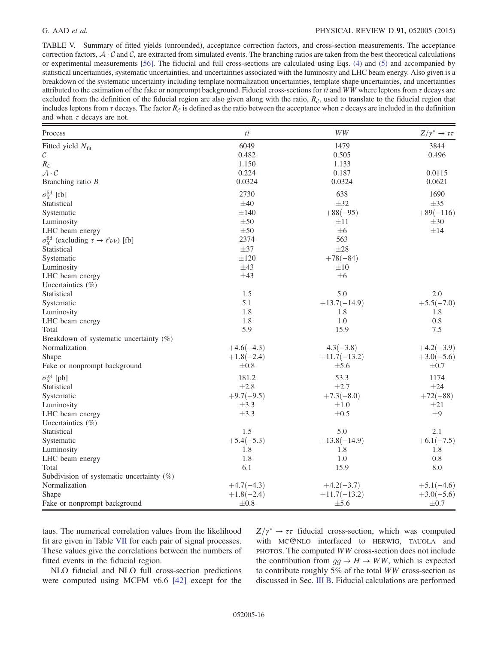# G. AAD *et al.* PHYSICAL REVIEW D **91**, 052005 (2015)

<span id="page-15-0"></span>TABLE V. Summary of fitted yields (unrounded), acceptance correction factors, and cross-section measurements. The acceptance correction factors,  $A \cdot C$  and  $C$ , are extracted from simulated events. The branching ratios are taken from the best theoretical calculations or experimental measurements [\[56\].](#page-20-30) The fiducial and full cross-sections are calculated using Eqs. [\(4\)](#page-8-0) and [\(5\)](#page-8-1) and accompanied by statistical uncertainties, systematic uncertainties, and uncertainties associated with the luminosity and LHC beam energy. Also given is a breakdown of the systematic uncertainty including template normalization uncertainties, template shape uncertainties, and uncertainties attributed to the estimation of the fake or nonprompt background. Fiducial cross-sections for  $t\bar{t}$  and WW where leptons from  $\tau$  decays are excluded from the definition of the fiducial region are also given along with the ratio,  $R_c$ , used to translate to the fiducial region that includes leptons from  $\tau$  decays. The factor  $R_c$  is defined as the ratio between the acceptance when  $\tau$  decays are included in the definition and when  $\tau$  decays are not.

| Process                                                           | $t\overline{t}$ | $WW$           | $Z/\gamma^* \to \tau \tau$ |
|-------------------------------------------------------------------|-----------------|----------------|----------------------------|
| Fitted yield $N_{\text{fit}}$                                     | 6049            | 1479           | 3844                       |
| $\mathcal C$                                                      | 0.482           | 0.505          | 0.496                      |
| $R_{\mathcal{C}}$                                                 | 1.150           | 1.133          |                            |
| $\mathcal{A}\cdot\mathcal{C}$                                     | 0.224           | 0.187          | 0.0115                     |
| Branching ratio $B$                                               | 0.0324          | 0.0324         | 0.0621                     |
| $\sigma_X^{\text{fid}}$ [fb]                                      | 2730            | 638            | 1690                       |
| Statistical                                                       | $\pm 40$        | $\pm$ 32       | $\pm 35$                   |
| Systematic                                                        | $\pm 140$       | $+88(-95)$     | $+89(-116)$                |
| Luminosity                                                        | $\pm 50$        | $\pm 11$       | $\pm 30$                   |
| LHC beam energy                                                   | $\pm 50$        | $\pm 6$        | $\pm 14$                   |
| $\sigma_X^{\text{fid}}$ (excluding $\tau \to \ell \nu \nu$ ) [fb] | 2374            | 563            |                            |
| Statistical                                                       | $\pm$ 37        | $\pm 28$       |                            |
| Systematic                                                        | $\pm 120$       | $+78(-84)$     |                            |
| Luminosity                                                        | $\pm 43$        | $\pm 10$       |                            |
| LHC beam energy                                                   | $\pm 43$        | $\pm 6$        |                            |
| Uncertainties $(\%)$                                              |                 |                |                            |
| Statistical                                                       | 1.5             | 5.0            | 2.0                        |
| Systematic                                                        | 5.1             | $+13.7(-14.9)$ | $+5.5(-7.0)$               |
| Luminosity                                                        | 1.8             | 1.8            | 1.8                        |
| LHC beam energy                                                   | 1.8             | 1.0            | 0.8                        |
| Total                                                             | 5.9             | 15.9           | 7.5                        |
| Breakdown of systematic uncertainty (%)                           |                 |                |                            |
| Normalization                                                     | $+4.6(-4.3)$    | $4.3(-3.8)$    | $+4.2(-3.9)$               |
| Shape                                                             | $+1.8(-2.4)$    | $+11.7(-13.2)$ | $+3.0(-5.6)$               |
| Fake or nonprompt background                                      | $\pm 0.8$       | $\pm$ 5.6      | $\pm 0.7$                  |
| $\sigma_X^{\text{tot}}$ [pb]                                      | 181.2           | 53.3           | 1174                       |
| Statistical                                                       | $\pm 2.8$       | $\pm 2.7$      | $\pm 24$                   |
| Systematic                                                        | $+9.7(-9.5)$    | $+7.3(-8.0)$   | $+72(-88)$                 |
| Luminosity                                                        | $\pm 3.3$       | $\pm 1.0$      | $\pm 21$                   |
| LHC beam energy                                                   | $\pm 3.3$       | $\pm 0.5$      | ±9                         |
| Uncertainties $(\%)$                                              |                 |                |                            |
| Statistical                                                       | 1.5             | 5.0            | 2.1                        |
| Systematic                                                        | $+5.4(-5.3)$    | $+13.8(-14.9)$ | $+6.1(-7.5)$               |
| Luminosity                                                        | 1.8             | 1.8            | 1.8                        |
| LHC beam energy                                                   | 1.8             | 1.0            | 0.8                        |
| Total                                                             | 6.1             | 15.9           | 8.0                        |
| Subdivision of systematic uncertainty (%)                         |                 |                |                            |
| Normalization                                                     | $+4.7(-4.3)$    | $+4.2(-3.7)$   | $+5.1(-4.6)$               |
| Shape                                                             | $+1.8(-2.4)$    | $+11.7(-13.2)$ | $+3.0(-5.6)$               |
| Fake or nonprompt background                                      | $\pm 0.8$       | $\pm$ 5.6      | $\pm 0.7$                  |

taus. The numerical correlation values from the likelihood fit are given in Table [VII](#page-19-16) for each pair of signal processes. These values give the correlations between the numbers of fitted events in the fiducial region.

NLO fiducial and NLO full cross-section predictions were computed using MCFM v6.6 [\[42\]](#page-20-17) except for the

 $Z/\gamma^* \to \tau \tau$  fiducial cross-section, which was computed<br>with MC@NLO interfaced to HERWIG TAUOLA and with MC@NLO interfaced to HERWIG, TAUOLA and PHOTOS. The computed WW cross-section does not include the contribution from  $gg \to H \to WW$ , which is expected to contribute roughly 5% of the total WW cross-section as discussed in Sec. [III B.](#page-2-1) Fiducial calculations are performed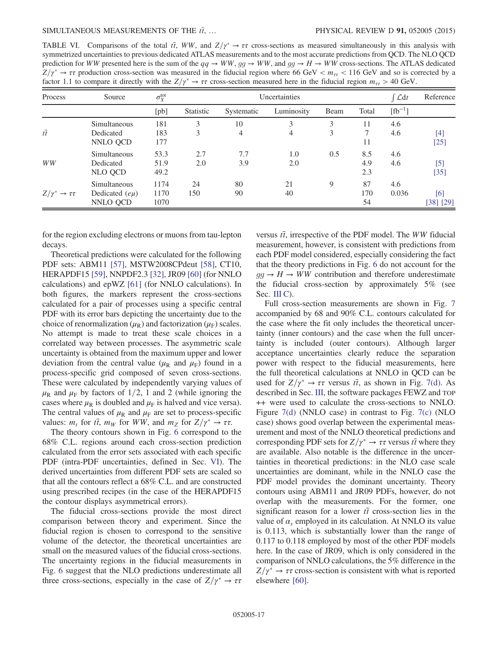<span id="page-16-0"></span>TABLE VI. Comparisons of the total  $t\bar{t}$ ,  $WW$ , and  $Z/\gamma^* \to \tau\tau$  cross-sections as measured simultaneously in this analysis with symmetrized uncertainties to previous dedicated ATLAS measurements and to the most accura symmetrized uncertainties to previous dedicated ATLAS measurements and to the most accurate predictions from QCD. The NLO QCD prediction for WW presented here is the sum of the  $qq \to WW$ ,  $gg \to WW$ , and  $gg \to H \to WW$  cross-sections. The ATLAS dedicated  $Z/\gamma^* \to \tau \tau$  production cross-section was measured in the fiducial region where 66 GeV <  $m_{\tau \tau}$  < 116 GeV and so is corrected by a factor 1.1 to compare it directly with the  $Z/\gamma^* \to \tau \tau$  cross-section measured here i factor 1.1 to compare it directly with the  $Z/\gamma^* \to \tau \tau$  cross-section measured here in the fiducial region  $m_{\tau\tau} > 40$  GeV.

| Process                    | Source                                         | $\sigma^{\rm tot}_X$ | Uncertainties |            |                     |        | $\int \mathcal{L} dt$ | Reference    |                  |
|----------------------------|------------------------------------------------|----------------------|---------------|------------|---------------------|--------|-----------------------|--------------|------------------|
|                            |                                                | [pb]                 | Statistic     | Systematic | Luminosity          | Beam   | Total                 | $[fb^{-1}]$  |                  |
| $t\overline{t}$            | Simultaneous<br>Dedicated<br>NNLO QCD          | 181<br>183<br>177    | 3<br>3        | 10<br>4    | 3<br>$\overline{4}$ | 3<br>3 | 11<br>7<br>11         | 4.6<br>4.6   | $[4]$<br>$[25]$  |
| WW                         | Simultaneous<br>Dedicated<br>NLO QCD           | 53.3<br>51.9<br>49.2 | 2.7<br>2.0    | 7.7<br>3.9 | 1.0<br>2.0          | 0.5    | 8.5<br>4.9<br>2.3     | 4.6<br>4.6   | $[5]$<br>$[35]$  |
| $Z/\gamma^* \to \tau \tau$ | Simultaneous<br>Dedicated $(e\mu)$<br>NNLO QCD | 1174<br>1170<br>1070 | 24<br>150     | 80<br>90   | 21<br>40            | 9      | 87<br>170<br>54       | 4.6<br>0.036 | [6]<br>[38] [29] |

for the region excluding electrons or muons from tau-lepton decays.

Theoretical predictions were calculated for the following PDF sets: ABM11 [\[57\]](#page-20-31), MSTW2008CPdeut [\[58\],](#page-20-32) CT10, HERAPDF15 [\[59\],](#page-20-33) NNPDF2.3 [\[32\],](#page-20-9) JR09 [\[60\]](#page-20-34) (for NNLO calculations) and epWZ [\[61\]](#page-20-35) (for NNLO calculations). In both figures, the markers represent the cross-sections calculated for a pair of processes using a specific central PDF with its error bars depicting the uncertainty due to the choice of renormalization ( $\mu_R$ ) and factorization ( $\mu_F$ ) scales. No attempt is made to treat these scale choices in a correlated way between processes. The asymmetric scale uncertainty is obtained from the maximum upper and lower deviation from the central value ( $\mu_R$  and  $\mu_F$ ) found in a process-specific grid composed of seven cross-sections. These were calculated by independently varying values of  $\mu_R$  and  $\mu_F$  by factors of 1/2, 1 and 2 (while ignoring the cases where  $\mu_R$  is doubled and  $\mu_F$  is halved and vice versa). The central values of  $\mu_R$  and  $\mu_F$  are set to process-specific values:  $m_t$  for  $t\bar{t}$ ,  $m_W$  for WW, and  $m_Z$  for  $Z/\gamma^* \to \tau \tau$ .<br>The theory contours shown in Fig. 6 correspond to the

The theory contours shown in Fig. [6](#page-17-0) correspond to the 68% C.L. regions around each cross-section prediction calculated from the error sets associated with each specific PDF (intra-PDF uncertainties, defined in Sec. [VI\)](#page-7-0). The derived uncertainties from different PDF sets are scaled so that all the contours reflect a 68% C.L. and are constructed using prescribed recipes (in the case of the HERAPDF15 the contour displays asymmetrical errors).

The fiducial cross-sections provide the most direct comparison between theory and experiment. Since the fiducial region is chosen to correspond to the sensitive volume of the detector, the theoretical uncertainties are small on the measured values of the fiducial cross-sections. The uncertainty regions in the fiducial measurements in Fig. [6](#page-17-0) suggest that the NLO predictions underestimate all three cross-sections, especially in the case of  $Z/\gamma^* \to \tau \tau$ 

versus  $t\bar{t}$ , irrespective of the PDF model. The WW fiducial measurement, however, is consistent with predictions from each PDF model considered, especially considering the fact that the theory predictions in Fig. [6](#page-17-0) do not account for the  $gg \rightarrow H \rightarrow WW$  contribution and therefore underestimate the fiducial cross-section by approximately 5% (see Sec. [III C](#page-2-2)).

Full cross-section measurements are shown in Fig. [7](#page-18-0) accompanied by 68 and 90% C.L. contours calculated for the case where the fit only includes the theoretical uncertainty (inner contours) and the case when the full uncertainty is included (outer contours). Although larger acceptance uncertainties clearly reduce the separation power with respect to the fiducial measurements, here the full theoretical calculations at NNLO in QCD can be used for  $Z/\gamma^* \to \tau \tau$  versus  $t\bar{t}$ , as shown in Fig. [7\(d\).](#page-18-0) As described in Sec. III the software packages FEWZ and TOP described in Sec. [III,](#page-1-1) the software packages FEWZ and TOP ++ were used to calculate the cross-sections to NNLO. Figure [7\(d\)](#page-18-0) (NNLO case) in contrast to Fig. [7\(c\)](#page-18-0) (NLO case) shows good overlap between the experimental measurement and most of the NNLO theoretical predictions and corresponding PDF sets for  $Z/\gamma^* \to \tau \tau$  versus  $t\bar{t}$  where they are available. Also notable is the difference in the uncerare available. Also notable is the difference in the uncertainties in theoretical predictions: in the NLO case scale uncertainties are dominant, while in the NNLO case the PDF model provides the dominant uncertainty. Theory contours using ABM11 and JR09 PDFs, however, do not overlap with the measurements. For the former, one significant reason for a lower  $t\bar{t}$  cross-section lies in the value of  $\alpha_s$  employed in its calculation. At NNLO its value is 0.113, which is substantially lower than the range of 0.117 to 0.118 employed by most of the other PDF models here. In the case of JR09, which is only considered in the comparison of NNLO calculations, the 5% difference in the  $Z/\gamma^* \to \tau \tau$  cross-section is consistent with what is reported<br>elsewhere [60] elsewhere [\[60\]](#page-20-34).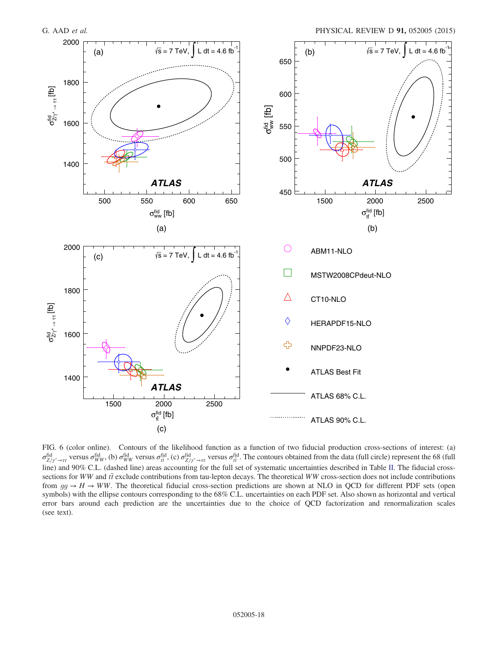<span id="page-17-0"></span>

FIG. 6 (color online). Contours of the likelihood function as a function of two fiducial production cross-sections of interest: (a)  $\sigma_{\rm Hd}^{\rm fid}$ , versus  $\sigma_{\rm WW}^{\rm fid}$ , (b)  $\sigma_{\rm Hd}^{\rm fid}$ , (c)  $\sigma_{\rm Hd}^{\rm fid}$ , resus  $\sigma_{\rm Hd}^{\rm fid}$ . The contours obtained from the data (full circle) represent the 68 (full line) and 00%. G U (depend line) erece acc line) and 90% C.L. (dashed line) areas accounting for the full set of systematic uncertainties described in Table [II.](#page-9-0) The fiducial crosssections for WW and  $t\bar{t}$  exclude contributions from tau-lepton decays. The theoretical WW cross-section does not include contributions from  $gg \to H \to WW$ . The theoretical fiducial cross-section predictions are shown at NLO in QCD for different PDF sets (open symbols) with the ellipse contours corresponding to the 68% C.L. uncertainties on each PDF set. Also shown as horizontal and vertical error bars around each prediction are the uncertainties due to the choice of QCD factorization and renormalization scales (see text).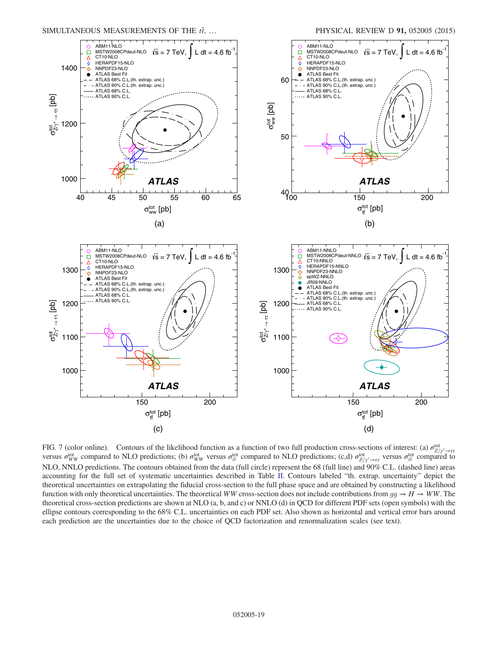<span id="page-18-0"></span>

FIG. 7 (color online). Contours of the likelihood function as a function of two full production cross-sections of interest: (a)  $\sigma_{Z/\gamma^* \to \tau\tau}^{\text{tot}}$ versus  $\sigma_{WW}^{tot}$  compared to NLO predictions; (b)  $\sigma_{WW}^{tot}$  versus  $\sigma_{tt}^{tot}$  compared to NLO predictions; (c,d)  $\sigma_{Z/\gamma^* \to \tau\tau}^{tot}$  versus  $\sigma_{tt}^{tot}$  compared to NLO predictions; (c,d)  $\sigma_{Z/\gamma^* \to \tau\tau}^{tot}$  versus  $\sigma_{$ NLO, NNLO predictions. The contours obtained from the data (full circle) represent the 68 (full line) and 90% C.L. (dashed line) areas accounting for the full set of systematic uncertainties described in Table [II.](#page-9-0) Contours labeled "th. extrap. uncertainty" depict the theoretical uncertainties on extrapolating the fiducial cross-section to the full phase space and are obtained by constructing a likelihood function with only theoretical uncertainties. The theoretical WW cross-section does not include contributions from  $qq \to H \to WW$ . The theoretical cross-section predictions are shown at NLO (a, b, and c) or NNLO (d) in QCD for different PDF sets (open symbols) with the ellipse contours corresponding to the 68% C.L. uncertainties on each PDF set. Also shown as horizontal and vertical error bars around each prediction are the uncertainties due to the choice of QCD factorization and renormalization scales (see text).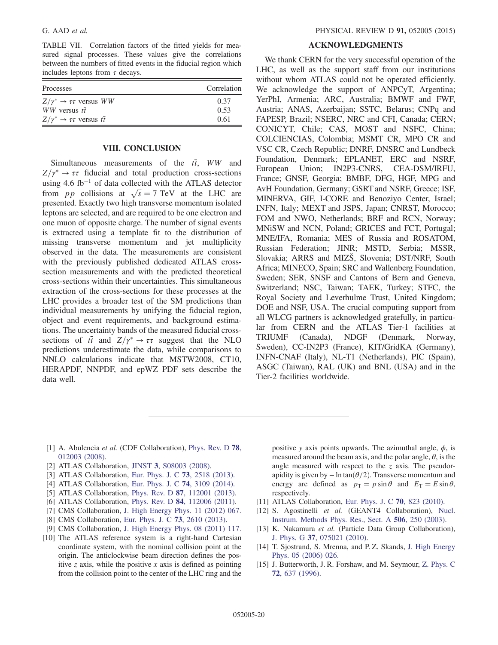<span id="page-19-16"></span>TABLE VII. Correlation factors of the fitted yields for measured signal processes. These values give the correlations between the numbers of fitted events in the fiducial region which includes leptons from  $\tau$  decays.

| <b>Processes</b>                                     | Correlation |
|------------------------------------------------------|-------------|
| $Z/\gamma^* \rightarrow \tau \tau$ versus WW         | 0.37        |
| <i>WW</i> versus $t\overline{t}$                     | 0.53        |
| $Z/\gamma^* \rightarrow \tau \tau$ versus $t\bar{t}$ | 0.61        |
|                                                      |             |

# VIII. CONCLUSION

<span id="page-19-9"></span>Simultaneous measurements of the  $t\bar{t}$ , WW and  $Z/\gamma^* \to \tau \tau$  fiducial and total production cross-sections<br>using 4.6 fb<sup>-1</sup> of data collected with the ATI AS detector using 4.6 fb−<sup>1</sup> of data collected with the ATLAS detector from pp collisions at  $\sqrt{s} = 7$  TeV at the LHC are<br>presented Exactly two bigh transverse momentum isolated presented. Exactly two high transverse momentum isolated leptons are selected, and are required to be one electron and one muon of opposite charge. The number of signal events is extracted using a template fit to the distribution of missing transverse momentum and jet multiplicity observed in the data. The measurements are consistent with the previously published dedicated ATLAS crosssection measurements and with the predicted theoretical cross-sections within their uncertainties. This simultaneous extraction of the cross-sections for these processes at the LHC provides a broader test of the SM predictions than individual measurements by unifying the fiducial region, object and event requirements, and background estimations. The uncertainty bands of the measured fiducial crosssections of  $t\bar{t}$  and  $Z/\gamma^* \to \tau\tau$  suggest that the NLO<br>predictions underestimate the data while comparisons to predictions underestimate the data, while comparisons to NNLO calculations indicate that MSTW2008, CT10, HERAPDF, NNPDF, and epWZ PDF sets describe the data well.

### ACKNOWLEDGMENTS

We thank CERN for the very successful operation of the LHC, as well as the support staff from our institutions without whom ATLAS could not be operated efficiently. We acknowledge the support of ANPCyT, Argentina; YerPhI, Armenia; ARC, Australia; BMWF and FWF, Austria; ANAS, Azerbaijan; SSTC, Belarus; CNPq and FAPESP, Brazil; NSERC, NRC and CFI, Canada; CERN; CONICYT, Chile; CAS, MOST and NSFC, China; COLCIENCIAS, Colombia; MSMT CR, MPO CR and VSC CR, Czech Republic; DNRF, DNSRC and Lundbeck Foundation, Denmark; EPLANET, ERC and NSRF, European Union; IN2P3-CNRS, CEA-DSM/IRFU, France; GNSF, Georgia; BMBF, DFG, HGF, MPG and AvH Foundation, Germany; GSRT and NSRF, Greece; ISF, MINERVA, GIF, I-CORE and Benoziyo Center, Israel; INFN, Italy; MEXT and JSPS, Japan; CNRST, Morocco; FOM and NWO, Netherlands; BRF and RCN, Norway; MNiSW and NCN, Poland; GRICES and FCT, Portugal; MNE/IFA, Romania; MES of Russia and ROSATOM, Russian Federation; JINR; MSTD, Serbia; MSSR, Slovakia; ARRS and MIZŠ, Slovenia; DST/NRF, South Africa; MINECO, Spain; SRC and Wallenberg Foundation, Sweden; SER, SNSF and Cantons of Bern and Geneva, Switzerland; NSC, Taiwan; TAEK, Turkey; STFC, the Royal Society and Leverhulme Trust, United Kingdom; DOE and NSF, USA. The crucial computing support from all WLCG partners is acknowledged gratefully, in particular from CERN and the ATLAS Tier-1 facilities at TRIUMF (Canada), NDGF (Denmark, Norway, Sweden), CC-IN2P3 (France), KIT/GridKA (Germany), INFN-CNAF (Italy), NL-T1 (Netherlands), PIC (Spain), ASGC (Taiwan), RAL (UK) and BNL (USA) and in the Tier-2 facilities worldwide.

- <span id="page-19-0"></span>[1] A. Abulencia et al. (CDF Collaboration), [Phys. Rev. D](http://dx.doi.org/10.1103/PhysRevD.78.012003) 78, [012003 \(2008\).](http://dx.doi.org/10.1103/PhysRevD.78.012003)
- <span id="page-19-1"></span>[2] ATLAS Collaboration, JINST 3[, S08003 \(2008\).](http://dx.doi.org/10.1088/1748-0221/3/08/S08003)
- <span id="page-19-2"></span>[3] ATLAS Collaboration, [Eur. Phys. J. C](http://dx.doi.org/10.1140/epjc/s10052-013-2518-3) **73**, 2518 (2013).
- <span id="page-19-3"></span>[4] ATLAS Collaboration, [Eur. Phys. J. C](http://dx.doi.org/10.1140/epjc/s10052-014-3109-7) 74, 3109 (2014).
- <span id="page-19-4"></span>[5] ATLAS Collaboration, Phys. Rev. D 87[, 112001 \(2013\).](http://dx.doi.org/10.1103/PhysRevD.87.112001)
- <span id="page-19-5"></span>[6] ATLAS Collaboration, Phys. Rev. D 84[, 112006 \(2011\).](http://dx.doi.org/10.1103/PhysRevD.84.112006)
- <span id="page-19-6"></span>[7] CMS Collaboration, [J. High Energy Phys. 11 \(2012\) 067.](http://dx.doi.org/10.1007/JHEP11(2012)067)
- <span id="page-19-7"></span>[8] CMS Collaboration, [Eur. Phys. J. C](http://dx.doi.org/10.1140/epjc/s10052-013-2610-8) 73, 2610 (2013).
- <span id="page-19-8"></span>[9] CMS Collaboration, [J. High Energy Phys. 08 \(2011\) 117.](http://dx.doi.org/10.1007/JHEP08(2011)117)
- <span id="page-19-10"></span>[10] The ATLAS reference system is a right-hand Cartesian coordinate system, with the nominal collision point at the origin. The anticlockwise beam direction defines the positive z axis, while the positive x axis is defined as pointing from the collision point to the center of the LHC ring and the

positive y axis points upwards. The azimuthal angle,  $\phi$ , is measured around the beam axis, and the polar angle,  $\theta$ , is the angle measured with respect to the  $z$  axis. The pseudorapidity is given by  $- \ln \tan(\theta/2)$ . Transverse momentum and energy are defined as  $p_T = p \sin \theta$  and  $E_T = E \sin \theta$ , respectively.

- <span id="page-19-11"></span>[11] ATLAS Collaboration, [Eur. Phys. J. C](http://dx.doi.org/10.1140/epjc/s10052-010-1429-9) 70, 823 (2010).
- <span id="page-19-12"></span>[12] S. Agostinelli et al. (GEANT4 Collaboration), [Nucl.](http://dx.doi.org/10.1016/S0168-9002(03)01368-8) [Instrum. Methods Phys. Res., Sect. A](http://dx.doi.org/10.1016/S0168-9002(03)01368-8) 506, 250 (2003).
- <span id="page-19-13"></span>[13] K. Nakamura et al. (Particle Data Group Collaboration), J. Phys. G 37[, 075021 \(2010\).](http://dx.doi.org/10.1088/0954-3899/37/7A/075021)
- <span id="page-19-14"></span>[14] T. Sjostrand, S. Mrenna, and P. Z. Skands, [J. High Energy](http://dx.doi.org/10.1088/1126-6708/2006/05/026) [Phys. 05 \(2006\) 026.](http://dx.doi.org/10.1088/1126-6708/2006/05/026)
- <span id="page-19-15"></span>[15] J. Butterworth, J. R. Forshaw, and M. Seymour, [Z. Phys. C](http://dx.doi.org/10.1007/s002880050286) 72[, 637 \(1996\).](http://dx.doi.org/10.1007/s002880050286)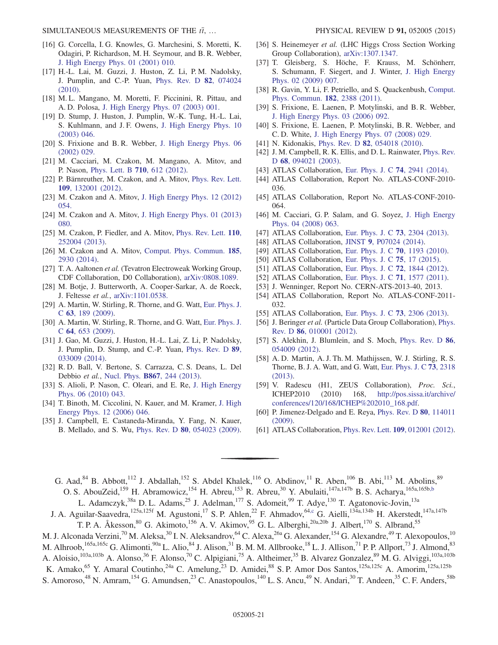- <span id="page-20-0"></span>[16] G. Corcella, I. G. Knowles, G. Marchesini, S. Moretti, K. Odagiri, P. Richardson, M. H. Seymour, and B. R. Webber, [J. High Energy Phys. 01 \(2001\) 010.](http://dx.doi.org/10.1088/1126-6708/2001/01/010)
- <span id="page-20-1"></span>[17] H.-L. Lai, M. Guzzi, J. Huston, Z. Li, P.M. Nadolsky, J. Pumplin, and C.-P. Yuan, [Phys. Rev. D](http://dx.doi.org/10.1103/PhysRevD.82.074024) 82, 074024 [\(2010\).](http://dx.doi.org/10.1103/PhysRevD.82.074024)
- <span id="page-20-2"></span>[18] M.L. Mangano, M. Moretti, F. Piccinini, R. Pittau, and A. D. Polosa, [J. High Energy Phys. 07 \(2003\) 001.](http://dx.doi.org/10.1088/1126-6708/2003/07/001)
- <span id="page-20-3"></span>[19] D. Stump, J. Huston, J. Pumplin, W.-K. Tung, H.-L. Lai, S. Kuhlmann, and J. F. Owens, [J. High Energy Phys. 10](http://dx.doi.org/10.1088/1126-6708/2003/10/046) [\(2003\) 046.](http://dx.doi.org/10.1088/1126-6708/2003/10/046)
- <span id="page-20-4"></span>[20] S. Frixione and B. R. Webber, [J. High Energy Phys. 06](http://dx.doi.org/10.1088/1126-6708/2002/06/029) [\(2002\) 029.](http://dx.doi.org/10.1088/1126-6708/2002/06/029)
- <span id="page-20-5"></span>[21] M. Cacciari, M. Czakon, M. Mangano, A. Mitov, and P. Nason, [Phys. Lett. B](http://dx.doi.org/10.1016/j.physletb.2012.03.013) 710, 612 (2012).
- [22] P. Bärnreuther, M. Czakon, and A. Mitov, [Phys. Rev. Lett.](http://dx.doi.org/10.1103/PhysRevLett.109.132001) 109[, 132001 \(2012\).](http://dx.doi.org/10.1103/PhysRevLett.109.132001)
- [23] M. Czakon and A. Mitov, [J. High Energy Phys. 12 \(2012\)](http://dx.doi.org/10.1007/JHEP12(2012)054) [054.](http://dx.doi.org/10.1007/JHEP12(2012)054)
- [24] M. Czakon and A. Mitov, [J. High Energy Phys. 01 \(2013\)](http://dx.doi.org/10.1007/JHEP01(2013)080) [080.](http://dx.doi.org/10.1007/JHEP01(2013)080)
- <span id="page-20-36"></span>[25] M. Czakon, P. Fiedler, and A. Mitov, [Phys. Rev. Lett.](http://dx.doi.org/10.1103/PhysRevLett.110.252004) 110, [252004 \(2013\).](http://dx.doi.org/10.1103/PhysRevLett.110.252004)
- <span id="page-20-29"></span>[26] M. Czakon and A. Mitov, [Comput. Phys. Commun.](http://dx.doi.org/10.1016/j.cpc.2014.06.021) 185, [2930 \(2014\)](http://dx.doi.org/10.1016/j.cpc.2014.06.021).
- <span id="page-20-6"></span>[27] T. A. Aaltonen et al. (Tevatron Electroweak Working Group, CDF Collaboration, D0 Collaboration), [arXiv:0808.1089.](http://arXiv.org/abs/0808.1089)
- <span id="page-20-7"></span>[28] M. Botje, J. Butterworth, A. Cooper-Sarkar, A. de Roeck, J. Feltesse et al., [arXiv:1101.0538.](http://arXiv.org/abs/1101.0538)
- <span id="page-20-8"></span>[29] A. Martin, W. Stirling, R. Thorne, and G. Watt, [Eur. Phys. J.](http://dx.doi.org/10.1140/epjc/s10052-009-1072-5) C 63[, 189 \(2009\)](http://dx.doi.org/10.1140/epjc/s10052-009-1072-5).
- [30] A. Martin, W. Stirling, R. Thorne, and G. Watt, [Eur. Phys. J.](http://dx.doi.org/10.1140/epjc/s10052-009-1164-2) C 64[, 653 \(2009\)](http://dx.doi.org/10.1140/epjc/s10052-009-1164-2).
- [31] J. Gao, M. Guzzi, J. Huston, H.-L. Lai, Z. Li, P. Nadolsky, J. Pumplin, D. Stump, and C.-P. Yuan, [Phys. Rev. D](http://dx.doi.org/10.1103/PhysRevD.89.033009) 89, [033009 \(2014\).](http://dx.doi.org/10.1103/PhysRevD.89.033009)
- <span id="page-20-9"></span>[32] R. D. Ball, V. Bertone, S. Carrazza, C. S. Deans, L. Del Debbio et al., Nucl. Phys. B867[, 244 \(2013\).](http://dx.doi.org/10.1016/j.nuclphysb.2012.10.003)
- <span id="page-20-10"></span>[33] S. Alioli, P. Nason, C. Oleari, and E. Re, [J. High Energy](http://dx.doi.org/10.1007/JHEP06(2010)043) [Phys. 06 \(2010\) 043.](http://dx.doi.org/10.1007/JHEP06(2010)043)
- <span id="page-20-11"></span>[34] T. Binoth, M. Ciccolini, N. Kauer, and M. Kramer, [J. High](http://dx.doi.org/10.1088/1126-6708/2006/12/046) [Energy Phys. 12 \(2006\) 046.](http://dx.doi.org/10.1088/1126-6708/2006/12/046)
- <span id="page-20-12"></span>[35] J. Campbell, E. Castaneda-Miranda, Y. Fang, N. Kauer, B. Mellado, and S. Wu, Phys. Rev. D 80[, 054023 \(2009\).](http://dx.doi.org/10.1103/PhysRevD.80.054023)
- [36] S. Heinemeyer et al. (LHC Higgs Cross Section Working Group Collaboration), [arXiv:1307.1347.](http://arXiv.org/abs/1307.1347)
- <span id="page-20-13"></span>[37] T. Gleisberg, S. Höche, F. Krauss, M. Schönherr, S. Schumann, F. Siegert, and J. Winter, [J. High Energy](http://dx.doi.org/10.1088/1126-6708/2009/02/007) [Phys. 02 \(2009\) 007.](http://dx.doi.org/10.1088/1126-6708/2009/02/007)
- <span id="page-20-14"></span>[38] R. Gavin, Y. Li, F. Petriello, and S. Quackenbush, [Comput.](http://dx.doi.org/10.1016/j.cpc.2011.06.008) [Phys. Commun.](http://dx.doi.org/10.1016/j.cpc.2011.06.008) 182, 2388 (2011).
- <span id="page-20-15"></span>[39] S. Frixione, E. Laenen, P. Motylinski, and B. R. Webber, [J. High Energy Phys. 03 \(2006\) 092.](http://dx.doi.org/10.1088/1126-6708/2006/03/092)
- [40] S. Frixione, E. Laenen, P. Motylinski, B. R. Webber, and C. D. White, [J. High Energy Phys. 07 \(2008\) 029.](http://dx.doi.org/10.1088/1126-6708/2008/07/029)
- <span id="page-20-16"></span>[41] N. Kidonakis, Phys. Rev. D 82[, 054018 \(2010\).](http://dx.doi.org/10.1103/PhysRevD.82.054018)
- <span id="page-20-17"></span>[42] J. M. Campbell, R. K. Ellis, and D. L. Rainwater, *[Phys. Rev.](http://dx.doi.org/10.1103/PhysRevD.68.094021)* D 68[, 094021 \(2003\)](http://dx.doi.org/10.1103/PhysRevD.68.094021).
- <span id="page-20-18"></span>[43] ATLAS Collaboration, [Eur. Phys. J. C](http://dx.doi.org/10.1140/epjc/s10052-014-2941-0) **74**, 2941 (2014).
- <span id="page-20-19"></span>[44] ATLAS Collaboration, Report No. ATLAS-CONF-2010- 036.
- [45] ATLAS Collaboration, Report No. ATLAS-CONF-2010- 064.
- <span id="page-20-20"></span>[46] M. Cacciari, G. P. Salam, and G. Soyez, [J. High Energy](http://dx.doi.org/10.1088/1126-6708/2008/04/063) [Phys. 04 \(2008\) 063.](http://dx.doi.org/10.1088/1126-6708/2008/04/063)
- <span id="page-20-21"></span>[47] ATLAS Collaboration, [Eur. Phys. J. C](http://dx.doi.org/10.1140/epjc/s10052-013-2304-2) 73, 2304 (2013).
- <span id="page-20-22"></span>[48] ATLAS Collaboration, JINST 9[, P07024 \(2014\).](http://dx.doi.org/10.1088/1748-0221/9/07/P07024)
- [49] ATLAS Collaboration, [Eur. Phys. J. C](http://dx.doi.org/10.1140/epjc/s10052-010-1508-y) 70, 1193 (2010).
- <span id="page-20-23"></span>[50] ATLAS Collaboration, [Eur. Phys. J. C](http://dx.doi.org/10.1140/epjc/s10052-014-3190-y) **75**, 17 (2015).
- <span id="page-20-24"></span>[51] ATLAS Collaboration, [Eur. Phys. J. C](http://dx.doi.org/10.1140/epjc/s10052-011-1844-6) **72**, 1844 (2012).
- <span id="page-20-25"></span>[52] ATLAS Collaboration, [Eur. Phys. J. C](http://dx.doi.org/10.1140/epjc/s10052-011-1577-6) 71, 1577 (2011).
- <span id="page-20-26"></span>[53] J. Wenninger, Report No. CERN-ATS-2013-40, 2013.
- <span id="page-20-27"></span>[54] ATLAS Collaboration, Report No. ATLAS-CONF-2011- 032.
- <span id="page-20-28"></span>[55] ATLAS Collaboration, [Eur. Phys. J. C](http://dx.doi.org/10.1140/epjc/s10052-013-2306-0) **73**, 2306 (2013).
- <span id="page-20-30"></span>[56] J. Beringer et al. (Particle Data Group Collaboration), [Phys.](http://dx.doi.org/10.1103/PhysRevD.86.010001) Rev. D 86[, 010001 \(2012\)](http://dx.doi.org/10.1103/PhysRevD.86.010001).
- <span id="page-20-31"></span>[57] S. Alekhin, J. Blumlein, and S. Moch, [Phys. Rev. D](http://dx.doi.org/10.1103/PhysRevD.86.054009) 86, [054009 \(2012\).](http://dx.doi.org/10.1103/PhysRevD.86.054009)
- <span id="page-20-32"></span>[58] A. D. Martin, A. J. Th. M. Mathijssen, W. J. Stirling, R. S. Thorne, B. J. A. Watt, and G. Watt, [Eur. Phys. J. C](http://dx.doi.org/10.1140/epjc/s10052-013-2318-9) 73, 2318 [\(2013\).](http://dx.doi.org/10.1140/epjc/s10052-013-2318-9)
- <span id="page-20-33"></span>[59] V. Radescu (H1, ZEUS Collaboration), Proc. Sci., ICHEP2010 (2010) 168, [http://pos.sissa.it/archive/](http://pos.sissa.it/archive/conferences/120/168/ICHEP%202010_168.pdf) [conferences/120/168/ICHEP%202010\\_168.pdf](http://pos.sissa.it/archive/conferences/120/168/ICHEP%202010_168.pdf).
- <span id="page-20-34"></span>[60] P. Jimenez-Delgado and E. Reya, [Phys. Rev. D](http://dx.doi.org/10.1103/PhysRevD.80.114011) 80, 114011 [\(2009\).](http://dx.doi.org/10.1103/PhysRevD.80.114011)
- <span id="page-20-35"></span>[61] ATLAS Collaboration, *Phys. Rev. Lett.* **109**[, 012001 \(2012\).](http://dx.doi.org/10.1103/PhysRevLett.109.012001)

<span id="page-20-37"></span>G. Aad,<sup>84</sup> B. Abbott,<sup>112</sup> J. Abdallah,<sup>152</sup> S. Abdel Khalek,<sup>116</sup> O. Abdinov,<sup>11</sup> R. Aben,<sup>106</sup> B. Abi,<sup>113</sup> M. Abolins,<sup>89</sup> O. S. AbouZeid,<sup>159</sup> H. Abramowicz,<sup>154</sup> H. Abreu,<sup>153</sup> R. Abreu,<sup>30</sup> Y. Abulaiti,<sup>147a,147b</sup> B. S. Acharya,<sup>165a,165b[,b](#page-32-0)</sup>

L. Adamczyk,<sup>38a</sup> D. L. Adams,<sup>25</sup> J. Adelman,<sup>177</sup> S. Adomeit,<sup>99</sup> T. Adye,<sup>130</sup> T. Agatonovic-Jovin,<sup>13a</sup>

<span id="page-20-38"></span>J. A. Aguilar-Saavedra,<sup>125a,125f</sup> M. Agustoni,<sup>17</sup> S. P. Ahlen,<sup>22</sup> F. Ahmadov,<sup>6[4,c](#page-32-1)</sup> G. Aielli,<sup>134a,134b</sup> H. Akerstedt,<sup>147a,147b</sup> T. P. A. Åkesson,<sup>80</sup> G. Akimoto,<sup>156</sup> A. V. Akimov,<sup>95</sup> G. L. Alberghi,<sup>20a,20b</sup> J. Albert,<sup>170</sup> S. Albrand,<sup>55</sup>

M. J. Alconada Verzini,<sup>70</sup> M. Aleksa,<sup>30</sup> I. N. Aleksandrov,<sup>64</sup> C. Alexa,<sup>26a</sup> G. Alexander,<sup>154</sup> G. Alexandre,<sup>49</sup> T. Alexopoulos,<sup>10</sup> M. Alhroob,<sup>165a,165c</sup> G. Alimonti,<sup>90a</sup> L. Alio,<sup>84</sup> J. Alison,<sup>31</sup> B. M. M. Allbrooke,<sup>18</sup> L. J. Allison,<sup>71</sup> P. P. Allport,<sup>73</sup> J. Almond,<sup>83</sup> A. Aloisio,<sup>103a,103b</sup> A. Alonso,<sup>36</sup> F. Alonso,<sup>70</sup> C. Alpigiani,<sup>75</sup> A. Altheimer,<sup>35</sup> B. Alvarez Gonzalez,<sup>89</sup> M. G. Alviggi,<sup>103a,103b</sup> K. Amako,<sup>65</sup> Y. Amaral Coutinho,<sup>24a</sup> C. Amelung,<sup>23</sup> D. Amidei,<sup>88</sup> S. P. Amor Dos Santos,<sup>125a,125c</sup> A. Amorim,<sup>125a,125b</sup>

S. Amoroso,<sup>48</sup> N. Amram,<sup>154</sup> G. Amundsen,<sup>23</sup> C. Anastopoulos,<sup>140</sup> L. S. Ancu,<sup>49</sup> N. Andari,<sup>30</sup> T. Andeen,<sup>35</sup> C. F. Anders,<sup>58b</sup>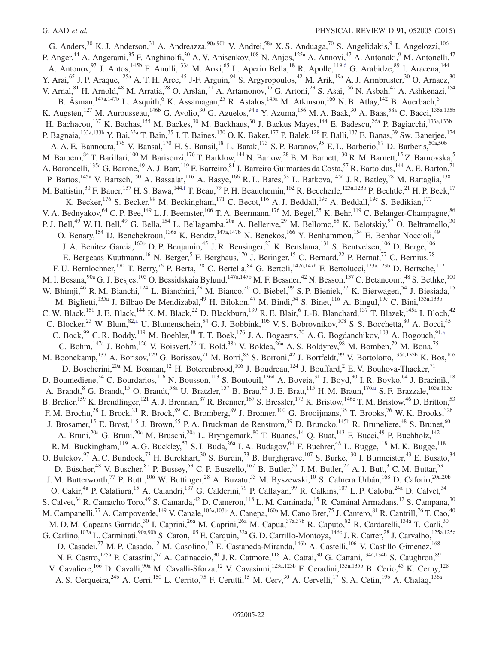<span id="page-21-3"></span><span id="page-21-2"></span><span id="page-21-1"></span><span id="page-21-0"></span>G. Anders,  $30$  K. J. Anderson,  $31$  A. Andreazza,  $90a,90b$  V. Andrei,  $58a$  X. S. Anduaga,  $70$  S. Angelidakis,  $9$  I. Angelozzi,  $106$ P. Anger,<sup>44</sup> A. Angerami,<sup>35</sup> F. Anghinolfi,<sup>30</sup> A. V. Anisenkov,<sup>108</sup> N. Anjos,<sup>125a</sup> A. Annovi,<sup>47</sup> A. Antonaki,<sup>9</sup> M. Antonelli,<sup>47</sup> A. Antonov,<sup>97</sup> J. Antos,<sup>145b</sup> F. Anulli,<sup>133a</sup> M. Aoki,<sup>65</sup> L. Aperio Bella,<sup>18</sup> R. Apolle,<sup>119[,d](#page-32-2)</sup> G. Arabidze,<sup>89</sup> I. Aracena,<sup>144</sup> Y. Arai,<sup>65</sup> J. P. Araque,<sup>125a</sup> A. T. H. Arce,<sup>45</sup> J-F. Arguin,<sup>94</sup> S. Argyropoulos,<sup>42</sup> M. Arik,<sup>19a</sup> A. J. Armbruster,<sup>30</sup> O. Arnaez,<sup>30</sup> V. Arnal, <sup>81</sup> H. Arnold, <sup>48</sup> M. Arratia, <sup>28</sup> O. Arslan, <sup>21</sup> A. Artamonov, <sup>96</sup> G. Artoni, <sup>23</sup> S. Asai, <sup>156</sup> N. Asbah, <sup>42</sup> A. Ashkenazi, <sup>154</sup> B. Åsman,<sup>147a,147b</sup> L. Asquith,<sup>6</sup> K. Assamagan,<sup>25</sup> R. Astalos,<sup>145a</sup> M. Atkinson,<sup>166</sup> N. B. Atlay,<sup>142</sup> B. Auerbach,<sup>6</sup> K. Augsten,<sup>127</sup> M. Aurousseau,<sup>146b</sup> G. Avolio,<sup>30</sup> G. Azuelos,<sup>94[,e](#page-32-3)</sup> Y. Azuma,<sup>156</sup> M. A. Baak,<sup>30</sup> A. Baas,<sup>58a</sup> C. Bacci,<sup>135a,135b</sup> H. Bachacou,<sup>137</sup> K. Bachas,<sup>155</sup> M. Backes,<sup>30</sup> M. Backhaus,<sup>30</sup> J. Backus Mayes,<sup>144</sup> E. Badescu,<sup>26a</sup> P. Bagiacchi,<sup>133a,133b</sup> P. Bagnaia,<sup>133a,133b</sup> Y. Bai,<sup>33a</sup> T. Bain,<sup>35</sup> J. T. Baines,<sup>130</sup> O. K. Baker,<sup>177</sup> P. Balek,<sup>128</sup> F. Balli,<sup>137</sup> E. Banas,<sup>39</sup> Sw. Banerjee,<sup>174</sup> A. A. E. Bannoura,<sup>176</sup> V. Bansal,<sup>170</sup> H. S. Bansil,<sup>18</sup> L. Barak,<sup>173</sup> S. P. Baranov,<sup>95</sup> E. L. Barberio,<sup>87</sup> D. Barberis,<sup>50a,50b</sup> M. Barbero,  $84$  T. Barillari,  $^{100}$  M. Barisonzi,  $^{176}$  T. Barklow,  $^{144}$  N. Barlow,  $^{28}$  B. M. Barnett,  $^{130}$  R. M. Barnett,  $^{15}$  Z. Barnovska,  $^5$ A. Baroncelli,<sup>135a</sup> G. Barone,<sup>49</sup> A. J. Barr,<sup>119</sup> F. Barreiro,<sup>81</sup> J. Barreiro Guimarães da Costa,<sup>57</sup> R. Bartoldus,<sup>144</sup> A. E. Barton,<sup>71</sup> P. Bartos,<sup>145a</sup> V. Bartsch,<sup>150</sup> A. Bassalat,<sup>116</sup> A. Basye,<sup>166</sup> R.L. Bates,<sup>53</sup> L. Batkova,<sup>145a</sup> J.R. Batley,<sup>28</sup> M. Battaglia,<sup>138</sup> M. Battistin,  $^{30}$  F. Bauer,  $^{137}$  H. S. Bawa,  $^{144,f}$  $^{144,f}$  $^{144,f}$  T. Beau,  $^{79}$  P. H. Beauchemin,  $^{162}$  R. Beccherle,  $^{123a,123b}$  P. Bechtle,  $^{21}$  H. P. Beck,  $^{17}$ K. Becker,<sup>176</sup> S. Becker,<sup>99</sup> M. Beckingham,<sup>171</sup> C. Becot,<sup>116</sup> A. J. Beddall,<sup>19c</sup> A. Beddall,<sup>19c</sup> S. Bedikian,<sup>177</sup> V. A. Bednyakov,<sup>64</sup> C. P. Bee,<sup>149</sup> L. J. Beemster,<sup>106</sup> T. A. Beermann,<sup>176</sup> M. Begel,<sup>25</sup> K. Behr,<sup>119</sup> C. Belanger-Champagne,<sup>86</sup> P. J. Bell,<sup>49</sup> W. H. Bell,<sup>49</sup> G. Bella,<sup>154</sup> L. Bellagamba,<sup>20a</sup> A. Bellerive,<sup>29</sup> M. Bellomo,<sup>85</sup> K. Belotskiy,<sup>97</sup> O. Beltramello,<sup>30</sup> O. Benary,<sup>154</sup> D. Benchekroun,<sup>136a</sup> K. Bendtz,<sup>147a,147b</sup> N. Benekos,<sup>166</sup> Y. Benhammou,<sup>154</sup> E. Benhar Noccioli,<sup>49</sup> J. A. Benitez Garcia,  $160b$  D. P. Benjamin,  $45$  J. R. Bensinger,  $23$  K. Benslama,  $131$  S. Bentvelsen,  $106$  D. Berge,  $106$ E. Bergeaas Kuutmann,<sup>16</sup> N. Berger,<sup>5</sup> F. Berghaus,<sup>170</sup> J. Beringer,<sup>15</sup> C. Bernard,<sup>22</sup> P. Bernat,<sup>77</sup> C. Bernius,<sup>78</sup> F. U. Bernlochner,<sup>170</sup> T. Berry,<sup>76</sup> P. Berta,<sup>128</sup> C. Bertella,<sup>84</sup> G. Bertoli,<sup>147a,147b</sup> F. Bertolucci,<sup>123a,123b</sup> D. Bertsche,<sup>112</sup> M. I. Besana, <sup>90a</sup> G. J. Besjes, <sup>105</sup> O. Bessidskaia Bylund, <sup>147a, 147b</sup> M. F. Bessner, <sup>42</sup> N. Besson, <sup>137</sup> C. Betancourt, <sup>48</sup> S. Bethke, <sup>100</sup> W. Bhimji,<sup>46</sup> R. M. Bianchi,<sup>124</sup> L. Bianchini,<sup>23</sup> M. Bianco,<sup>30</sup> O. Biebel,<sup>99</sup> S. P. Bieniek,<sup>77</sup> K. Bierwagen,<sup>54</sup> J. Biesiada,<sup>15</sup> M. Biglietti,<sup>135a</sup> J. Bilbao De Mendizabal,<sup>49</sup> H. Bilokon,<sup>47</sup> M. Bindi,<sup>54</sup> S. Binet,<sup>116</sup> A. Bingul,<sup>19c</sup> C. Bini,<sup>133a,133b</sup> C. W. Black,<sup>151</sup> J. E. Black,<sup>144</sup> K. M. Black,<sup>22</sup> D. Blackburn,<sup>139</sup> R. E. Blair,<sup>6</sup> J.-B. Blanchard,<sup>137</sup> T. Blazek,<sup>145a</sup> I. Bloch,<sup>42</sup> C. Blocker,<sup>23</sup> W. Blum,<sup>82[,a](#page-32-5)</sup> U. Blumenschein,<sup>54</sup> G. J. Bobbink,<sup>106</sup> V. S. Bobrovnikov,<sup>108</sup> S. S. Bocchetta,<sup>80</sup> A. Bocci,<sup>45</sup> C. Bock,<sup>99</sup> C. R. Boddy,<sup>119</sup> M. Boehler,<sup>48</sup> T. T. Boek,<sup>176</sup> J. A. Bogaerts,<sup>30</sup> A. G. Bogdanchikov,<sup>108</sup> A. Bogouch,<sup>9[1,a](#page-32-5)</sup> C. Bohm,<sup>147a</sup> J. Bohm,<sup>126</sup> V. Boisvert,<sup>76</sup> T. Bold,<sup>38a</sup> V. Boldea,<sup>26a</sup> A. S. Boldyrev,<sup>98</sup> M. Bomben,<sup>79</sup> M. Bona,<sup>75</sup> M. Boonekamp,<sup>137</sup> A. Borisov,<sup>129</sup> G. Borissov,<sup>71</sup> M. Borri,<sup>83</sup> S. Borroni,<sup>42</sup> J. Bortfeldt,<sup>99</sup> V. Bortolotto,<sup>135a,135b</sup> K. Bos,<sup>106</sup> D. Boscherini,<sup>20a</sup> M. Bosman,<sup>12</sup> H. Boterenbrood,<sup>106</sup> J. Boudreau,<sup>124</sup> J. Bouffard,<sup>2</sup> E. V. Bouhova-Thacker,<sup>71</sup> D. Boumediene,<sup>34</sup> C. Bourdarios,<sup>116</sup> N. Bousson,<sup>113</sup> S. Boutouil,<sup>136d</sup> A. Boveia,<sup>31</sup> J. Boyd,<sup>30</sup> I. R. Boyko,<sup>64</sup> J. Bracinik,<sup>18</sup> A. Brandt,<sup>8</sup> G. Brandt,<sup>15</sup> O. Brandt,<sup>58a</sup> U. Bratzler,<sup>157</sup> B. Brau,<sup>85</sup> J. E. Brau,<sup>115</sup> H. M. Braun,<sup>176[,a](#page-32-5)</sup> S. F. Brazzale,<sup>165a,165c</sup> B. Brelier,<sup>159</sup> K. Brendlinger,<sup>121</sup> A. J. Brennan,<sup>87</sup> R. Brenner,<sup>167</sup> S. Bressler,<sup>173</sup> K. Bristow,<sup>146c</sup> T. M. Bristow,<sup>46</sup> D. Britton,<sup>53</sup> F. M. Brochu,<sup>28</sup> I. Brock,<sup>21</sup> R. Brock,<sup>89</sup> C. Bromberg,<sup>89</sup> J. Bronner,<sup>100</sup> G. Brooijmans,<sup>35</sup> T. Brooks,<sup>76</sup> W. K. Brooks,<sup>32b</sup> J. Brosamer,<sup>15</sup> E. Brost,<sup>115</sup> J. Brown,<sup>55</sup> P. A. Bruckman de Renstrom,<sup>39</sup> D. Bruncko,<sup>145b</sup> R. Bruneliere,<sup>48</sup> S. Brunet,<sup>60</sup> A. Bruni,<sup>20a</sup> G. Bruni,<sup>20a</sup> M. Bruschi,<sup>20a</sup> L. Bryngemark,<sup>80</sup> T. Buanes,<sup>14</sup> Q. Buat,<sup>143</sup> F. Bucci,<sup>49</sup> P. Buchholz,<sup>142</sup> R. M. Buckingham,<sup>119</sup> A. G. Buckley,<sup>53</sup> S. I. Buda,<sup>26a</sup> I. A. Budagov,<sup>64</sup> F. Buehrer,<sup>48</sup> L. Bugge,<sup>118</sup> M. K. Bugge,<sup>118</sup> O. Bulekov, <sup>97</sup> A. C. Bundock,<sup>73</sup> H. Burckhart,<sup>30</sup> S. Burdin,<sup>73</sup> B. Burghgrave,<sup>107</sup> S. Burke,<sup>130</sup> I. Burmeister,<sup>43</sup> E. Busato,<sup>34</sup> D. Büscher,<sup>48</sup> V. Büscher,<sup>82</sup> P. Bussey,<sup>53</sup> C. P. Buszello,<sup>167</sup> B. Butler,<sup>57</sup> J. M. Butler,<sup>22</sup> A. I. Butt,<sup>3</sup> C. M. Buttar,<sup>53</sup> J. M. Butterworth,<sup>77</sup> P. Butti,<sup>106</sup> W. Buttinger,<sup>28</sup> A. Buzatu,<sup>53</sup> M. Byszewski,<sup>10</sup> S. Cabrera Urbán,<sup>168</sup> D. Caforio,<sup>20a,20b</sup> O. Cakir,<sup>4a</sup> P. Calafiura,<sup>15</sup> A. Calandri,<sup>137</sup> G. Calderini,<sup>79</sup> P. Calfayan,<sup>99</sup> R. Calkins,<sup>107</sup> L. P. Caloba,<sup>24a</sup> D. Calvet,<sup>34</sup> S. Calvet,<sup>34</sup> R. Camacho Toro,<sup>49</sup> S. Camarda,<sup>42</sup> D. Cameron,<sup>118</sup> L. M. Caminada,<sup>15</sup> R. Caminal Armadans,<sup>12</sup> S. Campana,<sup>30</sup> M. Campanelli,<sup>77</sup> A. Campoverde,<sup>149</sup> V. Canale,<sup>103a,103b</sup> A. Canepa,<sup>160a</sup> M. Cano Bret,<sup>75</sup> J. Cantero,<sup>81</sup> R. Cantrill,<sup>76</sup> T. Cao,<sup>40</sup> M. D. M. Capeans Garrido,<sup>30</sup> I. Caprini,<sup>26a</sup> M. Caprini,<sup>26a</sup> M. Capua,<sup>37a,37b</sup> R. Caputo,<sup>82</sup> R. Cardarelli,<sup>134a</sup> T. Carli,<sup>30</sup> G. Carlino,<sup>103a</sup> L. Carminati,<sup>90a,90b</sup> S. Caron,<sup>105</sup> E. Carquin,<sup>32a</sup> G. D. Carrillo-Montoya,<sup>146c</sup> J. R. Carter,<sup>28</sup> J. Carvalho,<sup>125a,125c</sup> D. Casadei,<sup>77</sup> M. P. Casado,<sup>12</sup> M. Casolino,<sup>12</sup> E. Castaneda-Miranda,<sup>146b</sup> A. Castelli,<sup>106</sup> V. Castillo Gimenez,<sup>168</sup> N. F. Castro, <sup>125a</sup> P. Catastini,<sup>57</sup> A. Catinaccio,<sup>30</sup> J. R. Catmore, <sup>118</sup> A. Cattai, <sup>30</sup> G. Cattani, <sup>134a, 134b</sup> S. Caughron, <sup>89</sup> V. Cavaliere,<sup>166</sup> D. Cavalli,<sup>90a</sup> M. Cavalli-Sforza,<sup>12</sup> V. Cavasinni,<sup>123a,123b</sup> F. Ceradini,<sup>135a,135b</sup> B. Cerio,<sup>45</sup> K. Cerny,<sup>128</sup> A. S. Cerqueira,<sup>24b</sup> A. Cerri,<sup>150</sup> L. Cerrito,<sup>75</sup> F. Cerutti,<sup>15</sup> M. Cerv,<sup>30</sup> A. Cervelli,<sup>17</sup> S. A. Cetin,<sup>19b</sup> A. Chafaq,<sup>136a</sup>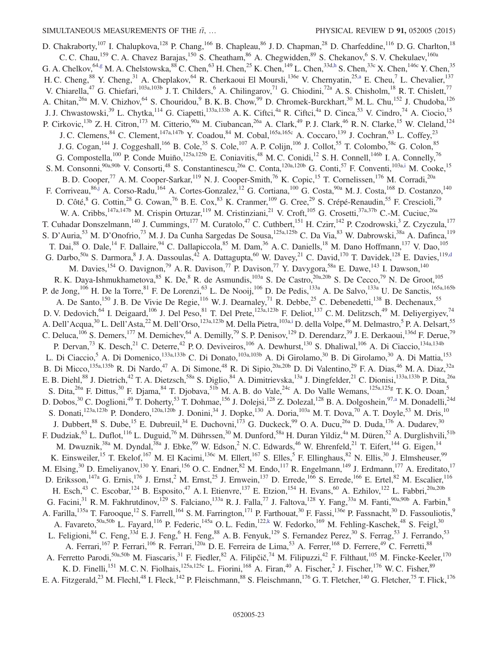<span id="page-22-3"></span><span id="page-22-2"></span><span id="page-22-1"></span><span id="page-22-0"></span>D. Chakraborty,<sup>107</sup> I. Chalupkova,<sup>128</sup> P. Chang,<sup>166</sup> B. Chapleau,<sup>86</sup> J. D. Chapman,<sup>28</sup> D. Charfeddine,<sup>116</sup> D. G. Charlton,<sup>18</sup> C. C. Chau,<sup>159</sup> C. A. Chavez Barajas,<sup>150</sup> S. Cheatham,<sup>86</sup> A. Chegwidden,<sup>89</sup> S. Chekanov,<sup>6</sup> S. V. Chekulaev,<sup>160a</sup> G. A. Chelkov,  $^{64,g}$  $^{64,g}$  $^{64,g}$  M. A. Chelstowska,  $^{88}$  C. Chen,  $^{63}$  H. Chen,  $^{25}$  K. Chen,  $^{149}$  L. Chen,  $^{33d,h}$  $^{33d,h}$  $^{33d,h}$  S. Chen,  $^{33c}$  X. Chen,  $^{146c}$  Y. Chen,  $^{35}$ H. C. Cheng, <sup>88</sup> Y. Cheng, <sup>31</sup> A. Cheplakov, <sup>64</sup> R. Cherkaoui El Moursli, <sup>136e</sup> V. Chernyatin, <sup>2[5,a](#page-32-5)</sup> E. Cheu, <sup>7</sup> L. Chevalier, <sup>137</sup> V. Chiarella,<sup>47</sup> G. Chiefari,<sup>103a,103b</sup> J. T. Childers,<sup>6</sup> A. Chilingarov,<sup>71</sup> G. Chiodini,<sup>72a</sup> A. S. Chisholm,<sup>18</sup> R. T. Chislett,<sup>77</sup> A. Chitan,<sup>26a</sup> M. V. Chizhov,<sup>64</sup> S. Chouridou,<sup>9</sup> B. K. B. Chow,<sup>99</sup> D. Chromek-Burckhart,<sup>30</sup> M. L. Chu,<sup>152</sup> J. Chudoba,<sup>126</sup> J. J. Chwastowski,<sup>39</sup> L. Chytka,<sup>114</sup> G. Ciapetti,<sup>133a,133b</sup> A. K. Ciftci,<sup>4a</sup> R. Ciftci,<sup>4a</sup> D. Cinca,<sup>53</sup> V. Cindro,<sup>74</sup> A. Ciocio,<sup>15</sup> P. Cirkovic,<sup>13b</sup> Z. H. Citron,<sup>173</sup> M. Citterio,<sup>90a</sup> M. Ciubancan,<sup>26a</sup> A. Clark,<sup>49</sup> P. J. Clark,<sup>46</sup> R. N. Clarke,<sup>15</sup> W. Cleland,<sup>124</sup> J. C. Clemens, <sup>84</sup> C. Clement, <sup>147a, 147b</sup> Y. Coadou, <sup>84</sup> M. Cobal, <sup>165a, 165c</sup> A. Coccaro, <sup>139</sup> J. Cochran, <sup>63</sup> L. Coffey,<sup>23</sup> J. G. Cogan,<sup>144</sup> J. Coggeshall,<sup>166</sup> B. Cole,<sup>35</sup> S. Cole,<sup>107</sup> A. P. Colijn,<sup>106</sup> J. Collot,<sup>55</sup> T. Colombo,<sup>58c</sup> G. Colon,<sup>85</sup> G. Compostella,<sup>100</sup> P. Conde Muiño,<sup>125a,125b</sup> E. Coniavitis,<sup>48</sup> M. C. Conidi,<sup>12</sup> S. H. Connell,<sup>146b</sup> I. A. Connelly,<sup>76</sup> S. M. Consonni,<sup>90a,90b</sup> V. Consorti,<sup>48</sup> S. Constantinescu,<sup>26a</sup> C. Conta,<sup>120a,120b</sup> G. Conti,<sup>57</sup> F. Conventi,<sup>103[a,i](#page-33-0)</sup> M. Cooke,<sup>15</sup> B. D. Cooper,<sup>77</sup> A. M. Cooper-Sarkar,<sup>119</sup> N. J. Cooper-Smith,<sup>76</sup> K. Copic,<sup>15</sup> T. Cornelissen,<sup>176</sup> M. Corradi,<sup>20a</sup> F. Corriveau, <sup>86[,j](#page-33-1)</sup> A. Corso-Radu,<sup>164</sup> A. Cortes-Gonzalez,<sup>12</sup> G. Cortiana,<sup>100</sup> G. Costa,<sup>90a</sup> M. J. Costa,<sup>168</sup> D. Costanzo,<sup>140</sup> D. Côté,<sup>8</sup> G. Cottin,<sup>28</sup> G. Cowan,<sup>76</sup> B. E. Cox,<sup>83</sup> K. Cranmer,<sup>109</sup> G. Cree,<sup>29</sup> S. Crépé-Renaudin,<sup>55</sup> F. Crescioli,<sup>79</sup> W. A. Cribbs,<sup>147a,147b</sup> M. Crispin Ortuzar,<sup>119</sup> M. Cristinziani,<sup>21</sup> V. Croft,<sup>105</sup> G. Crosetti,<sup>37a,37b</sup> C.-M. Cuciuc,<sup>26a</sup> T. Cuhadar Donszelmann,<sup>140</sup> J. Cummings,<sup>177</sup> M. Curatolo,<sup>47</sup> C. Cuthbert,<sup>151</sup> H. Czirr,<sup>142</sup> P. Czodrowski,<sup>3</sup> Z. Czyczula,<sup>177</sup> S. D'Auria,<sup>53</sup> M. D'Onofrio,<sup>73</sup> M. J. Da Cunha Sargedas De Sousa,<sup>125a,125b</sup> C. Da Via,<sup>83</sup> W. Dabrowski,<sup>38a</sup> A. Dafinca,<sup>119</sup> T. Dai,<sup>88</sup> O. Dale,<sup>14</sup> F. Dallaire,<sup>94</sup> C. Dallapiccola,<sup>85</sup> M. Dam,<sup>36</sup> A. C. Daniells,<sup>18</sup> M. Dano Hoffmann,<sup>137</sup> V. Dao,<sup>105</sup> G. Darbo,<sup>50a</sup> S. Darmora, J. A. Dassoulas,  $4^2$  A. Dattagupta,  $60$  W. Davey,  $21$  C. David,  $170$  T. Davidek,  $128$  E. Davies,  $119, d$ M. Davies,<sup>154</sup> O. Davignon,<sup>79</sup> A. R. Davison,<sup>77</sup> P. Davison,<sup>77</sup> Y. Davygora,<sup>58a</sup> E. Dawe,<sup>143</sup> I. Dawson,<sup>140</sup> R. K. Daya-Ishmukhametova,  $85$  K. De,  $8$  R. de Asmundis,  $^{103a}$  S. De Castro,  $^{20a,20b}$  S. De Cecco,  $^{79}$  N. De Groot,  $^{105}$ P. de Jong,<sup>106</sup> H. De la Torre,<sup>81</sup> F. De Lorenzi,<sup>63</sup> L. De Nooij,<sup>106</sup> D. De Pedis,<sup>133a</sup> A. De Salvo,<sup>133a</sup> U. De Sanctis,<sup>165a,165b</sup> A. De Santo,<sup>150</sup> J. B. De Vivie De Regie,<sup>116</sup> W. J. Dearnaley,<sup>71</sup> R. Debbe,<sup>25</sup> C. Debenedetti,<sup>138</sup> B. Dechenaux,<sup>55</sup> D. V. Dedovich,<sup>64</sup> I. Deigaard,<sup>106</sup> J. Del Peso,<sup>81</sup> T. Del Prete,<sup>123a,123b</sup> F. Deliot,<sup>137</sup> C. M. Delitzsch,<sup>49</sup> M. Deliyergiyev,<sup>74</sup> A. Dell'Acqua,<sup>30</sup> L. Dell'Asta,<sup>22</sup> M. Dell'Orso,<sup>123a,123b</sup> M. Della Pietra,<sup>103a[,i](#page-33-0)</sup> D. della Volpe,<sup>49</sup> M. Delmastro,<sup>5</sup> P. A. Delsart,<sup>55</sup> C. Deluca,<sup>106</sup> S. Demers,<sup>177</sup> M. Demichev,<sup>64</sup> A. Demilly,<sup>79</sup> S. P. Denisov,<sup>129</sup> D. Derendarz,<sup>39</sup> J. E. Derkaoui,<sup>136d</sup> F. Derue,<sup>79</sup> P. Dervan,<sup>73</sup> K. Desch,<sup>21</sup> C. Deterre,<sup>42</sup> P.O. Deviveiros,<sup>106</sup> A. Dewhurst,<sup>130</sup> S. Dhaliwal,<sup>106</sup> A. Di Ciaccio,<sup>134a,134b</sup> L. Di Ciaccio,<sup>5</sup> A. Di Domenico,<sup>133a,133b</sup> C. Di Donato,<sup>103a,103b</sup> A. Di Girolamo,<sup>30</sup> B. Di Girolamo,<sup>30</sup> A. Di Mattia,<sup>153</sup> B. Di Micco,<sup>135a,135b</sup> R. Di Nardo,<sup>47</sup> A. Di Simone,<sup>48</sup> R. Di Sipio,<sup>20a,20b</sup> D. Di Valentino,<sup>29</sup> F. A. Dias,<sup>46</sup> M. A. Diaz,<sup>32a</sup> E. B. Diehl,<sup>88</sup> J. Dietrich,<sup>42</sup> T. A. Dietzsch,<sup>58a</sup> S. Diglio,<sup>84</sup> A. Dimitrievska,<sup>13a</sup> J. Dingfelder,<sup>21</sup> C. Dionisi,<sup>133a,133b</sup> P. Dita,<sup>26a</sup> S. Dita,<sup>26a</sup> F. Dittus,<sup>30</sup> F. Djama,<sup>84</sup> T. Djobava,<sup>51b</sup> M. A. B. do Vale,<sup>24c</sup> A. Do Valle Wemans,<sup>125a,125g</sup> T. K. O. Doan,<sup>5</sup> D. Dobos,<sup>30</sup> C. Doglioni,<sup>49</sup> T. Doherty,<sup>53</sup> T. Dohmae,<sup>156</sup> J. Dolejsi,<sup>128</sup> Z. Dolezal,<sup>128</sup> B. A. Dolgoshein,<sup>9[7,a](#page-32-5)</sup> M. Donadelli,<sup>24d</sup> S. Donati,<sup>123a,123b</sup> P. Dondero,<sup>120a,120b</sup> J. Donini,<sup>34</sup> J. Dopke,<sup>130</sup> A. Doria,<sup>103a</sup> M. T. Dova,<sup>70</sup> A. T. Doyle,<sup>53</sup> M. Dris,<sup>10</sup> J. Dubbert,<sup>88</sup> S. Dube,<sup>15</sup> E. Dubreuil,<sup>34</sup> E. Duchovni,<sup>173</sup> G. Duckeck,<sup>99</sup> O. A. Ducu,<sup>26a</sup> D. Duda,<sup>176</sup> A. Dudarev,<sup>30</sup> F. Dudziak,<sup>63</sup> L. Duflot,<sup>116</sup> L. Duguid,<sup>76</sup> M. Dührssen,<sup>30</sup> M. Dunford,<sup>58a</sup> H. Duran Yildiz,<sup>4a</sup> M. Düren,<sup>52</sup> A. Durglishvili,<sup>51b</sup> M. Dwuznik,<sup>38a</sup> M. Dyndal,<sup>38a</sup> J. Ebke,<sup>99</sup> W. Edson,<sup>2</sup> N. C. Edwards,<sup>46</sup> W. Ehrenfeld,<sup>21</sup> T. Eifert,<sup>144</sup> G. Eigen,<sup>14</sup> K. Einsweiler,<sup>15</sup> T. Ekelof,<sup>167</sup> M. El Kacimi,<sup>136c</sup> M. Ellert,<sup>167</sup> S. Elles,<sup>5</sup> F. Ellinghaus,<sup>82</sup> N. Ellis,<sup>30</sup> J. Elmsheuser,<sup>99</sup> M. Elsing,<sup>30</sup> D. Emeliyanov,<sup>130</sup> Y. Enari,<sup>156</sup> O. C. Endner,<sup>82</sup> M. Endo,<sup>117</sup> R. Engelmann,<sup>149</sup> J. Erdmann,<sup>177</sup> A. Ereditato,<sup>17</sup> D. Eriksson,<sup>147a</sup> G. Ernis,<sup>176</sup> J. Ernst,<sup>2</sup> M. Ernst,<sup>25</sup> J. Ernwein,<sup>137</sup> D. Errede,<sup>166</sup> S. Errede,<sup>166</sup> E. Ertel,<sup>82</sup> M. Escalier,<sup>116</sup> H. Esch,<sup>43</sup> C. Escobar,<sup>124</sup> B. Esposito,<sup>47</sup> A. I. Etienvre,<sup>137</sup> E. Etzion,<sup>154</sup> H. Evans,<sup>60</sup> A. Ezhilov,<sup>122</sup> L. Fabbri,<sup>20a,20b</sup> G. Facini,<sup>31</sup> R. M. Fakhrutdinov,<sup>129</sup> S. Falciano,<sup>133a</sup> R. J. Falla,<sup>77</sup> J. Faltova,<sup>128</sup> Y. Fang,<sup>33a</sup> M. Fanti,<sup>90a,90b</sup> A. Farbin,<sup>8</sup> A. Farilla,<sup>135a</sup> T. Farooque,<sup>12</sup> S. Farrell,<sup>164</sup> S. M. Farrington,<sup>171</sup> P. Farthouat,<sup>30</sup> F. Fassi,<sup>136e</sup> P. Fassnacht,<sup>30</sup> D. Fassouliotis,<sup>9</sup> A. Favareto,<sup>50a,50b</sup> L. Fayard,<sup>116</sup> P. Federic,<sup>145a</sup> O. L. Fedin,<sup>122[,k](#page-33-2)</sup> W. Fedorko,<sup>169</sup> M. Fehling-Kaschek,<sup>48</sup> S. Feigl,<sup>30</sup> L. Feligioni,<sup>84</sup> C. Feng,<sup>33d</sup> E. J. Feng,<sup>6</sup> H. Feng,<sup>88</sup> A. B. Fenyuk,<sup>129</sup> S. Fernandez Perez,<sup>30</sup> S. Ferrag,<sup>53</sup> J. Ferrando,<sup>53</sup> A. Ferrari,<sup>167</sup> P. Ferrari,<sup>106</sup> R. Ferrari,<sup>120a</sup> D. E. Ferreira de Lima,<sup>53</sup> A. Ferrer,<sup>168</sup> D. Ferrere,<sup>49</sup> C. Ferretti,<sup>88</sup> A. Ferretto Parodi, <sup>50a,50b</sup> M. Fiascaris, <sup>31</sup> F. Fiedler, <sup>82</sup> A. Filipčič, <sup>74</sup> M. Filipuzzi, <sup>42</sup> F. Filthaut, <sup>105</sup> M. Fincke-Keeler, <sup>170</sup> K. D. Finelli,<sup>151</sup> M. C. N. Fiolhais,<sup>125a,125c</sup> L. Fiorini,<sup>168</sup> A. Firan,<sup>40</sup> A. Fischer,<sup>2</sup> J. Fischer,<sup>176</sup> W. C. Fisher,<sup>89</sup> E. A. Fitzgerald,<sup>23</sup> M. Flechl,<sup>48</sup> I. Fleck,<sup>142</sup> P. Fleischmann,<sup>88</sup> S. Fleischmann,<sup>176</sup> G. T. Fletcher,<sup>140</sup> G. Fletcher,<sup>75</sup> T. Flick,<sup>176</sup>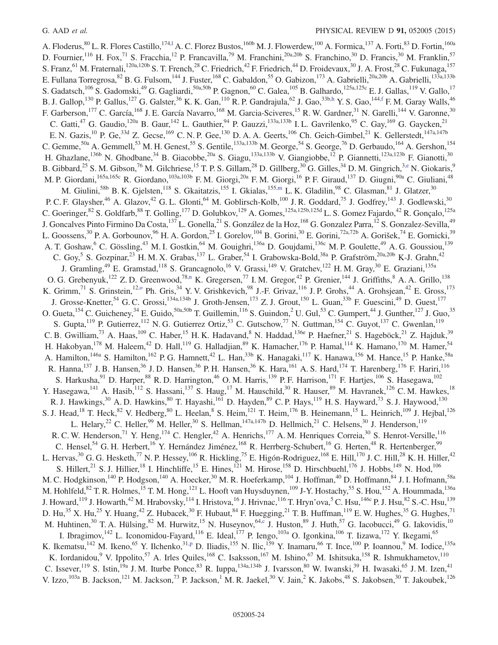<span id="page-23-4"></span><span id="page-23-3"></span><span id="page-23-2"></span><span id="page-23-1"></span><span id="page-23-0"></span>A. Floderus,  ${}^{80}$  L. R. Flores Castillo,<sup>174,1</sup> A. C. Florez Bustos,<sup>160b</sup> M. J. Flowerdew,<sup>100</sup> A. Formica,<sup>137</sup> A. Forti,<sup>83</sup> D. Fortin,<sup>160a</sup> D. Fournier,<sup>116</sup> H. Fox,<sup>71</sup> S. Fracchia,<sup>12</sup> P. Francavilla,<sup>79</sup> M. Franchini,<sup>20a,20b</sup> S. Franchino,<sup>30</sup> D. Francis,<sup>30</sup> M. Franklin,<sup>57</sup> S. Franz, <sup>61</sup> M. Fraternali,<sup>120a,120b</sup> S. T. French,<sup>28</sup> C. Friedrich,<sup>42</sup> F. Friedrich,<sup>44</sup> D. Froidevaux,<sup>30</sup> J. A. Frost,<sup>28</sup> C. Fukunaga,<sup>157</sup> E. Fullana Torregrosa, <sup>82</sup> B. G. Fulsom, <sup>144</sup> J. Fuster, <sup>168</sup> C. Gabaldon, <sup>55</sup> O. Gabizon, <sup>173</sup> A. Gabrielli,<sup>20a,20b</sup> A. Gabrielli,<sup>133a,133b</sup> S. Gadatsch,  $^{106}$  S. Gadomski,  $^{49}$  G. Gagliardi,  $^{50a,50b}$  P. Gagnon,  $^{60}$  C. Galea,  $^{105}$  B. Galhardo,  $^{125a,125c}$  E. J. Gallas,  $^{119}$  V. Gallo,  $^{17}$ B. J. Gallop,<sup>130</sup> P. Gallus,<sup>127</sup> G. Galster,<sup>36</sup> K. K. Gan,<sup>110</sup> R. P. Gandrajula,<sup>62</sup> J. Gao,<sup>33[b,h](#page-32-7)</sup> Y. S. Gao,<sup>14[4,f](#page-32-4)</sup> F. M. Garay Walls,<sup>46</sup> F. Garberson,<sup>177</sup> C. García,<sup>168</sup> J. E. García Navarro,<sup>168</sup> M. Garcia-Sciveres,<sup>15</sup> R. W. Gardner,<sup>31</sup> N. Garelli,<sup>144</sup> V. Garonne,<sup>30</sup> C. Gatti,<sup>47</sup> G. Gaudio,<sup>120a</sup> B. Gaur,<sup>142</sup> L. Gauthier,<sup>94</sup> P. Gauzzi,<sup>133a,133b</sup> I. L. Gavrilenko,<sup>95</sup> C. Gay,<sup>169</sup> G. Gaycken,<sup>21</sup> E. N. Gazis,<sup>10</sup> P. Ge,<sup>33d</sup> Z. Gecse,<sup>169</sup> C. N. P. Gee,<sup>130</sup> D. A. A. Geerts,<sup>106</sup> Ch. Geich-Gimbel,<sup>21</sup> K. Gellerstedt,<sup>147a,147b</sup> C. Gemme,<sup>50a</sup> A. Gemmell,<sup>53</sup> M. H. Genest,<sup>55</sup> S. Gentile,<sup>133a,133b</sup> M. George,<sup>54</sup> S. George,<sup>76</sup> D. Gerbaudo,<sup>164</sup> A. Gershon,<sup>154</sup> H. Ghazlane,<sup>136b</sup> N. Ghodbane,<sup>34</sup> B. Giacobbe,<sup>20a</sup> S. Giagu,<sup>133a,133b</sup> V. Giangiobbe,<sup>12</sup> P. Giannetti,<sup>123a,123b</sup> F. Gianotti,<sup>30</sup> B. Gibbard,  $^{25}$  S. M. Gibson,  $^{76}$  M. Gilchriese,  $^{15}$  T. P. S. Gillam,  $^{28}$  D. Gillberg,  $^{30}$  G. Gilles,  $^{34}$  D. M. Gingrich,  $^{3, e}$  N. Giokaris,  $^{9}$ M. P. Giordani,<sup>165a,165c</sup> R. Giordano,<sup>103a,103b</sup> F. M. Giorgi,<sup>20a</sup> F. M. Giorgi,<sup>16</sup> P. F. Giraud,<sup>137</sup> D. Giugni,<sup>90a</sup> C. Giuliani,<sup>48</sup> M. Giulini,<sup>58b</sup> B. K. Gjelsten,<sup>118</sup> S. Gkaitatzis,<sup>155</sup> I. Gkialas,<sup>155[,m](#page-33-4)</sup> L. K. Gladilin,<sup>98</sup> C. Glasman,<sup>81</sup> J. Glatzer,<sup>30</sup> P. C. F. Glaysher,<sup>46</sup> A. Glazov,<sup>42</sup> G. L. Glonti,<sup>64</sup> M. Goblirsch-Kolb,<sup>100</sup> J. R. Goddard,<sup>75</sup> J. Godfrey,<sup>143</sup> J. Godlewski,<sup>30</sup> C. Goeringer,  $82$  S. Goldfarb,  $88$  T. Golling,  $^{177}$  D. Golubkov,  $^{129}$  A. Gomes,  $^{125a,125b,125d}$  L. S. Gomez Fajardo,  $^{42}$  R. Gonçalo,  $^{125a}$ J. Goncalves Pinto Firmino Da Costa,137 L. Gonella,21 S. González de la Hoz,168 G. Gonzalez Parra,<sup>12</sup> S. Gonzalez-Sevilla,49 L. Goossens,<sup>30</sup> P. A. Gorbounov,<sup>96</sup> H. A. Gordon,<sup>25</sup> I. Gorelov,<sup>104</sup> B. Gorini,<sup>30</sup> E. Gorini,<sup>72a,72b</sup> A. Gorišek,<sup>74</sup> E. Gornicki,<sup>39</sup> A. T. Goshaw,<sup>6</sup> C. Gössling,<sup>43</sup> M. I. Gostkin,<sup>64</sup> M. Gouighri,<sup>136a</sup> D. Goujdami,<sup>136c</sup> M. P. Goulette,<sup>49</sup> A. G. Goussiou,<sup>139</sup> C. Goy,<sup>5</sup> S. Gozpinar,<sup>23</sup> H. M. X. Grabas,<sup>137</sup> L. Graber,<sup>54</sup> I. Grabowska-Bold,<sup>38a</sup> P. Grafström,<sup>20a,20b</sup> K-J. Grahn,<sup>42</sup> J. Gramling,<sup>49</sup> E. Gramstad,<sup>118</sup> S. Grancagnolo,<sup>16</sup> V. Grassi,<sup>149</sup> V. Gratchev,<sup>122</sup> H. M. Gray,<sup>30</sup> E. Graziani,<sup>135a</sup> O. G. Grebenyuk,<sup>122</sup> Z. D. Greenwood,<sup>78[,n](#page-33-5)</sup> K. Gregersen,<sup>77</sup> I. M. Gregor,<sup>42</sup> P. Grenier,<sup>144</sup> J. Griffiths,<sup>8</sup> A. A. Grillo,<sup>138</sup> K. Grimm,<sup>71</sup> S. Grinstein,<sup>12,0</sup> Ph. Gris,<sup>34</sup> Y. V. Grishkevich,<sup>98</sup> J.-F. Grivaz,<sup>116</sup> J. P. Grohs,<sup>44</sup> A. Grohsjean,<sup>42</sup> E. Gross,<sup>173</sup> J. Grosse-Knetter,<sup>54</sup> G. C. Grossi,<sup>134a,134b</sup> J. Groth-Jensen,<sup>173</sup> Z. J. Grout,<sup>150</sup> L. Guan,<sup>33b</sup> F. Guescini,<sup>49</sup> D. Guest,<sup>177</sup> O. Gueta,<sup>154</sup> C. Guicheney,<sup>34</sup> E. Guido,<sup>50a,50b</sup> T. Guillemin,<sup>116</sup> S. Guindon,<sup>2</sup> U. Gul,<sup>53</sup> C. Gumpert,<sup>44</sup> J. Gunther,<sup>127</sup> J. Guo,<sup>35</sup> S. Gupta,<sup>119</sup> P. Gutierrez,<sup>112</sup> N. G. Gutierrez Ortiz,<sup>53</sup> C. Gutschow,<sup>77</sup> N. Guttman,<sup>154</sup> C. Guyot,<sup>137</sup> C. Gwenlan,<sup>119</sup> C. B. Gwilliam,<sup>73</sup> A. Haas,<sup>109</sup> C. Haber,<sup>15</sup> H. K. Hadavand,<sup>8</sup> N. Haddad,<sup>136e</sup> P. Haefner,<sup>21</sup> S. Hageböck,<sup>21</sup> Z. Hajduk,<sup>39</sup> H. Hakobyan,<sup>178</sup> M. Haleem,<sup>42</sup> D. Hall,<sup>119</sup> G. Halladjian,<sup>89</sup> K. Hamacher,<sup>176</sup> P. Hamal,<sup>114</sup> K. Hamano,<sup>170</sup> M. Hamer,<sup>54</sup> A. Hamilton,<sup>146a</sup> S. Hamilton,<sup>162</sup> P. G. Hamnett,<sup>42</sup> L. Han,<sup>33b</sup> K. Hanagaki,<sup>117</sup> K. Hanawa,<sup>156</sup> M. Hance,<sup>15</sup> P. Hanke,<sup>58a</sup> R. Hanna,<sup>137</sup> J. B. Hansen,<sup>36</sup> J. D. Hansen,<sup>36</sup> P. H. Hansen,<sup>36</sup> K. Hara,<sup>161</sup> A. S. Hard,<sup>174</sup> T. Harenberg,<sup>176</sup> F. Hariri,<sup>116</sup> S. Harkusha,<sup>91</sup> D. Harper,<sup>88</sup> R. D. Harrington,<sup>46</sup> O. M. Harris,<sup>139</sup> P. F. Harrison,<sup>171</sup> F. Hartjes,<sup>106</sup> S. Hasegawa,<sup>102</sup> Y. Hasegawa,<sup>141</sup> A. Hasib,<sup>112</sup> S. Hassani,<sup>137</sup> S. Haug,<sup>17</sup> M. Hauschild,<sup>30</sup> R. Hauser,<sup>89</sup> M. Havranek,<sup>126</sup> C. M. Hawkes,<sup>18</sup> R. J. Hawkings,<sup>30</sup> A. D. Hawkins,<sup>80</sup> T. Hayashi,<sup>161</sup> D. Hayden,<sup>89</sup> C. P. Hays,<sup>119</sup> H. S. Hayward,<sup>73</sup> S. J. Haywood,<sup>130</sup> S. J. Head,<sup>18</sup> T. Heck,<sup>82</sup> V. Hedberg,<sup>80</sup> L. Heelan,<sup>8</sup> S. Heim,<sup>121</sup> T. Heim,<sup>176</sup> B. Heinemann,<sup>15</sup> L. Heinrich,<sup>109</sup> J. Hejbal,<sup>126</sup> L. Helary,<sup>22</sup> C. Heller,<sup>99</sup> M. Heller,<sup>30</sup> S. Hellman,<sup>147a,147b</sup> D. Hellmich,<sup>21</sup> C. Helsens,<sup>30</sup> J. Henderson,<sup>119</sup> R. C. W. Henderson,<sup>71</sup> Y. Heng,<sup>174</sup> C. Hengler,<sup>42</sup> A. Henrichs,<sup>177</sup> A. M. Henriques Correia,<sup>30</sup> S. Henrot-Versille,<sup>116</sup> C. Hensel,<sup>54</sup> G. H. Herbert,<sup>16</sup> Y. Hernández Jiménez,<sup>168</sup> R. Herrberg-Schubert,<sup>16</sup> G. Herten,<sup>48</sup> R. Hertenberger,<sup>99</sup> L. Hervas,<sup>30</sup> G. G. Hesketh,<sup>77</sup> N. P. Hessey,<sup>106</sup> R. Hickling,<sup>75</sup> E. Higón-Rodriguez,<sup>168</sup> E. Hill,<sup>170</sup> J. C. Hill,<sup>28</sup> K. H. Hiller,<sup>42</sup> S. Hillert,<sup>21</sup> S. J. Hillier,<sup>18</sup> I. Hinchliffe,<sup>15</sup> E. Hines,<sup>121</sup> M. Hirose,<sup>158</sup> D. Hirschbuehl,<sup>176</sup> J. Hobbs,<sup>149</sup> N. Hod,<sup>106</sup> M. C. Hodgkinson,<sup>140</sup> P. Hodgson,<sup>140</sup> A. Hoecker,<sup>30</sup> M. R. Hoeferkamp,<sup>104</sup> J. Hoffman,<sup>40</sup> D. Hoffmann,<sup>84</sup> J. I. Hofmann,<sup>58a</sup> M. Hohlfeld,<sup>82</sup> T. R. Holmes,<sup>15</sup> T. M. Hong,<sup>121</sup> L. Hooft van Huysduynen,<sup>109</sup> J-Y. Hostachy,<sup>55</sup> S. Hou,<sup>152</sup> A. Hoummada,<sup>136a</sup> J. Howard,<sup>119</sup> J. Howarth,<sup>42</sup> M. Hrabovsky,<sup>114</sup> I. Hristova,<sup>16</sup> J. Hrivnac,<sup>116</sup> T. Hryn'ova,<sup>5</sup> C. Hsu,<sup>146c</sup> P. J. Hsu,<sup>82</sup> S.-C. Hsu,<sup>139</sup> D. Hu,<sup>35</sup> X. Hu,<sup>25</sup> Y. Huang,<sup>42</sup> Z. Hubacek,<sup>30</sup> F. Hubaut,<sup>84</sup> F. Huegging,<sup>21</sup> T. B. Huffman,<sup>119</sup> E. W. Hughes,<sup>35</sup> G. Hughes,<sup>71</sup> M. Huhtinen,<sup>30</sup> T. A. Hülsing,<sup>82</sup> M. Hurwitz,<sup>15</sup> N. Huseynov,<sup>64[,c](#page-32-1)</sup> J. Huston,<sup>89</sup> J. Huth,<sup>57</sup> G. Iacobucci,<sup>49</sup> G. Iakovidis,<sup>10</sup> I. Ibragimov,<sup>142</sup> L. Iconomidou-Fayard,<sup>116</sup> E. Ideal,<sup>177</sup> P. Iengo,<sup>103a</sup> O. Igonkina,<sup>106</sup> T. Iizawa,<sup>172</sup> Y. Ikegami,<sup>65</sup> K. Ikematsu,<sup>142</sup> M. Ikeno,<sup>65</sup> Y. Ilchenko,<sup>3[1,p](#page-33-7)</sup> D. Iliadis,<sup>155</sup> N. Ilic,<sup>159</sup> Y. Inamaru,<sup>66</sup> T. Ince,<sup>100</sup> P. Ioannou,<sup>9</sup> M. Iodice,<sup>135a</sup> K. Iordanidou,<sup>9</sup> V. Ippolito,<sup>57</sup> A. Irles Quiles,<sup>168</sup> C. Isaksson,<sup>167</sup> M. Ishino,<sup>67</sup> M. Ishitsuka,<sup>158</sup> R. Ishmukhametov,<sup>110</sup> C. Issever,  $^{19}$  S. Istin,  $^{19a}$  J. M. Iturbe Ponce,  $^{83}$  R. Iuppa,  $^{134a,134b}$  J. Ivarsson,  $^{80}$  W. Iwanski,  $^{39}$  H. Iwasaki,  $^{65}$  J. M. Izen,  $^{41}$ V. Izzo,  $^{103a}$  B. Jackson,  $^{121}$  M. Jackson,  $^{73}$  P. Jackson,  $^{1}$  M. R. Jaekel,  $^{30}$  V. Jain,  $^{2}$  K. Jakobs,  $^{48}$  S. Jakobsen,  $^{30}$  T. Jakoubek,  $^{126}$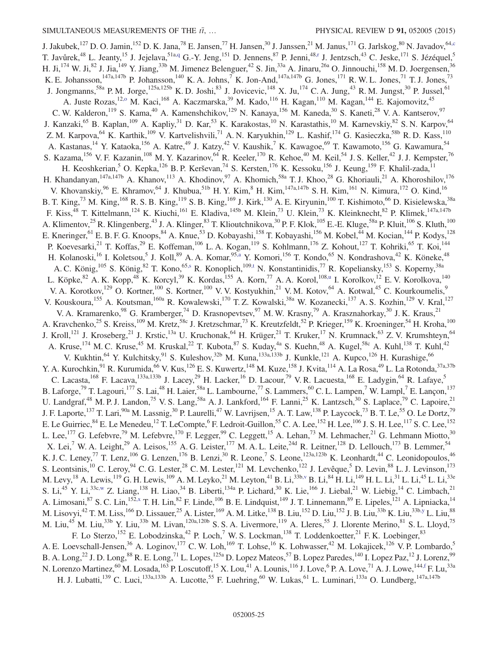<span id="page-24-6"></span><span id="page-24-5"></span><span id="page-24-4"></span><span id="page-24-3"></span><span id="page-24-2"></span><span id="page-24-1"></span><span id="page-24-0"></span>J. Jakubek,<sup>127</sup> D. O. Jamin,<sup>152</sup> D. K. Jana,<sup>78</sup> E. Jansen,<sup>77</sup> H. Jansen,<sup>30</sup> J. Janssen,<sup>21</sup> M. Janus,<sup>171</sup> G. Jarlskog,<sup>80</sup> N. Javadov,<sup>6[4,c](#page-32-1)</sup> T. Javůrek,<sup>48</sup> L. Jeanty,<sup>15</sup> J. Jejelava,<sup>51[a,q](#page-33-8)</sup> G.-Y. Jeng,<sup>151</sup> D. Jennens,<sup>87</sup> P. Jenni,<sup>4[8,r](#page-33-9)</sup> J. Jentzsch,<sup>43</sup> C. Jeske,<sup>171</sup> S. Jézéquel,<sup>5</sup> H. Ji,<sup>174</sup> W. Ji,<sup>82</sup> J. Jia,<sup>149</sup> Y. Jiang,<sup>33b</sup> M. Jimenez Belenguer,<sup>42</sup> S. Jin,<sup>33a</sup> A. Jinaru,<sup>26a</sup> O. Jinnouchi,<sup>158</sup> M. D. Joergensen,<sup>36</sup> K. E. Johansson,<sup>147a,147b</sup> P. Johansson,<sup>140</sup> K. A. Johns,<sup>7</sup> K. Jon-And,<sup>147a,147b</sup> G. Jones,<sup>171</sup> R. W. L. Jones,<sup>71</sup> T. J. Jones,<sup>73</sup> J. Jongmanns,<sup>58a</sup> P. M. Jorge,<sup>125a,125b</sup> K. D. Joshi,<sup>83</sup> J. Jovicevic,<sup>148</sup> X. Ju,<sup>174</sup> C. A. Jung,<sup>43</sup> R. M. Jungst,<sup>30</sup> P. Jussel,<sup>61</sup> A. Juste Rozas,<sup>12,0</sup> M. Kaci,<sup>168</sup> A. Kaczmarska,<sup>39</sup> M. Kado,<sup>116</sup> H. Kagan,<sup>110</sup> M. Kagan,<sup>144</sup> E. Kajomovitz,<sup>45</sup> C. W. Kalderon,<sup>119</sup> S. Kama,<sup>40</sup> A. Kamenshchikov,<sup>129</sup> N. Kanaya,<sup>156</sup> M. Kaneda,<sup>30</sup> S. Kaneti,<sup>28</sup> V. A. Kantserov,<sup>97</sup> J. Kanzaki,<sup>65</sup> B. Kaplan,<sup>109</sup> A. Kapliy,<sup>31</sup> D. Kar,<sup>53</sup> K. Karakostas,<sup>10</sup> N. Karastathis,<sup>10</sup> M. Karnevskiy,<sup>82</sup> S. N. Karpov,<sup>64</sup> Z. M. Karpova,  $^{64}$  K. Karthik,  $^{109}$  V. Kartvelishvili,  $^{71}$  A. N. Karyukhin,  $^{129}$  L. Kashif,  $^{174}$  G. Kasieczka,  $^{58b}$  R. D. Kass,  $^{110}$ A. Kastanas,<sup>14</sup> Y. Kataoka,<sup>156</sup> A. Katre,<sup>49</sup> J. Katzy,<sup>42</sup> V. Kaushik,<sup>7</sup> K. Kawagoe,<sup>69</sup> T. Kawamoto,<sup>156</sup> G. Kawamura,<sup>54</sup> S. Kazama,<sup>156</sup> V. F. Kazanin,<sup>108</sup> M. Y. Kazarinov,<sup>64</sup> R. Keeler,<sup>170</sup> R. Kehoe,<sup>40</sup> M. Keil,<sup>54</sup> J. S. Keller,<sup>42</sup> J. J. Kempster,<sup>76</sup> H. Keoshkerian,<sup>5</sup> O. Kepka,<sup>126</sup> B. P. Kerševan,<sup>74</sup> S. Kersten,<sup>176</sup> K. Kessoku,<sup>156</sup> J. Keung,<sup>159</sup> F. Khalil-zada,<sup>11</sup> H. Khandanyan,<sup>147a,147b</sup> A. Khanov,<sup>113</sup> A. Khodinov,<sup>97</sup> A. Khomich,<sup>58a</sup> T. J. Khoo,<sup>28</sup> G. Khoriauli,<sup>21</sup> A. Khoroshilov,<sup>176</sup> V. Khovanskiy,  $96$  E. Khramov,  $64$  J. Khubua,  $516$  H. Y. Kim,  $8$  H. Kim,  $147a,147b$  S. H. Kim,  $161$  N. Kimura,  $172$  O. Kind,  $16$ B. T. King,<sup>73</sup> M. King,<sup>168</sup> R. S. B. King,<sup>119</sup> S. B. King,<sup>169</sup> J. Kirk,<sup>130</sup> A. E. Kiryunin,<sup>100</sup> T. Kishimoto,<sup>66</sup> D. Kisielewska,<sup>38a</sup> F. Kiss,<sup>48</sup> T. Kittelmann,<sup>124</sup> K. Kiuchi,<sup>161</sup> E. Kladiva,<sup>145b</sup> M. Klein,<sup>73</sup> U. Klein,<sup>73</sup> K. Kleinknecht,<sup>82</sup> P. Klimek,<sup>147a,147b</sup> A. Klimentov,<sup>25</sup> R. Klingenberg,<sup>43</sup> J. A. Klinger,<sup>83</sup> T. Klioutchnikova,<sup>30</sup> P. F. Klok,<sup>105</sup> E.-E. Kluge,<sup>58a</sup> P. Kluit,<sup>106</sup> S. Kluth,<sup>100</sup> E. Kneringer,<sup>61</sup> E. B. F. G. Knoops,<sup>84</sup> A. Knue,<sup>53</sup> D. Kobayashi,<sup>158</sup> T. Kobayashi,<sup>156</sup> M. Kobel,<sup>44</sup> M. Kocian,<sup>144</sup> P. Kodys,<sup>128</sup> P. Koevesarki,<sup>21</sup> T. Koffas,<sup>29</sup> E. Koffeman,<sup>106</sup> L. A. Kogan,<sup>119</sup> S. Kohlmann,<sup>176</sup> Z. Kohout,<sup>127</sup> T. Kohriki,<sup>65</sup> T. Koi,<sup>144</sup> H. Kolanoski,<sup>16</sup> I. Koletsou,<sup>5</sup> J. Koll,<sup>89</sup> A. A. Komar,<sup>9[5,a](#page-32-5)</sup> Y. Komori,<sup>156</sup> T. Kondo,<sup>65</sup> N. Kondrashova,<sup>42</sup> K. Köneke,<sup>48</sup> A. C. König,<sup>105</sup> S. König,<sup>82</sup> T. Kono,<sup>65[,s](#page-33-10)</sup> R. Konoplich,<sup>10[9,t](#page-33-11)</sup> N. Konstantinidis,<sup>77</sup> R. Kopeliansky,<sup>153</sup> S. Koperny,<sup>38a</sup> L. Köpke,<sup>82</sup> A. K. Kopp,<sup>48</sup> K. Korcyl,<sup>39</sup> K. Kordas,<sup>155</sup> A. Korn,<sup>77</sup> A. A. Korol,<sup>10[8,u](#page-33-12)</sup> I. Korolkov,<sup>12</sup> E. V. Korolkova,<sup>140</sup> V. A. Korotkov,<sup>129</sup> O. Kortner,<sup>100</sup> S. Kortner,<sup>100</sup> V. V. Kostyukhin,<sup>21</sup> V. M. Kotov,<sup>64</sup> A. Kotwal,<sup>45</sup> C. Kourkoumelis,<sup>9</sup> V. Kouskoura,<sup>155</sup> A. Koutsman,<sup>160a</sup> R. Kowalewski,<sup>170</sup> T. Z. Kowalski,<sup>38a</sup> W. Kozanecki,<sup>137</sup> A. S. Kozhin,<sup>129</sup> V. Kral,<sup>127</sup> V. A. Kramarenko, <sup>98</sup> G. Kramberger, <sup>74</sup> D. Krasnopevtsev, <sup>97</sup> M. W. Krasny, <sup>79</sup> A. Krasznahorkay, <sup>30</sup> J. K. Kraus, <sup>21</sup> A. Kravchenko,<sup>25</sup> S. Kreiss,<sup>109</sup> M. Kretz,<sup>58c</sup> J. Kretzschmar,<sup>73</sup> K. Kreutzfeldt,<sup>52</sup> P. Krieger,<sup>159</sup> K. Kroeninger,<sup>54</sup> H. Kroha,<sup>100</sup> J. Kroll,<sup>121</sup> J. Kroseberg,<sup>21</sup> J. Krstic,<sup>13a</sup> U. Kruchonak,<sup>64</sup> H. Krüger,<sup>21</sup> T. Kruker,<sup>17</sup> N. Krumnack,<sup>63</sup> Z. V. Krumshteyn,<sup>64</sup> A. Kruse, <sup>174</sup> M. C. Kruse, <sup>45</sup> M. Kruskal, <sup>22</sup> T. Kubota, <sup>87</sup> S. Kuday, <sup>4a</sup> S. Kuehn, <sup>48</sup> A. Kugel, <sup>58c</sup> A. Kuhl, <sup>138</sup> T. Kuhl, <sup>42</sup> V. Kukhtin,<sup>64</sup> Y. Kulchitsky,<sup>91</sup> S. Kuleshov,<sup>32b</sup> M. Kuna,<sup>133a,133b</sup> J. Kunkle,<sup>121</sup> A. Kupco,<sup>126</sup> H. Kurashige,<sup>66</sup> Y. A. Kurochkin, <sup>91</sup> R. Kurumida, <sup>66</sup> V. Kus, <sup>126</sup> E. S. Kuwertz, <sup>148</sup> M. Kuze, <sup>158</sup> J. Kvita, <sup>114</sup> A. La Rosa, <sup>49</sup> L. La Rotonda, <sup>37a, 37b</sup> C. Lacasta,  $^{168}$  F. Lacava,  $^{133a,133b}$  J. Lacey,  $^{29}$  H. Lacker,  $^{16}$  D. Lacour,  $^{79}$  V. R. Lacuesta,  $^{168}$  E. Ladygin,  $^{64}$  R. Lafaye,  $^{5}$ B. Laforge,<sup>79</sup> T. Lagouri,<sup>177</sup> S. Lai,<sup>48</sup> H. Laier,<sup>58a</sup> L. Lambourne,<sup>77</sup> S. Lammers,<sup>60</sup> C. L. Lampen,<sup>7</sup> W. Lampl,<sup>7</sup> E. Lançon,<sup>137</sup> U. Landgraf,<sup>48</sup> M. P. J. Landon,<sup>75</sup> V. S. Lang,<sup>58a</sup> A. J. Lankford,<sup>164</sup> F. Lanni,<sup>25</sup> K. Lantzsch,<sup>30</sup> S. Laplace,<sup>79</sup> C. Lapoire,<sup>21</sup> J. F. Laporte,<sup>137</sup> T. Lari,<sup>90a</sup> M. Lassnig,<sup>30</sup> P. Laurelli,<sup>47</sup> W. Lavrijsen,<sup>15</sup> A. T. Law,<sup>138</sup> P. Laycock,<sup>73</sup> B. T. Le,<sup>55</sup> O. Le Dortz,<sup>79</sup> E. Le Guirriec,  $84$  E. Le Menedeu,<sup>12</sup> T. LeCompte, <sup>6</sup> F. Ledroit-Guillon, <sup>55</sup> C. A. Lee, <sup>152</sup> H. Lee, <sup>106</sup> J. S. H. Lee, <sup>117</sup> S. C. Lee, <sup>152</sup> L. Lee,<sup>177</sup> G. Lefebvre,<sup>79</sup> M. Lefebvre,<sup>170</sup> F. Legger,<sup>99</sup> C. Leggett,<sup>15</sup> A. Lehan,<sup>73</sup> M. Lehmacher,<sup>21</sup> G. Lehmann Miotto,<sup>30</sup> X. Lei,<sup>7</sup> W. A. Leight,<sup>29</sup> A. Leisos,<sup>155</sup> A. G. Leister,<sup>177</sup> M. A. L. Leite,<sup>24d</sup> R. Leitner,<sup>128</sup> D. Lellouch,<sup>173</sup> B. Lemmer,<sup>54</sup> K. J. C. Leney,<sup>77</sup> T. Lenz,<sup>106</sup> G. Lenzen,<sup>176</sup> B. Lenzi,<sup>30</sup> R. Leone,<sup>7</sup> S. Leone,<sup>123a,123b</sup> K. Leonhardt,<sup>44</sup> C. Leonidopoulos,<sup>46</sup> S. Leontsinis,<sup>10</sup> C. Leroy,<sup>94</sup> C. G. Lester,<sup>28</sup> C. M. Lester,<sup>121</sup> M. Levchenko,<sup>122</sup> J. Levêque,<sup>5</sup> D. Levin,<sup>88</sup> L. J. Levinson,<sup>173</sup> M. Levy,<sup>18</sup> A. Lewis,<sup>119</sup> G. H. Lewis,<sup>109</sup> A. M. Leyko,<sup>21</sup> M. Leyton,<sup>41</sup> B. Li,<sup>33b[,v](#page-33-13)</sup> B. Li,<sup>84</sup> H. Li,<sup>149</sup> H. L. Li,<sup>31</sup> L. Li,<sup>45</sup> L. Li,<sup>33e</sup> S. Li,<sup>45</sup> Y. Li,<sup>33[c,w](#page-33-14)</sup> Z. Liang,<sup>138</sup> H. Liao,<sup>34</sup> B. Liberti,<sup>134a</sup> P. Lichard,<sup>30</sup> K. Lie,<sup>166</sup> J. Liebal,<sup>21</sup> W. Liebig,<sup>14</sup> C. Limbach,<sup>21</sup> A. Limosani, <sup>87</sup> S. C. Lin, <sup>152[,x](#page-33-15)</sup> T. H. Lin, <sup>82</sup> F. Linde, <sup>106</sup> B. E. Lindquist, <sup>149</sup> J. T. Linnemann, <sup>89</sup> E. Lipeles, <sup>121</sup> A. Lipniacka, <sup>14</sup> M. Lisovyi,<sup>42</sup> T. M. Liss,<sup>166</sup> D. Lissauer,<sup>25</sup> A. Lister,<sup>169</sup> A. M. Litke,<sup>138</sup> B. Liu,<sup>152</sup> D. Liu,<sup>152</sup> J. B. Liu,<sup>33b</sup> K. Liu,<sup>33b</sup>, <sup>33b</sup>, L. Liu,<sup>88</sup> M. Liu,<sup>45</sup> M. Liu,<sup>33b</sup> Y. Liu,<sup>33b</sup> M. Livan,<sup>120a,120b</sup> S. S. A. Livermore,<sup>119</sup> A. Lleres,<sup>55</sup> J. Llorente Merino,<sup>81</sup> S. L. Lloyd,<sup>75</sup> F. Lo Sterzo,<sup>152</sup> E. Lobodzinska,<sup>42</sup> P. Loch,<sup>7</sup> W. S. Lockman,<sup>138</sup> T. Loddenkoetter,<sup>21</sup> F. K. Loebinger,<sup>83</sup> A. E. Loevschall-Jensen,<sup>36</sup> A. Loginov,<sup>177</sup> C. W. Loh,<sup>169</sup> T. Lohse,<sup>16</sup> K. Lohwasser,<sup>42</sup> M. Lokajicek,<sup>126</sup> V. P. Lombardo,<sup>5</sup> B. A. Long, $^{22}$  J. D. Long, $^{88}$  R. E. Long, $^{71}$  L. Lopes, $^{125a}$  D. Lopez Mateos, $^{57}$  B. Lopez Paredes, $^{140}$  I. Lopez Paz, $^{12}$  J. Lorenz, $^{99}$ N. Lorenzo Martinez,<sup>60</sup> M. Losada, <sup>163</sup> P. Loscutoff, <sup>15</sup> X. Lou, <sup>41</sup> A. Lounis, <sup>116</sup> J. Love, <sup>6</sup> P. A. Love, <sup>71</sup> A. J. Lowe, <sup>144[,f](#page-32-4)</sup> F. Lu, <sup>33a</sup> H. J. Lubatti,<sup>139</sup> C. Luci,<sup>133a,133b</sup> A. Lucotte,<sup>55</sup> F. Luehring,<sup>60</sup> W. Lukas,<sup>61</sup> L. Luminari,<sup>133a</sup> O. Lundberg,<sup>147a,147b</sup>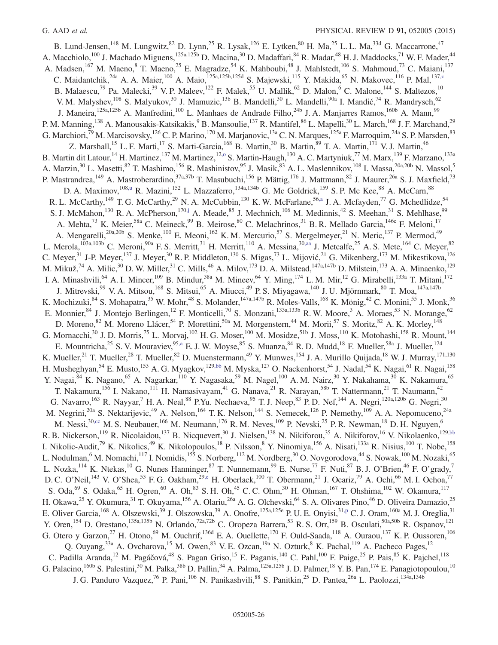<span id="page-25-3"></span><span id="page-25-2"></span><span id="page-25-1"></span><span id="page-25-0"></span>B. Lund-Jensen,<sup>148</sup> M. Lungwitz,<sup>82</sup> D. Lynn,<sup>25</sup> R. Lysak,<sup>126</sup> E. Lytken,<sup>80</sup> H. Ma,<sup>25</sup> L. L. Ma,<sup>33d</sup> G. Maccarrone,<sup>47</sup> A. Macchiolo,<sup>100</sup> J. Machado Miguens,<sup>125a,125b</sup> D. Macina,<sup>30</sup> D. Madaffari,<sup>84</sup> R. Madar,<sup>48</sup> H. J. Maddocks,<sup>71</sup> W. F. Mader,<sup>44</sup> A. Madsen,<sup>167</sup> M. Maeno,<sup>8</sup> T. Maeno,<sup>25</sup> E. Magradze,<sup>54</sup> K. Mahboubi,<sup>48</sup> J. Mahlstedt,<sup>106</sup> S. Mahmoud,<sup>73</sup> C. Maiani,<sup>137</sup> C. Maidantchik,<sup>24a</sup> A. A. Maier,<sup>100</sup> A. Maio,<sup>125a,125b,125d</sup> S. Majewski,<sup>115</sup> Y. Makida,<sup>65</sup> N. Makovec,<sup>116</sup> P. Mal,<sup>13[7,z](#page-33-17)</sup> B. Malaescu,<sup>79</sup> Pa. Malecki,<sup>39</sup> V. P. Maleev,<sup>122</sup> F. Malek,<sup>55</sup> U. Mallik,<sup>62</sup> D. Malon,<sup>6</sup> C. Malone,<sup>144</sup> S. Maltezos,<sup>10</sup> V. M. Malyshev, <sup>108</sup> S. Malyukov, <sup>30</sup> J. Mamuzic, <sup>13b</sup> B. Mandelli, <sup>30</sup> L. Mandelli, <sup>90a</sup> I. Mandić, <sup>74</sup> R. Mandrysch, <sup>62</sup> J. Maneira,<sup>125a,125b</sup> A. Manfredini,<sup>100</sup> L. Manhaes de Andrade Filho,<sup>24b</sup> J. A. Manjarres Ramos,<sup>160b</sup> A. Mann,<sup>99</sup> P. M. Manning,<sup>138</sup> A. Manousakis-Katsikakis,<sup>9</sup> B. Mansoulie,<sup>137</sup> R. Mantifel,<sup>86</sup> L. Mapelli,<sup>30</sup> L. March,<sup>168</sup> J. F. Marchand,<sup>29</sup> G. Marchiori,<sup>79</sup> M. Marcisovsky,<sup>126</sup> C. P. Marino,<sup>170</sup> M. Marjanovic,<sup>13a</sup> C. N. Marques,<sup>125a</sup> F. Marroquim,<sup>24a</sup> S. P. Marsden,<sup>83</sup> Z. Marshall,<sup>15</sup> L. F. Marti,<sup>17</sup> S. Marti-Garcia,<sup>168</sup> B. Martin,<sup>30</sup> B. Martin,<sup>89</sup> T. A. Martin,<sup>171</sup> V. J. Martin,<sup>46</sup> B. Martin dit Latour,<sup>14</sup> H. Martinez,<sup>137</sup> M. Martinez,<sup>12,0</sup> S. Martin-Haugh,<sup>130</sup> A. C. Martyniuk,<sup>77</sup> M. Marx,<sup>139</sup> F. Marzano,<sup>133a</sup> A. Marzin,<sup>30</sup> L. Masetti,<sup>82</sup> T. Mashimo,<sup>156</sup> R. Mashinistov,<sup>95</sup> J. Masik,<sup>83</sup> A. L. Maslennikov,<sup>108</sup> I. Massa,<sup>20a,20b</sup> N. Massol,<sup>5</sup> P. Mastrandrea,<sup>149</sup> A. Mastroberardino,<sup>37a,37b</sup> T. Masubuchi,<sup>156</sup> P. Mättig,<sup>176</sup> J. Mattmann,<sup>82</sup> J. Maurer,<sup>26a</sup> S. J. Maxfield,<sup>73</sup> D. A. Maximov,<sup>10[8,u](#page-33-12)</sup> R. Mazini,<sup>152</sup> L. Mazzaferro,<sup>134a,134b</sup> G. Mc Goldrick,<sup>159</sup> S. P. Mc Kee,<sup>88</sup> A. McCarn,<sup>88</sup> R. L. McCarthy,<sup>149</sup> T. G. McCarthy,<sup>29</sup> N. A. McCubbin,<sup>130</sup> K. W. McFarlane,<sup>5[6,a](#page-32-5)</sup> J. A. Mcfayden,<sup>77</sup> G. Mchedlidze,<sup>54</sup> S. J. McMahon,<sup>130</sup> R. A. McPherson,<sup>17[0,j](#page-33-1)</sup> A. Meade,<sup>85</sup> J. Mechnich,<sup>106</sup> M. Medinnis,<sup>42</sup> S. Meehan,<sup>31</sup> S. Mehlhase,<sup>99</sup> A. Mehta,<sup>73</sup> K. Meier,<sup>58a</sup> C. Meineck,<sup>99</sup> B. Meirose,<sup>80</sup> C. Melachrinos,<sup>31</sup> B. R. Mellado Garcia,<sup>146c</sup> F. Meloni,<sup>17</sup> A. Mengarelli,<sup>20a,20b</sup> S. Menke,<sup>100</sup> E. Meoni,<sup>162</sup> K. M. Mercurio,<sup>57</sup> S. Mergelmeyer,<sup>21</sup> N. Meric,<sup>137</sup> P. Mermod,<sup>49</sup> L. Merola,<sup>103a,103b</sup> C. Meroni,<sup>90a</sup> F. S. Merritt,<sup>31</sup> H. Merritt,<sup>110</sup> A. Messina,<sup>30[,aa](#page-33-18)</sup> J. Metcalfe,<sup>25</sup> A. S. Mete,<sup>164</sup> C. Meyer,<sup>82</sup> C. Meyer,  $31$  J-P. Meyer,  $137$  J. Meyer,  $30$  R. P. Middleton,  $130$  S. Migas,  $73$  L. Mijović,  $21$  G. Mikenberg,  $173$  M. Mikestikova,  $126$ M. Mikuž,<sup>74</sup> A. Milic,<sup>30</sup> D. W. Miller,<sup>31</sup> C. Mills,<sup>46</sup> A. Milov,<sup>173</sup> D. A. Milstead,<sup>147a,147b</sup> D. Milstein,<sup>173</sup> A. A. Minaenko,<sup>129</sup> I. A. Minashvili, <sup>64</sup> A. I. Mincer, <sup>109</sup> B. Mindur, <sup>38a</sup> M. Mineev, <sup>64</sup> Y. Ming, <sup>174</sup> L. M. Mir, <sup>12</sup> G. Mirabelli, <sup>133a</sup> T. Mitani, <sup>172</sup> J. Mitrevski,<sup>99</sup> V. A. Mitsou,<sup>168</sup> S. Mitsui,<sup>65</sup> A. Miucci,<sup>49</sup> P. S. Miyagawa,<sup>140</sup> J. U. Mjörnmark,<sup>80</sup> T. Moa,<sup>147a,147b</sup> K. Mochizuki,  $84$  S. Mohapatra,  $35$  W. Mohr,  $48$  S. Molander,  $147a,147b$  R. Moles-Valls,  $168$  K. Mönig,  $42$  C. Monini,  $55$  J. Monk,  $36$ E. Monnier,  $84$  J. Montejo Berlingen, <sup>12</sup> F. Monticelli, <sup>70</sup> S. Monzani, <sup>133a,133b</sup> R. W. Moore, <sup>3</sup> A. Moraes, <sup>53</sup> N. Morange, <sup>62</sup> D. Moreno, <sup>82</sup> M. Moreno Llácer, <sup>54</sup> P. Morettini, <sup>50a</sup> M. Morgenstern, <sup>44</sup> M. Morii, <sup>57</sup> S. Moritz, <sup>82</sup> A. K. Morley, <sup>148</sup> G. Mornacchi,<sup>30</sup> J. D. Morris,<sup>75</sup> L. Morvaj,<sup>102</sup> H. G. Moser,<sup>100</sup> M. Mosidze,<sup>51b</sup> J. Moss,<sup>110</sup> K. Motohashi,<sup>158</sup> R. Mount,<sup>144</sup> E. Mountricha,<sup>25</sup> S. V. Mouraviev, <sup>95[,a](#page-32-5)</sup> E. J. W. Moyse, <sup>85</sup> S. Muanza, <sup>84</sup> R. D. Mudd, <sup>18</sup> F. Mueller, <sup>58a</sup> J. Mueller, <sup>124</sup> K. Mueller,<sup>21</sup> T. Mueller,<sup>28</sup> T. Mueller,<sup>82</sup> D. Muenstermann,<sup>49</sup> Y. Munwes,<sup>154</sup> J. A. Murillo Quijada,<sup>18</sup> W. J. Murray,<sup>171,130</sup> H. Musheghyan,<sup>54</sup> E. Musto,<sup>153</sup> A. G. Myagkov,<sup>129[,bb](#page-33-19)</sup> M. Myska,<sup>127</sup> O. Nackenhorst,<sup>54</sup> J. Nadal,<sup>54</sup> K. Nagai,<sup>61</sup> R. Nagai,<sup>158</sup> Y. Nagai, <sup>84</sup> K. Nagano, <sup>65</sup> A. Nagarkar, <sup>110</sup> Y. Nagasaka, <sup>59</sup> M. Nagel, <sup>100</sup> A. M. Nairz, <sup>30</sup> Y. Nakahama, <sup>30</sup> K. Nakamura, <sup>65</sup> T. Nakamura,<sup>156</sup> I. Nakano,<sup>111</sup> H. Namasivayam,<sup>41</sup> G. Nanava,<sup>21</sup> R. Narayan,<sup>58b</sup> T. Nattermann,<sup>21</sup> T. Naumann,<sup>42</sup> G. Navarro,<sup>163</sup> R. Nayyar,<sup>7</sup> H. A. Neal,<sup>88</sup> P.Yu. Nechaeva,<sup>95</sup> T. J. Neep,<sup>83</sup> P. D. Nef,<sup>144</sup> A. Negri,<sup>120a,120b</sup> G. Negri,<sup>30</sup> M. Negrini,<sup>20a</sup> S. Nektarijevic,<sup>49</sup> A. Nelson,<sup>164</sup> T. K. Nelson,<sup>144</sup> S. Nemecek,<sup>126</sup> P. Nemethy,<sup>109</sup> A. A. Nepomuceno,<sup>24a</sup> M. Nessi,<sup>3[0,cc](#page-33-20)</sup> M. S. Neubauer,<sup>166</sup> M. Neumann,<sup>176</sup> R. M. Neves,<sup>109</sup> P. Nevski,<sup>25</sup> P. R. Newman,<sup>18</sup> D. H. Nguyen,<sup>6</sup> R. B. Nickerson,<sup>119</sup> R. Nicolaidou,<sup>137</sup> B. Nicquevert,<sup>30</sup> J. Nielsen,<sup>138</sup> N. Nikiforou,<sup>35</sup> A. Nikiforov,<sup>16</sup> V. Nikolaenko,<sup>12[9,bb](#page-33-19)</sup> I. Nikolic-Audit,<sup>79</sup> K. Nikolics,<sup>49</sup> K. Nikolopoulos,<sup>18</sup> P. Nilsson,<sup>8</sup> Y. Ninomiya,<sup>156</sup> A. Nisati,<sup>133a</sup> R. Nisius,<sup>100</sup> T. Nobe,<sup>158</sup> L. Nodulman,<sup>6</sup> M. Nomachi,<sup>117</sup> I. Nomidis,<sup>155</sup> S. Norberg,<sup>112</sup> M. Nordberg,<sup>30</sup> O. Novgorodova,<sup>44</sup> S. Nowak,<sup>100</sup> M. Nozaki,<sup>65</sup> L. Nozka,<sup>114</sup> K. Ntekas,<sup>10</sup> G. Nunes Hanninger,<sup>87</sup> T. Nunnemann,<sup>99</sup> E. Nurse,<sup>77</sup> F. Nuti,<sup>87</sup> B. J. O'Brien,<sup>46</sup> F. O'grady,<sup>7</sup> D. C. O'Neil,<sup>143</sup> V. O'Shea,<sup>53</sup> F. G. Oakham,<sup>29[,e](#page-32-3)</sup> H. Oberlack,<sup>100</sup> T. Obermann,<sup>21</sup> J. Ocariz,<sup>79</sup> A. Ochi,<sup>66</sup> M. I. Ochoa,<sup>77</sup> S. Oda, <sup>69</sup> S. Odaka, <sup>65</sup> H. Ogren, <sup>60</sup> A. Oh, <sup>83</sup> S. H. Oh, <sup>45</sup> C. C. Ohm, <sup>30</sup> H. Ohman, <sup>167</sup> T. Ohshima, <sup>102</sup> W. Okamura, <sup>117</sup> H. Okawa,<sup>25</sup> Y. Okumura,<sup>31</sup> T. Okuyama,<sup>156</sup> A. Olariu,<sup>26a</sup> A. G. Olchevski,<sup>64</sup> S. A. Olivares Pino,<sup>46</sup> D. Oliveira Damazio,<sup>25</sup> E. Oliver Garcia,<sup>168</sup> A. Olszewski,<sup>39</sup> J. Olszowska,<sup>39</sup> A. Onofre,<sup>125a,125e</sup> P. U. E. Onyisi,<sup>31[,p](#page-33-7)</sup> C. J. Oram,<sup>160a</sup> M. J. Oreglia,<sup>31</sup> Y. Oren,<sup>154</sup> D. Orestano,<sup>135a,135b</sup> N. Orlando,<sup>72a,72b</sup> C. Oropeza Barrera,<sup>53</sup> R. S. Orr,<sup>159</sup> B. Osculati,<sup>50a,50b</sup> R. Ospanov,<sup>121</sup> G. Otero y Garzon,<sup>27</sup> H. Otono,<sup>69</sup> M. Ouchrif,<sup>136d</sup> E. A. Ouellette,<sup>170</sup> F. Ould-Saada,<sup>118</sup> A. Ouraou,<sup>137</sup> K. P. Oussoren,<sup>106</sup> Q. Ouyang,<sup>33a</sup> A. Ovcharova,<sup>15</sup> M. Owen,<sup>83</sup> V. E. Ozcan,<sup>19a</sup> N. Ozturk,<sup>8</sup> K. Pachal,<sup>119</sup> A. Pacheco Pages,<sup>12</sup> C. Padilla Aranda,<sup>12</sup> M. Pagáčová,<sup>48</sup> S. Pagan Griso,<sup>15</sup> E. Paganis,<sup>140</sup> C. Pahl,<sup>100</sup> F. Paige,<sup>25</sup> P. Pais,<sup>85</sup> K. Pajchel,<sup>118</sup> G. Palacino,<sup>160b</sup> S. Palestini,<sup>30</sup> M. Palka,<sup>38b</sup> D. Pallin,<sup>34</sup> A. Palma,<sup>125a,125b</sup> J. D. Palmer,<sup>18</sup> Y. B. Pan,<sup>174</sup> E. Panagiotopoulou,<sup>10</sup><br>G. Palacino,<sup>160b</sup> S. Palestini,<sup>30</sup> M. Palka,<sup>38b</sup> D. Pallin,<sup>34</sup> A. Palma, J. G. Panduro Vazquez,<sup>76</sup> P. Pani,<sup>106</sup> N. Panikashvili,<sup>88</sup> S. Panitkin,<sup>25</sup> D. Pantea,<sup>26a</sup> L. Paolozzi,<sup>134a,134b</sup>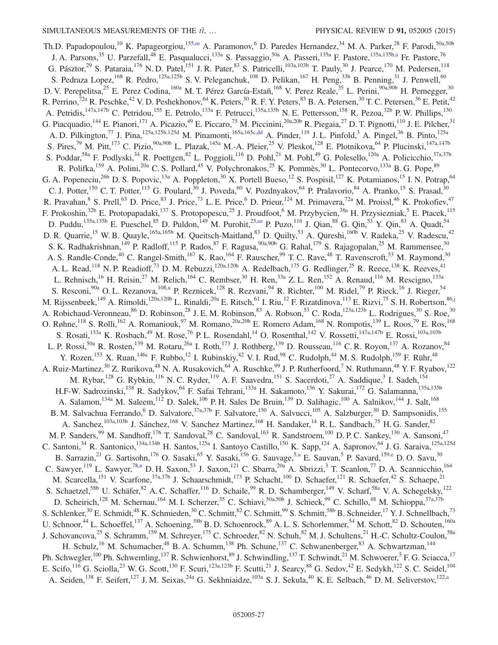<span id="page-26-1"></span><span id="page-26-0"></span>Th.D. Papadopoulou,<sup>10</sup> K. Papageorgiou,<sup>15[5,m](#page-33-4)</sup> A. Paramonov,<sup>6</sup> D. Paredes Hernandez,<sup>34</sup> M. A. Parker,<sup>28</sup> F. Parodi,<sup>50a,50b</sup> J. A. Parsons,<sup>35</sup> U. Parzefall,<sup>48</sup> E. Pasqualucci,<sup>133a</sup> S. Passaggio,<sup>50a</sup> A. Passeri,<sup>135a</sup> F. Pastore,<sup>135a,135b[,a](#page-32-5)</sup> Fr. Pastore,<sup>76</sup> G. Pásztor,<sup>29</sup> S. Pataraia,<sup>176</sup> N. D. Patel,<sup>151</sup> J. R. Pater,<sup>83</sup> S. Patricelli,<sup>103a,103b</sup> T. Pauly,<sup>30</sup> J. Pearce,<sup>170</sup> M. Pedersen,<sup>118</sup> S. Pedraza Lopez,  $^{168}$  R. Pedro,  $^{125a,125b}$  S. V. Peleganchuk,  $^{108}$  D. Pelikan,  $^{167}$  H. Peng,  $^{33b}$  B. Penning,  $^{31}$  J. Penwell,  $^{60}$ D. V. Perepelitsa,<sup>25</sup> E. Perez Codina,<sup>160a</sup> M. T. Pérez García-Estañ,<sup>168</sup> V. Perez Reale,<sup>35</sup> L. Perini,<sup>90a,90b</sup> H. Pernegger,<sup>30</sup> R. Perrino,<sup>72a</sup> R. Peschke,<sup>42</sup> V. D. Peshekhonov,<sup>64</sup> K. Peters,<sup>30</sup> R. F. Y. Peters,<sup>83</sup> B. A. Petersen,<sup>30</sup> T. C. Petersen,<sup>36</sup> E. Petit,<sup>42</sup> A. Petridis,<sup>147a,147b</sup> C. Petridou,<sup>155</sup> E. Petrolo,<sup>133a</sup> F. Petrucci,<sup>135a,135b</sup> N. E. Pettersson,<sup>158</sup> R. Pezoa,<sup>32b</sup> P. W. Phillips,<sup>130</sup> G. Piacquadio,<sup>144</sup> E. Pianori,<sup>171</sup> A. Picazio,<sup>49</sup> E. Piccaro,<sup>75</sup> M. Piccinini,<sup>20a,20b</sup> R. Piegaia,<sup>27</sup> D. T. Pignotti,<sup>110</sup> J. E. Pilcher,<sup>31</sup> A. D. Pilkington,<sup>77</sup> J. Pina,<sup>125a,125b,125d</sup> M. Pinamonti,<sup>165a,165[c,dd](#page-33-21)</sup> A. Pinder,<sup>119</sup> J. L. Pinfold,<sup>3</sup> A. Pingel,<sup>36</sup> B. Pinto,<sup>125a</sup> S. Pires,<sup>79</sup> M. Pitt,<sup>173</sup> C. Pizio,<sup>90a,90b</sup> L. Plazak,<sup>145a</sup> M.-A. Pleier,<sup>25</sup> V. Pleskot,<sup>128</sup> E. Plotnikova,<sup>64</sup> P. Plucinski,<sup>147a,147b</sup> S. Poddar,<sup>58a</sup> F. Podlyski,<sup>34</sup> R. Poettgen,<sup>82</sup> L. Poggioli,<sup>116</sup> D. Pohl,<sup>21</sup> M. Pohl,<sup>49</sup> G. Polesello,<sup>120a</sup> A. Policicchio,<sup>37a,37b</sup> R. Polifka,<sup>159</sup> A. Polini,<sup>20a</sup> C. S. Pollard,<sup>45</sup> V. Polychronakos,<sup>25</sup> K. Pommès,<sup>30</sup> L. Pontecorvo,<sup>133a</sup> B. G. Pope,<sup>89</sup> G. A. Popeneciu,<sup>26b</sup> D. S. Popovic,<sup>13a</sup> A. Poppleton,<sup>30</sup> X. Portell Bueso,<sup>12</sup> S. Pospisil,<sup>127</sup> K. Potamianos,<sup>15</sup> I. N. Potrap,<sup>64</sup> C. J. Potter,<sup>150</sup> C. T. Potter,<sup>115</sup> G. Poulard,<sup>30</sup> J. Poveda,<sup>60</sup> V. Pozdnyakov,<sup>64</sup> P. Pralavorio,<sup>84</sup> A. Pranko,<sup>15</sup> S. Prasad,<sup>30</sup> R. Pravahan, <sup>8</sup> S. Prell,<sup>63</sup> D. Price,<sup>83</sup> J. Price,<sup>73</sup> L. E. Price,<sup>6</sup> D. Prieur,<sup>124</sup> M. Primavera,<sup>72a</sup> M. Proissl,<sup>46</sup> K. Prokofiev,<sup>47</sup> F. Prokoshin,<sup>32b</sup> E. Protopapadaki,<sup>137</sup> S. Protopopescu,<sup>25</sup> J. Proudfoot,<sup>6</sup> M. Przybycien,<sup>38a</sup> H. Przysiezniak,<sup>5</sup> E. Ptacek,<sup>115</sup> D. Puddu,<sup>135a,135b</sup> E. Pueschel,<sup>85</sup> D. Puldon,<sup>149</sup> M. Purohit,<sup>2[5,ee](#page-33-22)</sup> P. Puzo,<sup>116</sup> J. Qian,<sup>88</sup> G. Qin,<sup>53</sup> Y. Qin,<sup>83</sup> A. Quadt,<sup>54</sup> D. R. Quarrie,<sup>15</sup> W. B. Quayle,<sup>165a,165b</sup> M. Queitsch-Maitland,<sup>83</sup> D. Quilty,<sup>53</sup> A. Qureshi,<sup>160b</sup> V. Radeka,<sup>25</sup> V. Radescu,<sup>42</sup> S. K. Radhakrishnan,<sup>149</sup> P. Radloff,<sup>115</sup> P. Rados,<sup>87</sup> F. Ragusa,<sup>90a,90b</sup> G. Rahal,<sup>179</sup> S. Rajagopalan,<sup>25</sup> M. Rammensee,<sup>30</sup> A. S. Randle-Conde,<sup>40</sup> C. Rangel-Smith,<sup>167</sup> K. Rao,<sup>164</sup> F. Rauscher,<sup>99</sup> T. C. Rave,<sup>48</sup> T. Ravenscroft,<sup>53</sup> M. Raymond,<sup>30</sup> A. L. Read,<sup>118</sup> N. P. Readioff,<sup>73</sup> D. M. Rebuzzi,<sup>120a,120b</sup> A. Redelbach,<sup>175</sup> G. Redlinger,<sup>25</sup> R. Reece,<sup>138</sup> K. Reeves,<sup>41</sup> L. Rehnisch,<sup>16</sup> H. Reisin,<sup>27</sup> M. Relich,<sup>164</sup> C. Rembser,<sup>30</sup> H. Ren,<sup>33a</sup> Z. L. Ren,<sup>152</sup> A. Renaud,<sup>116</sup> M. Rescigno,<sup>133a</sup> S. Resconi,<sup>90a</sup> O. L. Rezanova, <sup>108[,u](#page-33-12)</sup> P. Reznicek, <sup>128</sup> R. Rezvani, <sup>94</sup> R. Richter, <sup>100</sup> M. Ridel, <sup>79</sup> P. Rieck, <sup>16</sup> J. Rieger, <sup>54</sup> M. Rijssenbeek,<sup>149</sup> A. Rimoldi,<sup>120a,120b</sup> L. Rinaldi,<sup>20a</sup> E. Ritsch,<sup>61</sup> I. Riu,<sup>12</sup> F. Rizatdinova,<sup>113</sup> E. Rizvi,<sup>75</sup> S. H. Robertson,<sup>8[6,j](#page-33-1)</sup> A. Robichaud-Veronneau,  $^{86}$  D. Robinson,  $^{28}$  J. E. M. Robinson,  $^{83}$  A. Robson,  $^{53}$  C. Roda,  $^{123a,123b}$  L. Rodrigues,  $^{30}$  S. Roe,  $^{30}$ O. Røhne,<sup>118</sup> S. Rolli,<sup>162</sup> A. Romaniouk,<sup>97</sup> M. Romano,<sup>20a,20b</sup> E. Romero Adam,<sup>168</sup> N. Rompotis,<sup>139</sup> L. Roos,<sup>79</sup> E. Ros,<sup>168</sup> S. Rosati,<sup>133a</sup> K. Rosbach,<sup>49</sup> M. Rose,<sup>76</sup> P. L. Rosendahl,<sup>14</sup> O. Rosenthal,<sup>142</sup> V. Rossetti,<sup>147a,147b</sup> E. Rossi,<sup>103a,103b</sup> L. P. Rossi,<sup>50a</sup> R. Rosten,<sup>139</sup> M. Rotaru,<sup>26a</sup> I. Roth,<sup>173</sup> J. Rothberg,<sup>139</sup> D. Rousseau,<sup>116</sup> C. R. Royon,<sup>137</sup> A. Rozanov,<sup>84</sup> Y. Rozen,<sup>153</sup> X. Ruan,<sup>146c</sup> F. Rubbo,<sup>12</sup> I. Rubinskiy,<sup>42</sup> V. I. Rud,<sup>98</sup> C. Rudolph,<sup>44</sup> M. S. Rudolph,<sup>159</sup> F. Rühr,<sup>48</sup> A. Ruiz-Martinez, $30$  Z. Rurikova, $48$  N. A. Rusakovich, $64$  A. Ruschke, $99$  J. P. Rutherfoord,<sup>7</sup> N. Ruthmann, $48$  Y. F. Ryabov,<sup>122</sup> M. Rybar,<sup>128</sup> G. Rybkin,<sup>116</sup> N. C. Ryder,<sup>119</sup> A. F. Saavedra,<sup>151</sup> S. Sacerdoti,<sup>27</sup> A. Saddique,<sup>3</sup> I. Sadeh,<sup>154</sup> H.F-W. Sadrozinski,<sup>138</sup> R. Sadykov,<sup>64</sup> F. Safai Tehrani,<sup>133a</sup> H. Sakamoto,<sup>156</sup> Y. Sakurai,<sup>172</sup> G. Salamanna,<sup>135a,135b</sup> A. Salamon,<sup>134a</sup> M. Saleem,<sup>112</sup> D. Salek,<sup>106</sup> P. H. Sales De Bruin,<sup>139</sup> D. Salihagic,<sup>100</sup> A. Salnikov,<sup>144</sup> J. Salt,<sup>168</sup> B. M. Salvachua Ferrando,<sup>6</sup> D. Salvatore,<sup>37a,37b</sup> F. Salvatore,<sup>150</sup> A. Salvucci,<sup>105</sup> A. Salzburger,<sup>30</sup> D. Sampsonidis,<sup>155</sup> A. Sanchez, <sup>103a,103b</sup> J. Sánchez, <sup>168</sup> V. Sanchez Martinez, <sup>168</sup> H. Sandaker, <sup>14</sup> R. L. Sandbach, <sup>75</sup> H. G. Sander, <sup>82</sup> M. P. Sanders,<sup>99</sup> M. Sandhoff,<sup>176</sup> T. Sandoval,<sup>28</sup> C. Sandoval,<sup>163</sup> R. Sandstroem,<sup>100</sup> D. P. C. Sankey,<sup>130</sup> A. Sansoni,<sup>47</sup> C. Santoni,<sup>34</sup> R. Santonico,<sup>134a,134b</sup> H. Santos,<sup>125a</sup> I. Santoyo Castillo,<sup>150</sup> K. Sapp,<sup>124</sup> A. Sapronov,<sup>64</sup> J. G. Saraiva,<sup>125a,125d</sup> B. Sarrazin,<sup>21</sup> G. Sartisohn,<sup>176</sup> O. Sasaki,<sup>65</sup> Y. Sasaki,<sup>156</sup> G. Sauvage,<sup>5[,a](#page-32-5)</sup> E. Sauvan,<sup>5</sup> P. Savard,<sup>159[,e](#page-32-3)</sup> D. O. Savu,<sup>30</sup> C. Sawyer,<sup>119</sup> L. Sawyer,<sup>78[,n](#page-33-5)</sup> D. H. Saxon,<sup>53</sup> J. Saxon,<sup>121</sup> C. Sbarra,<sup>20a</sup> A. Sbrizzi,<sup>3</sup> T. Scanlon,<sup>77</sup> D. A. Scannicchio,<sup>164</sup> M. Scarcella,<sup>151</sup> V. Scarfone,<sup>37a,37b</sup> J. Schaarschmidt,<sup>173</sup> P. Schacht,<sup>100</sup> D. Schaefer,<sup>121</sup> R. Schaefer,<sup>42</sup> S. Schaepe,<sup>21</sup> S. Schaetzel,<sup>58b</sup> U. Schäfer,<sup>82</sup> A. C. Schaffer,<sup>116</sup> D. Schaile,<sup>99</sup> R. D. Schamberger,<sup>149</sup> V. Scharf,<sup>58a</sup> V. A. Schegelsky,<sup>122</sup> D. Scheirich,<sup>128</sup> M. Schernau,<sup>164</sup> M. I. Scherzer,<sup>35</sup> C. Schiavi,<sup>50a,50b</sup> J. Schieck,<sup>99</sup> C. Schillo,<sup>48</sup> M. Schioppa,<sup>37a,37b</sup> S. Schlenker,<sup>30</sup> E. Schmidt,<sup>48</sup> K. Schmieden,<sup>30</sup> C. Schmitt,<sup>82</sup> C. Schmitt,<sup>99</sup> S. Schmitt,<sup>58b</sup> B. Schneider,<sup>17</sup> Y. J. Schnellbach,<sup>73</sup> U. Schnoor,<sup>44</sup> L. Schoeffel,<sup>137</sup> A. Schoening,<sup>58b</sup> B. D. Schoenrock,<sup>89</sup> A. L. S. Schorlemmer,<sup>54</sup> M. Schott,<sup>82</sup> D. Schouten,<sup>160a</sup> J. Schovancova,<sup>25</sup> S. Schramm,<sup>159</sup> M. Schreyer,<sup>175</sup> C. Schroeder,<sup>82</sup> N. Schuh,<sup>82</sup> M. J. Schultens,<sup>21</sup> H.-C. Schultz-Coulon,<sup>58a</sup> H. Schulz,<sup>16</sup> M. Schumacher,<sup>48</sup> B. A. Schumm,<sup>138</sup> Ph. Schune,<sup>137</sup> C. Schwanenberger,<sup>83</sup> A. Schwartzman,<sup>144</sup> Ph. Schwegler,<sup>100</sup> Ph. Schwemling,<sup>137</sup> R. Schwienhorst,<sup>89</sup> J. Schwindling,<sup>137</sup> T. Schwindt,<sup>21</sup> M. Schwoerer,<sup>5</sup> F. G. Sciacca,<sup>17</sup> E. Scifo,<sup>116</sup> G. Sciolla,<sup>23</sup> W. G. Scott,<sup>130</sup> F. Scuri,<sup>123a,123b</sup> F. Scutti,<sup>21</sup> J. Searcy,<sup>88</sup> G. Sedov,<sup>42</sup> E. Sedykh,<sup>122</sup> S. C. Seidel,<sup>104</sup> A. Seiden,<sup>138</sup> F. Seifert,<sup>127</sup> J. M. Seixas,<sup>24a</sup> G. Sekhniaidze,<sup>103a</sup> S. J. Sekula,<sup>40</sup> K. E. Selbach,<sup>46</sup> D. M. Seliverstov,<sup>12[2,a](#page-32-5)</sup>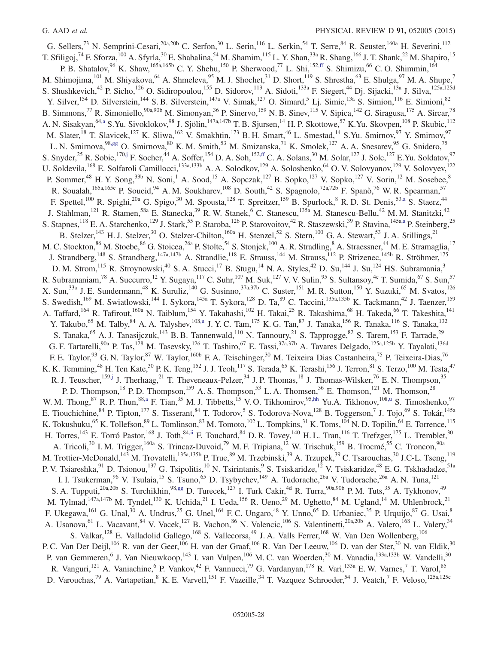<span id="page-27-3"></span><span id="page-27-2"></span><span id="page-27-1"></span><span id="page-27-0"></span>G. Sellers,<sup>73</sup> N. Semprini-Cesari,<sup>20a,20b</sup> C. Serfon,<sup>30</sup> L. Serin,<sup>116</sup> L. Serkin,<sup>54</sup> T. Serre,<sup>84</sup> R. Seuster,<sup>160a</sup> H. Severini,<sup>112</sup> T. Sfiligoj,<sup>74</sup> F. Sforza,<sup>100</sup> A. Sfyrla,<sup>30</sup> E. Shabalina,<sup>54</sup> M. Shamim,<sup>115</sup> L. Y. Shan,<sup>33a</sup> R. Shang,<sup>166</sup> J. T. Shank,<sup>22</sup> M. Shapiro,<sup>15</sup> P. B. Shatalov,  $96$  K. Shaw,  $165a,165b$  C. Y. Shehu,  $150$  P. Sherwood,  $77$  L. Shi,  $152,ff$  $152,ff$  S. Shimizu,  $66$  C. O. Shimmin,  $164$ M. Shimojima,<sup>101</sup> M. Shiyakova,<sup>64</sup> A. Shmeleva,<sup>95</sup> M. J. Shochet,<sup>31</sup> D. Short,<sup>119</sup> S. Shrestha,<sup>63</sup> E. Shulga,<sup>97</sup> M. A. Shupe,<sup>7</sup> S. Shushkevich,<sup>42</sup> P. Sicho,<sup>126</sup> O. Sidiropoulou,<sup>155</sup> D. Sidorov,<sup>113</sup> A. Sidoti,<sup>133a</sup> F. Siegert,<sup>44</sup> Dj. Sijacki,<sup>13a</sup> J. Silva,<sup>125a,125d</sup> Y. Silver,<sup>154</sup> D. Silverstein,<sup>144</sup> S. B. Silverstein,<sup>147a</sup> V. Simak,<sup>127</sup> O. Simard,<sup>5</sup> Lj. Simic,<sup>13a</sup> S. Simion,<sup>116</sup> E. Simioni,<sup>82</sup> B. Simmons,<sup>77</sup> R. Simoniello,<sup>90a,90b</sup> M. Simonyan,<sup>36</sup> P. Sinervo,<sup>159</sup> N. B. Sinev,<sup>115</sup> V. Sipica,<sup>142</sup> G. Siragusa,<sup>175</sup> A. Sircar,<sup>78</sup> A. N. Sisakyan,<sup>6[4,a](#page-32-5)</sup> S.Yu. Sivoklokov,<sup>98</sup> J. Sjölin,<sup>147a,147b</sup> T. B. Sjursen,<sup>14</sup> H. P. Skottowe,<sup>57</sup> K.Yu. Skovpen,<sup>108</sup> P. Skubic,<sup>112</sup> M. Slater,<sup>18</sup> T. Slavicek,<sup>127</sup> K. Sliwa,<sup>162</sup> V. Smakhtin,<sup>173</sup> B. H. Smart,<sup>46</sup> L. Smestad,<sup>14</sup> S.Yu. Smirnov,<sup>97</sup> Y. Smirnov,<sup>97</sup> L. N. Smirnova,<sup>9[8,gg](#page-33-24)</sup> O. Smirnova,<sup>80</sup> K. M. Smith,<sup>53</sup> M. Smizanska,<sup>71</sup> K. Smolek,<sup>127</sup> A. A. Snesarev,<sup>95</sup> G. Snidero,<sup>75</sup> S. Snyder,<sup>25</sup> R. Sobie,<sup>170[,j](#page-33-1)</sup> F. Socher,<sup>44</sup> A. Soffer,<sup>154</sup> D. A. Soh,<sup>15[2,ff](#page-33-23)</sup> C. A. Solans,<sup>30</sup> M. Solar,<sup>127</sup> J. Solc,<sup>127</sup> E.Yu. Soldatov,<sup>97</sup> U. Soldevila,<sup>168</sup> E. Solfaroli Camillocci,<sup>133a,133b</sup> A. A. Solodkov,<sup>129</sup> A. Soloshenko,<sup>64</sup> O. V. Solovyanov,<sup>129</sup> V. Solovyev,<sup>122</sup> P. Sommer,<sup>48</sup> H. Y. Song,<sup>33b</sup> N. Soni,<sup>1</sup> A. Sood,<sup>15</sup> A. Sopczak,<sup>127</sup> B. Sopko,<sup>127</sup> V. Sopko,<sup>127</sup> V. Sorin,<sup>12</sup> M. Sosebee,<sup>8</sup> R. Soualah, <sup>165a,165c</sup> P. Soueid, <sup>94</sup> A. M. Soukharev, <sup>108</sup> D. South, <sup>42</sup> S. Spagnolo, <sup>72a,72b</sup> F. Spanò, <sup>76</sup> W. R. Spearman, <sup>57</sup> F. Spettel,<sup>100</sup> R. Spighi,<sup>20a</sup> G. Spigo,<sup>30</sup> M. Spousta,<sup>128</sup> T. Spreitzer,<sup>159</sup> B. Spurlock,<sup>8</sup> R. D. St. Denis,<sup>53[,a](#page-32-5)</sup> S. Staerz,<sup>44</sup> J. Stahlman,<sup>121</sup> R. Stamen,<sup>58a</sup> E. Stanecka,<sup>39</sup> R. W. Stanek,<sup>6</sup> C. Stanescu,<sup>135a</sup> M. Stanescu-Bellu,<sup>42</sup> M. M. Stanitzki,<sup>42</sup> S. Stapnes,<sup>118</sup> E. A. Starchenko,<sup>129</sup> J. Stark,<sup>55</sup> P. Staroba,<sup>126</sup> P. Starovoitov,<sup>42</sup> R. Staszewski,<sup>39</sup> P. Stavina,<sup>145a[,a](#page-32-5)</sup> P. Steinberg,<sup>25</sup> B. Stelzer,<sup>143</sup> H. J. Stelzer,<sup>30</sup> O. Stelzer-Chilton,<sup>160a</sup> H. Stenzel,<sup>52</sup> S. Stern,<sup>100</sup> G. A. Stewart,<sup>53</sup> J. A. Stillings,<sup>21</sup> M. C. Stockton,<sup>86</sup> M. Stoebe,<sup>86</sup> G. Stoicea,<sup>26a</sup> P. Stolte,<sup>54</sup> S. Stonjek,<sup>100</sup> A. R. Stradling,<sup>8</sup> A. Straessner,<sup>44</sup> M. E. Stramaglia,<sup>17</sup> J. Strandberg,<sup>148</sup> S. Strandberg,<sup>147a,147b</sup> A. Strandlie,<sup>118</sup> E. Strauss,<sup>144</sup> M. Strauss,<sup>112</sup> P. Strizenec,<sup>145b</sup> R. Ströhmer,<sup>175</sup> D. M. Strom,<sup>115</sup> R. Stroynowski,<sup>40</sup> S. A. Stucci,<sup>17</sup> B. Stugu,<sup>14</sup> N. A. Styles,<sup>42</sup> D. Su,<sup>144</sup> J. Su,<sup>124</sup> HS. Subramania,<sup>3</sup> R. Subramaniam,<sup>78</sup> A. Succurro,<sup>12</sup> Y. Sugaya,<sup>117</sup> C. Suhr,<sup>107</sup> M. Suk,<sup>127</sup> V. V. Sulin,<sup>95</sup> S. Sultansoy,<sup>4c</sup> T. Sumida,<sup>67</sup> S. Sun,<sup>57</sup> X. Sun,<sup>33a</sup> J. E. Sundermann,<sup>48</sup> K. Suruliz,<sup>140</sup> G. Susinno,<sup>37a,37b</sup> C. Suster,<sup>151</sup> M. R. Sutton,<sup>150</sup> Y. Suzuki,<sup>65</sup> M. Svatos,<sup>126</sup> S. Swedish,<sup>169</sup> M. Swiatlowski,<sup>144</sup> I. Sykora,<sup>145a</sup> T. Sykora,<sup>128</sup> D. Ta,<sup>89</sup> C. Taccini,<sup>135a,135b</sup> K. Tackmann,<sup>42</sup> J. Taenzer,<sup>159</sup> A. Taffard,<sup>164</sup> R. Tafirout,<sup>160a</sup> N. Taiblum,<sup>154</sup> Y. Takahashi,<sup>102</sup> H. Takai,<sup>25</sup> R. Takashima,<sup>68</sup> H. Takeda,<sup>66</sup> T. Takeshita,<sup>141</sup> Y. Takubo,<sup>65</sup> M. Talby,<sup>84</sup> A. A. Talyshev,<sup>10[8,u](#page-33-12)</sup> J. Y. C. Tam,<sup>175</sup> K. G. Tan,<sup>87</sup> J. Tanaka,<sup>156</sup> R. Tanaka,<sup>116</sup> S. Tanaka,<sup>132</sup> S. Tanaka, <sup>65</sup> A. J. Tanasijczuk,  $^{143}$  B. B. Tannenwald,  $^{110}$  N. Tannoury,  $^{21}$  S. Tapprogge,  $^{82}$  S. Tarem,  $^{153}$  F. Tarrade,  $^{29}$ G. F. Tartarelli,<sup>90a</sup> P. Tas,<sup>128</sup> M. Tasevsky,<sup>126</sup> T. Tashiro,<sup>67</sup> E. Tassi,<sup>37a,37b</sup> A. Tavares Delgado,<sup>125a,125b</sup> Y. Tayalati,<sup>136d</sup> F. E. Taylor,<sup>93</sup> G. N. Taylor,<sup>87</sup> W. Taylor,<sup>160b</sup> F. A. Teischinger,<sup>30</sup> M. Teixeira Dias Castanheira,<sup>75</sup> P. Teixeira-Dias,<sup>76</sup> K. K. Temming,<sup>48</sup> H. Ten Kate,<sup>30</sup> P. K. Teng,<sup>152</sup> J. J. Teoh,<sup>117</sup> S. Terada,<sup>65</sup> K. Terashi,<sup>156</sup> J. Terron,<sup>81</sup> S. Terzo,<sup>100</sup> M. Testa,<sup>47</sup> R. J. Teuscher,<sup>15[9,j](#page-33-1)</sup> J. Therhaag,<sup>21</sup> T. Theveneaux-Pelzer,<sup>34</sup> J. P. Thomas,<sup>18</sup> J. Thomas-Wilsker,<sup>76</sup> E. N. Thompson,<sup>35</sup> P. D. Thompson,<sup>18</sup> P. D. Thompson,<sup>159</sup> A. S. Thompson,<sup>53</sup> L. A. Thomsen,<sup>36</sup> E. Thomson,<sup>121</sup> M. Thomson,<sup>28</sup> W. M. Thong,  $87$  R. P. Thun,  $88, a$  F. Tian,  $35$  M. J. Tibbetts,  $15$  V. O. Tikhomirov,  $95, hh$  Yu.A. Tikhonov,  $108, u$  S. Timoshenko,  $97$ E. Tiouchichine,  $84$  P. Tipton,<sup>177</sup> S. Tisserant,  $84$  T. Todorov, <sup>5</sup> S. Todorova-Nova,  $128$  B. Toggerson, <sup>7</sup> J. Tojo,  $69$  S. Tokár,  $145a$ K. Tokushuku,<sup>65</sup> K. Tollefson,<sup>89</sup> L. Tomlinson,<sup>83</sup> M. Tomoto,<sup>102</sup> L. Tompkins,<sup>31</sup> K. Toms,<sup>104</sup> N. D. Topilin,<sup>64</sup> E. Torrence,<sup>115</sup> H. Torres,<sup>143</sup> E. Torró Pastor,<sup>168</sup> J. Toth,<sup>8[4,ii](#page-33-26)</sup> F. Touchard,<sup>84</sup> D. R. Tovey,<sup>140</sup> H. L. Tran,<sup>116</sup> T. Trefzger,<sup>175</sup> L. Tremblet,<sup>30</sup> A. Tricoli,<sup>30</sup> I. M. Trigger,<sup>160a</sup> S. Trincaz-Duvoid,<sup>79</sup> M. F. Tripiana,<sup>12</sup> W. Trischuk,<sup>159</sup> B. Trocmé,<sup>55</sup> C. Troncon,<sup>90a</sup> M. Trottier-McDonald,<sup>143</sup> M. Trovatelli,<sup>135a,135b</sup> P. True,<sup>89</sup> M. Trzebinski,<sup>39</sup> A. Trzupek,<sup>39</sup> C. Tsarouchas,<sup>30</sup> J.C-L. Tseng,<sup>119</sup> P. V. Tsiareshka,<sup>91</sup> D. Tsionou,<sup>137</sup> G. Tsipolitis,<sup>10</sup> N. Tsirintanis,<sup>9</sup> S. Tsiskaridze,<sup>12</sup> V. Tsiskaridze,<sup>48</sup> E. G. Tskhadadze,<sup>51a</sup> I. I. Tsukerman,<sup>96</sup> V. Tsulaia,<sup>15</sup> S. Tsuno,<sup>65</sup> D. Tsybychev,<sup>149</sup> A. Tudorache,<sup>26a</sup> V. Tudorache,<sup>26a</sup> A. N. Tuna,<sup>121</sup> S. A. Tupputi,<sup>20a,20b</sup> S. Turchikhin,<sup>98[,gg](#page-33-24)</sup> D. Turecek,<sup>127</sup> I. Turk Cakir,<sup>4d</sup> R. Turra,<sup>90a,90b</sup> P. M. Tuts,<sup>35</sup> A. Tykhonov,<sup>49</sup> M. Tylmad,<sup>147a,147b</sup> M. Tyndel,<sup>130</sup> K. Uchida,<sup>21</sup> I. Ueda,<sup>156</sup> R. Ueno,<sup>29</sup> M. Ughetto,<sup>84</sup> M. Ugland,<sup>14</sup> M. Uhlenbrock,<sup>21</sup> F. Ukegawa, <sup>161</sup> G. Unal, <sup>30</sup> A. Undrus, <sup>25</sup> G. Unel, <sup>164</sup> F. C. Ungaro, <sup>48</sup> Y. Unno, <sup>65</sup> D. Urbaniec, <sup>35</sup> P. Urquijo, <sup>87</sup> G. Usai, <sup>8</sup> A. Usanova, <sup>61</sup> L. Vacavant, <sup>84</sup> V. Vacek, <sup>127</sup> B. Vachon, <sup>86</sup> N. Valencic, <sup>106</sup> S. Valentinetti, <sup>20a, 20b</sup> A. Valero, <sup>168</sup> L. Valery, <sup>34</sup> S. Valkar,<sup>128</sup> E. Valladolid Gallego,<sup>168</sup> S. Vallecorsa,<sup>49</sup> J. A. Valls Ferrer,<sup>168</sup> W. Van Den Wollenberg,<sup>106</sup> P. C. Van Der Deijl,<sup>106</sup> R. van der Geer,<sup>106</sup> H. van der Graaf,<sup>106</sup> R. Van Der Leeuw,<sup>106</sup> D. van der Ster,<sup>30</sup> N. van Eldik,<sup>30</sup> P. van Gemmeren,<sup>6</sup> J. Van Nieuwkoop,<sup>143</sup> I. van Vulpen,<sup>106</sup> M. C. van Woerden,<sup>30</sup> M. Vanadia,<sup>133a,133b</sup> W. Vandelli,<sup>30</sup> R. Vanguri,<sup>121</sup> A. Vaniachine,<sup>6</sup> P. Vankov,<sup>42</sup> F. Vannucci,<sup>79</sup> G. Vardanyan,<sup>178</sup> R. Vari,<sup>133a</sup> E. W. Varnes,<sup>7</sup> T. Varol,<sup>85</sup> D. Varouchas,<sup>79</sup> A. Vartapetian,<sup>8</sup> K. E. Varvell,<sup>151</sup> F. Vazeille,<sup>34</sup> T. Vazquez Schroeder,<sup>54</sup> J. Veatch,<sup>7</sup> F. Veloso,<sup>125a,125c</sup>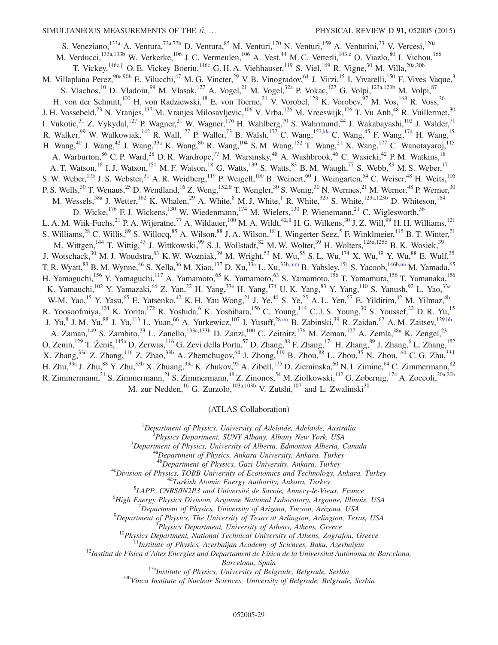<span id="page-28-2"></span><span id="page-28-1"></span><span id="page-28-0"></span>S. Veneziano,  $^{133a}$  A. Ventura,  $^{72a,72b}$  D. Ventura,  $^{85}$  M. Venturi,  $^{170}$  N. Venturi,  $^{159}$  A. Venturini,  $^{23}$  V. Vercesi,  $^{120a}$ M. Verducci,<sup>133a,133b</sup> W. Verkerke,<sup>106</sup> J. C. Vermeulen,<sup>106</sup> A. Vest,<sup>44</sup> M. C. Vetterli,<sup>14[3,e](#page-32-3)</sup> O. Viazlo,<sup>80</sup> I. Vichou,<sup>166</sup> T. Vickey,<sup>146c[,jj](#page-33-27)</sup> O. E. Vickey Boeriu,<sup>146c</sup> G. H. A. Viehhauser,<sup>119</sup> S. Viel,<sup>169</sup> R. Vigne,<sup>30</sup> M. Villa,<sup>20a,20b</sup> M. Villaplana Perez,  $90a,90b$  E. Vilucchi,  $47$  M. G. Vincter,  $29$  V. B. Vinogradov,  $64$  J. Virzi,  $15$  I. Vivarelli,  $150$  F. Vives Vaque,  $3$ S. Vlachos,<sup>10</sup> D. Vladoiu,<sup>99</sup> M. Vlasak,<sup>127</sup> A. Vogel,<sup>21</sup> M. Vogel,<sup>32a</sup> P. Vokac,<sup>127</sup> G. Volpi,<sup>123a,123b</sup> M. Volpi,<sup>87</sup> H. von der Schmitt,<sup>100</sup> H. von Radziewski,<sup>48</sup> E. von Toerne,<sup>21</sup> V. Vorobel,<sup>128</sup> K. Vorobev,<sup>97</sup> M. Vos,<sup>168</sup> R. Voss,<sup>30</sup> J. H. Vossebeld,<sup>73</sup> N. Vranjes,<sup>137</sup> M. Vranjes Milosavljevic,<sup>106</sup> V. Vrba,<sup>126</sup> M. Vreeswijk,<sup>106</sup> T. Vu Anh,<sup>48</sup> R. Vuillermet,<sup>30</sup> I. Vukotic, $\frac{31}{2}$  Z. Vykydal,<sup>127</sup> P. Wagner,<sup>21</sup> W. Wagner,<sup>176</sup> H. Wahlberg,<sup>70</sup> S. Wahrmund,<sup>44</sup> J. Wakabayashi,<sup>102</sup> J. Walder,<sup>71</sup> R. Walker,<sup>99</sup> W. Walkowiak,<sup>142</sup> R. Wall,<sup>177</sup> P. Waller,<sup>73</sup> B. Walsh,<sup>177</sup> C. Wang,<sup>152[,kk](#page-33-28)</sup> C. Wang,<sup>45</sup> F. Wang,<sup>174</sup> H. Wang,<sup>15</sup> H. Wang,<sup>40</sup> J. Wang,<sup>42</sup> J. Wang,<sup>33a</sup> K. Wang,<sup>86</sup> R. Wang,<sup>104</sup> S. M. Wang,<sup>152</sup> T. Wang,<sup>21</sup> X. Wang,<sup>177</sup> C. Wanotayaroj,<sup>115</sup> A. Warburton, <sup>86</sup> C. P. Ward, <sup>28</sup> D. R. Wardrope,<sup>77</sup> M. Warsinsky, <sup>48</sup> A. Washbrook, <sup>46</sup> C. Wasicki, <sup>42</sup> P. M. Watkins, <sup>18</sup> A. T. Watson,<sup>18</sup> I. J. Watson,<sup>151</sup> M. F. Watson,<sup>18</sup> G. Watts,<sup>139</sup> S. Watts,<sup>83</sup> B. M. Waugh,<sup>77</sup> S. Webb,<sup>83</sup> M. S. Weber,<sup>17</sup> S. W. Weber,<sup>175</sup> J. S. Webster,<sup>31</sup> A. R. Weidberg,<sup>119</sup> P. Weigell,<sup>100</sup> B. Weinert,<sup>60</sup> J. Weingarten,<sup>54</sup> C. Weiser,<sup>48</sup> H. Weits,<sup>106</sup> P. S. Wells,<sup>30</sup> T. Wenaus,<sup>25</sup> D. Wendland,<sup>16</sup> Z. Weng,<sup>15[2,ff](#page-33-23)</sup> T. Wengler,<sup>30</sup> S. Wenig,<sup>30</sup> N. Wermes,<sup>21</sup> M. Werner,<sup>48</sup> P. Werner,<sup>30</sup> M. Wessels,<sup>58a</sup> J. Wetter,<sup>162</sup> K. Whalen,<sup>29</sup> A. White,<sup>8</sup> M. J. White,<sup>1</sup> R. White,<sup>32b</sup> S. White,<sup>123a,123b</sup> D. Whiteson,<sup>164</sup> D. Wicke,<sup>176</sup> F. J. Wickens,<sup>130</sup> W. Wiedenmann,<sup>174</sup> M. Wielers,<sup>130</sup> P. Wienemann,<sup>21</sup> C. Wiglesworth,<sup>36</sup> L. A. M. Wiik-Fuchs,<sup>21</sup> P. A. Wijeratne,<sup>77</sup> A. Wildauer,<sup>100</sup> M. A. Wildt,<sup>42[,ll](#page-33-29)</sup> H. G. Wilkens,<sup>30</sup> J. Z. Will,<sup>99</sup> H. H. Williams,<sup>121</sup> S. Williams,  $^{28}$  C. Willis,  $^{89}$  S. Willocq,  $^{85}$  A. Wilson,  $^{88}$  J. A. Wilson,  $^{18}$  I. Wingerter-Seez,  $^{5}$  F. Winklmeier,  $^{115}$  B. T. Winter,  $^{21}$ M. Wittgen,<sup>144</sup> T. Wittig,<sup>43</sup> J. Wittkowski,<sup>99</sup> S. J. Wollstadt,<sup>82</sup> M. W. Wolter,<sup>39</sup> H. Wolters,<sup>125a,125c</sup> B. K. Wosiek,<sup>39</sup> J. Wotschack,<sup>30</sup> M. J. Woudstra,<sup>83</sup> K. W. Wozniak,<sup>39</sup> M. Wright,<sup>53</sup> M. Wu,<sup>55</sup> S. L. Wu,<sup>174</sup> X. Wu,<sup>49</sup> Y. Wu,<sup>88</sup> E. Wulf,<sup>35</sup> T. R. Wyatt, <sup>83</sup> B. M. Wynne, <sup>46</sup> S. Xella, <sup>36</sup> M. Xiao, <sup>137</sup> D. Xu, <sup>33a</sup> L. Xu, <sup>33[b,mm](#page-33-30)</sup> B. Yabsley, <sup>151</sup> S. Yacoob, <sup>146b[,nn](#page-33-31)</sup> M. Yamada, <sup>65</sup> H. Yamaguchi,<sup>156</sup> Y. Yamaguchi,<sup>117</sup> A. Yamamoto,<sup>65</sup> K. Yamamoto,<sup>63</sup> S. Yamamoto,<sup>156</sup> T. Yamamura,<sup>156</sup> T. Yamanaka,<sup>156</sup> K. Yamauchi,<sup>102</sup> Y. Yamazaki,<sup>66</sup> Z. Yan,<sup>22</sup> H. Yang,<sup>33e</sup> H. Yang,<sup>174</sup> U.K. Yang,<sup>83</sup> Y. Yang,<sup>110</sup> S. Yanush,<sup>92</sup> L. Yao,<sup>33a</sup> W-M. Yao,<sup>15</sup> Y. Yasu,<sup>65</sup> E. Yatsenko,<sup>42</sup> K. H. Yau Wong,<sup>21</sup> J. Ye,<sup>40</sup> S. Ye,<sup>25</sup> A. L. Yen,<sup>57</sup> E. Yildirim,<sup>42</sup> M. Yilmaz,<sup>4b</sup> R. Yoosoofmiya, <sup>124</sup> K. Yorita, <sup>172</sup> R. Yoshida, <sup>6</sup> K. Yoshihara, <sup>156</sup> C. Young, <sup>144</sup> C. J. S. Young, <sup>30</sup> S. Youssef, <sup>22</sup> D. R. Yu, <sup>15</sup> J. Yu,<sup>8</sup> J. M. Yu,<sup>88</sup> J. Yu,<sup>113</sup> L. Yuan,<sup>66</sup> A. Yurkewicz,<sup>107</sup> I. Yusuff,<sup>28,00</sup> B. Zabinski,<sup>39</sup> R. Zaidan,<sup>62</sup> A. M. Zaitsev,<sup>12[9,bb](#page-33-19)</sup> A. Zaman,<sup>149</sup> S. Zambito,<sup>23</sup> L. Zanello,<sup>133a,133b</sup> D. Zanzi,<sup>100</sup> C. Zeitnitz,<sup>176</sup> M. Zeman,<sup>127</sup> A. Zemla,<sup>38a</sup> K. Zengel,<sup>23</sup> O. Zenin, <sup>129</sup> T. Ženiš, <sup>145a</sup> D. Zerwas, <sup>116</sup> G. Zevi della Porta, <sup>57</sup> D. Zhang, <sup>88</sup> F. Zhang, <sup>174</sup> H. Zhang, <sup>89</sup> J. Zhang, <sup>6</sup> L. Zhang, <sup>152</sup> X. Zhang,<sup>33d</sup> Z. Zhang,<sup>116</sup> Z. Zhao,<sup>33b</sup> A. Zhemchugov,<sup>64</sup> J. Zhong,<sup>119</sup> B. Zhou,<sup>88</sup> L. Zhou,<sup>35</sup> N. Zhou,<sup>164</sup> C. G. Zhu,<sup>33d</sup> H. Zhu,<sup>33a</sup> J. Zhu,<sup>88</sup> Y. Zhu,<sup>33b</sup> X. Zhuang,<sup>33a</sup> K. Zhukov,<sup>95</sup> A. Zibell,<sup>175</sup> D. Zieminska,<sup>60</sup> N. I. Zimine,<sup>64</sup> C. Zimmermann,<sup>82</sup> R. Zimmermann,<sup>21</sup> S. Zimmermann,<sup>21</sup> S. Zimmermann,<sup>48</sup> Z. Zinonos,<sup>54</sup> M. Ziolkowski,<sup>142</sup> G. Zobernig,<sup>174</sup> A. Zoccoli,<sup>20a,20b</sup> M. zur Nedden,  $^{16}$  G. Zurzolo,  $^{103a,103b}$  V. Zutshi,  $^{107}$  and L. Zwalinski<sup>30</sup>

(ATLAS Collaboration)

<span id="page-28-3"></span><sup>1</sup>Department of Physics, University of Adelaide, Adelaide, Australia<br><sup>2</sup>Physics Department, SUNY Albany, Albany New York, USA

<span id="page-28-4"></span><sup>2</sup>Physics Department, SUNY Albany, Albany New York, USA<br><sup>3</sup>Department of Physics, University of Alberta, Edmonton Alberta, Canada

<sup>4a</sup>Department of Physics, Ankara University, Ankara, Turkey<br><sup>4b</sup>Department of Physics, Gazi University, Ankara, Turkey

 $A^2$ Division of Physics, TOBB University of Economics and Technology, Ankara, Turkey  $A^4$ Turkish Atomic Energy Authority, Ankara, Turkey

 ${}^{5}$ LAPP, CNRS/IN2P3 and Université de Savoie, Annecy-le-Vieux, France

<sup>6</sup>High Energy Physics Division, Argonne National Laboratory, Argonne, Illinois, USA

 $^7$ Department of Physics, University of Arizona, Tucson, Arizona, USA

<sup>8</sup>Department of Physics, The University of Texas at Arlington, Arlington, Texas, USA <sup>9</sup>Physics Department, University of Athens, Athens, Greece

<sup>10</sup>Physics Department, National Technical University of Athens, Zografou, Greece<br><sup>11</sup>Institute of Physics, Azerbaijan Academy of Sciences, Baku, Azerbaijan<br><sup>12</sup>Institut de Física d'Altes Energies and Departament de Físic

Barcelona, Spain<br><sup>13a</sup>Institute of Physics, University of Belgrade, Belgrade, Serbia<br><sup>13b</sup>Vinca Institute of Nuclear Sciences, University of Belgrade, Belgrade, Serbia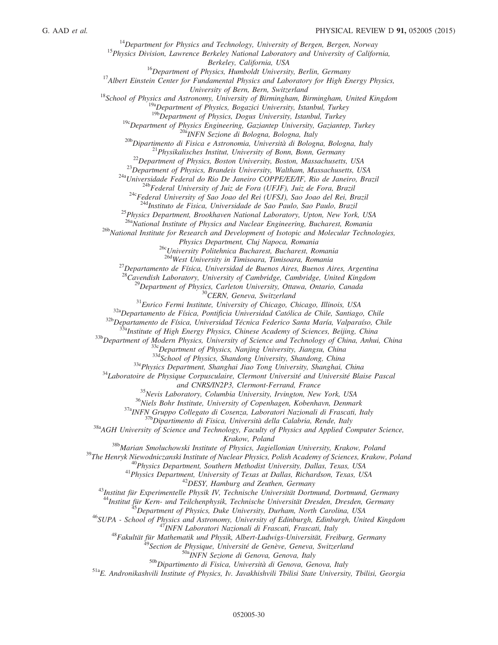<sup>14</sup>Department for Physics and Technology, University of Bergen, Bergen, Norway<br><sup>15</sup>Physics Division, Lawrence Berkeley National Laboratory and University of California,<br>Berkeley, California, USA  $^{16}$ Department of Physics, Humboldt University, Berlin, Germany  $^{17}$ Albert Einstein Center for Fundamental Physics and Laboratory for High Energy Physics, University of Bern, Switzerland<br><sup>18</sup>School of Physics and Astronomy, University of Birmingham, Birmingham, United Kingdom<br><sup>19a</sup>Department of Physics, Bogazici University, Istanbul, Turkey<br><sup>19b</sup>Department of Physics, Dogus <sup>19c</sup>Department of Physics Engineering, Gaziantep University, Gaziantep, Turkey<br><sup>20b</sup>Dipartimento di Fisica e Astronomia, Università di Bologna, Bologna, Italy<br><sup>21</sup>Physikalisches Institut, University of Bonn, Bonn, German <sup>25</sup>Physics Department, Brookhaven National Laboratory, Upton, New York, USA<br><sup>26a</sup>National Institute of Physics and Nuclear Engineering, Bucharest, Romania <sup>26b</sup>National Institute for Research and Development of Isotopic and Molecular Technologies,<br>Physics Department, Cluj Napoca, Romania <sup>26c</sup>University Politehnica Bucharest, Bucharest, Romania<br><sup>26d</sup>West University in Timisoara, Timisoara, Romania  $^{27}$ Departamento de Física, Universidad de Buenos Aires, Buenos Aires, Argentina <sup>28</sup>Cavendish Laboratory, University of Cambridge, Cambridge, United Kingdom<br><sup>29</sup>Department of Physics, Carleton University, Ottawa, Ontario, Canada<br><sup>30</sup>CERN, Geneva, Switzerland<br><sup>31</sup>Enrico Fermi Institute, University of and CNRS/IN2P3, Clermont-Ferrand, France<br><sup>35</sup>Nevis Laboratory, Columbia University, Irvington, New York, USA<br><sup>36</sup>Niels Bohr Institute, University of Copenhagen, Kobenhavn, Denmark<br><sup>37a</sup>INFN Gruppo Collegato di Cosenza, La <sup>38b</sup>Marian Smoluchowski Institute of Physics, Jagiellonian University, Krakow, Poland<br><sup>39</sup>The Henryk Niewodniczanski Institute of Nuclear Physics, Polish Academy of Sciences, Krakow, Poland<br><sup>49</sup>Physics Department, Souther <sup>45</sup>Department of Physics, Duke University, Durham, North Carolina, USA<br><sup>46</sup>SUPA - School of Physics and Astronomy, University of Edinburgh, Edinburgh, United Kingdom<br><sup>47</sup>INFN Laboratori Nazionali di Frascati, Frascati, I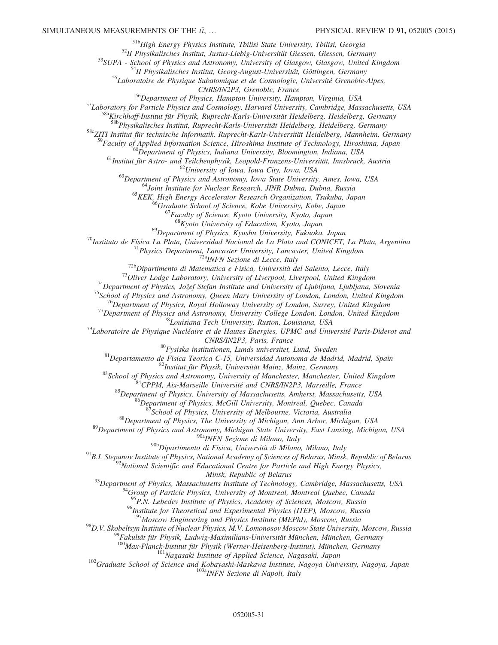<sup>51b</sup>High Energy Physics Institute, Tbilisi State University, Tbilisi, Georgia<br><sup>52</sup>II Physikalisches Institut, Justus-Liebig-Universität Giessen, Giessen, Germany<br><sup>53</sup>SUPA - School of Physics and Astronomy, University of

CNRS/IN2P3, Grenoble, France<br><sup>56</sup>Department of Physics, Hampton University, Hampton, Virginia, USA<br><sup>57</sup>Laboratory for Particle Physics and Cosmology, Harvard University, Cambridge, Massachusetts, USA<br><sup>58a</sup>Kirchhoff-Institu

58cZITI Institut für technische Informatik, Ruprecht-Karls-Universität Heidelberg, Mannheim, Germany

<sup>59</sup>Faculty of Applied Information Science, Hiroshima Institute of Technology, Hiroshima, Japan<br><sup>60</sup>Department of Physics, Indiana University, Bloomington, Indiana, USA<br><sup>61</sup>Institut für Astro- und Teilchenphysik, Leopold-

 $^{68}$ Kyoto University of Education, Kyoto, Japan<br> $^{69}$ Department of Physics, Kyushu University, Fukuoka, Japan

<sup>69</sup>Department of Physics, Kyushu University, Fukuoka, Japan<br><sup>70</sup>Instituto de Física La Plata, Universidad Nacional de La Plata and CONICET, La Plata, Argentina<br><sup>71</sup>Physics Department, Lancaster University, Lancaster, Uni

 $\begin{array}{c} \text{CNRS/IN2P3, Paris, France}\\ \text{80}_{\text{Fysiska institutionen, Lunds university}} & \text{Lunda, Sweden}\\ \text{81}_{\text{Department of a Fisica Teorica C-15, University of Matonoma de Madrid, Madrid, Spain}\\ \text{82}_{\text{Institut für Physik, University of Manchester, Manchester, United Kingdom}\\ \text{83}_{\text{School of Physics and Astronomy, University of Manchester, Manchester, United Kingdom}\\ \text{84}_{\text{CPPM, Aix-Marseille University of Massachusetts, Amherst, Massachusetts, USA}\\ \text{85}_{\text{Department of Physics, University of Massachusetts, Amherst, Massachusetts, USA}\\ \text{86}_{\text{Department of Physics, University of Melbourne, Victoria} \\ \text$ 

<sup>91</sup>B.I. Stepanov Institute of Physics, National Academy of Sciences of Belarus, Minsk, Republic of Belarus<br><sup>92</sup>National Scientific and Educational Centre for Particle and High Energy Physics,

Minsk, Republic of Belarus<br><sup>93</sup>Department of Physics, Massachusetts Institute of Technology, Cambridge, Massachusetts, USA<br><sup>94</sup>Group of Particle Physics, University of Montreal, Montreal Quebec, Canada

 $^{95}P.N.$  Lebedev Institute of Physics, Academy of Sciences, Moscow, Russia

<sup>96</sup>Institute for Theoretical and Experimental Physics (ITEP), Moscow, Russia<br><sup>97</sup>Moscow Engineering and Physics Institute (MEPhI), Moscow, Russia

<sup>98</sup>D.V. Skobeltsyn Institute of Nuclear Physics, M.V. Lomonosov Moscow State University, Moscow, Russia<br><sup>99</sup>Fakultät für Physik, Ludwig-Maximilians-Universität München, München, Germany<sup>100</sup>Max-Planck-Institut für Physik

<sup>101</sup>Nagasaki Institute of Applied Science, Nagasaki, Japan<br><sup>102</sup>Graduate School of Science and Kobayashi-Maskawa Institute, Nagoya University, Nagoya, Japan<br><sup>103</sup>aINFN Sezione di Napoli, Italy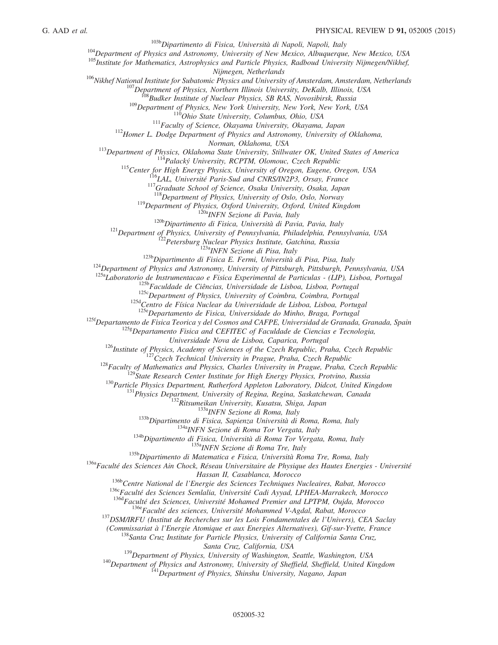<sup>103b</sup>Dipartimento di Fisica, Università di Napoli, Napoli, Italy<br><sup>104</sup>Department of Physics and Astronomy, University of New Mexico, Albuquerque, New Mexico, USA<br><sup>105</sup>Institute for Mathematics, Astrophysics and Particle P

<sup>106</sup>Nikhef National Institute for Subatomic Physics and University of Amsterdam, Amsterdam, Netherlands<br><sup>107</sup>Department of Physics, Northern Illinois University, DeKalb, Illinois, USA<br><sup>108</sup>Budker Institute of Nuclear Phys

113<br>
Department of Physics, Oklahoma State University, Stillwater OK, United States of America<br>
<sup>114</sup> Palacký University, RCPTM, Olomouc, Czech Republic<br>
<sup>115</sup> Center for High Energy Physics, University of Oregon, Eugene,

<sup>119</sup>Department of Physics, Oxford University, Oxford, United Kingdom<br><sup>120</sup>Department of Physics, Oxford University, Oxford, United Kingdom<br><sup>120</sup>Dipartimento di Fisica, Università di Pavia, Pavia, Italy<br><sup>121</sup>Department of

 $125f$ Departamento de Fisica Teorica y del Cosmos and CAFPE, Universidad de Granada, Granada, Spain

 $125g$ Departamento Fisica and CEFITEC of Faculdade de Ciencias e Tecnologia,

Universidade Nova de Lisboa, Caparica, Portugal<br>
<sup>126</sup>Institute of Physics, Academy of Sciences of the Czech Republic, Praha, Czech Republic<br>
<sup>127</sup>Czech Republic<br>
<sup>127</sup>Czech Republic<br>
<sup>128</sup>Faculty of Mathematics and Physi

Hassan II, Casablanca, Morocco<br><sup>1366</sup>Centre National de l'Energie des Sciences Techniques Nucleaires, Rabat, Morocco<br><sup>1366</sup>Faculté des Sciences Semlalia, Université Cadi Ayyad, LPHEA-Marrakech, Morocco<br><sup>1364</sup>Faculté des Sc

(Commissariat à l'Energie Atomique et aux Energies Alternatives), Gif-sur-Yvette, France <sup>138</sup>Santa Cruz Institute for Particle Physics, University of California Santa Cruz,

Santa Cruz, California, USA<br>
<sup>139</sup>Department of Physics, University of Washington, Seattle, Washington, USA<br>
<sup>140</sup>Department of Physics and Astronomy, University of Sheffield, Sheffield, United Kingdom<br>
<sup>141</sup>Department of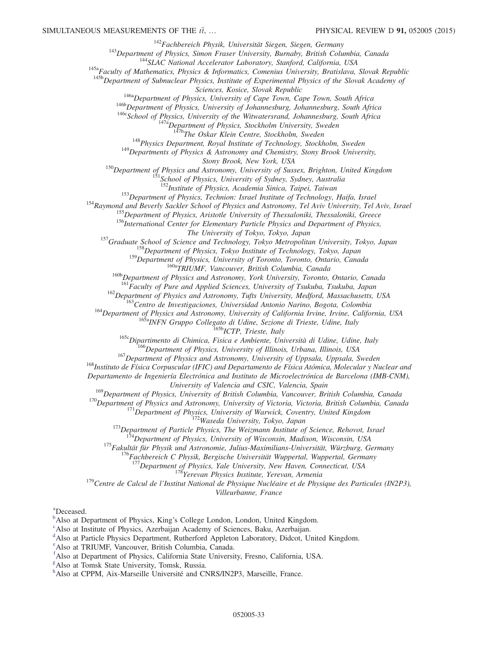<sup>142</sup>Fachbereich Physik, Universität Siegen, Siegen, Germany<br><sup>143</sup>Department of Physics, Simon Fraser University, Burnaby, British Columbia, Canada<br><sup>144</sup>SLAC National Accelerator Laboratory, Stanford, California, USA<br><sup>145</sup>

<sup>146a</sup>Department of Physics, University of Cape Town, Cape Town, South Africa<br><sup>146b</sup>Department of Physics, University of Johannesburg, Johannesburg, South Africa<br><sup>146c</sup>School of Physics, University of the Witwatersrand, J

<sup>148</sup>Physics Department, Royal Institute of Technology, Stockholm, Sweden <sup>149</sup>Departments of Physics & Astronomy and Chemistry, Stony Brook University,

Stony Brook, New York, USA<br>
<sup>150</sup>Department of Physics and Astronomy, University of Sussex, Brighton, United Kingdom<br>
<sup>151</sup>School of Physics, University of Sydney, Sydney, Australia<br>
<sup>152</sup>Institute of Physics, Academia Sin

<sup>154</sup><br>Raymond and Beverly Sackler School of Physics and Astronomy, Tel Aviv University, Tel Aviv, Israel<br><sup>155</sup> Department of Physics, Aristotle University of Thessaloniki, Thessaloniki, Greece<br><sup>155</sup> Department of Physics,

<sup>157</sup>Graduate School of Science and Technology, Tokyo Metropolitan University, Tokyo, Japan<br><sup>158</sup>Department of Physics, Tokyo Institute of Technology, Tokyo, Japan<br><sup>159</sup>Department of Physics, University of Toronto, Toront

<sup>160a</sup>TRIUMF, Vancouver, British Columbia, Canada<br><sup>160b</sup>Department of Physics and Astronomy, York University, Toronto, Ontario, Canada<br><sup>161</sup>Faculty of Pure and Applied Sciences, University of Tsukuba, Tsukuba, Japan

<sup>162</sup>Department of Physics and Astronomy, Tufts University, Medford, Massachusetts, USA<br><sup>163</sup>Centro de Investigaciones, Universidad Antonio Narino, Bogota, Colombia<br><sup>164</sup>Department of Physics and Astronomy, University of

Departamento de Ingeniería Electrónica and Instituto de Microelectrónica de Barcelona (IMB-CNM),

University of Valencia and CSIC, Valencia, Spain<br><sup>169</sup>Department of Physics, University of British Columbia, Vancouver, British Columbia, Canada

<sup>170</sup>Department of Physics and Astronomy, University of Victoria, Victoria, British Columbia, Canada<br><sup>171</sup>Department of Physics, University of Warwick, Coventry, United Kingdom<br><sup>172</sup>Waseda University, Tokyo, Japan<br><sup>173</sup>De

<sup>178</sup> $Ye$ revan Physics Institute, Yerevan, Armenia<br><sup>179</sup>Centre de Calcul de l'Institut National de Physique Nucléaire et de Physique des Particules (IN2P3),

Villeurbanne, France

<span id="page-32-5"></span>[a](#page-21-0) Deceased.

<span id="page-32-0"></span> $\mu^b$  $\mu^b$ Also at Department of Physi[c](#page-20-38)s, King's College London, London, United Kingdom.

<span id="page-32-1"></span>Also at Institute of Physics, Azerbaijan Academy of Sciences, Baku, Azerbaijan.

<span id="page-32-2"></span><sup>[d](#page-21-1)</sup>Also at Particle Physics Department, Rutherford Appleton Laboratory, Didcot, United Kingdom.

<span id="page-32-3"></span>[e](#page-21-2) Also at TRIUMF, Vancouver, British Columbia, Canada.

<span id="page-32-4"></span>[f](#page-21-3) Also at Department of Physics, California State University, Fresno, California, USA.

<span id="page-32-6"></span>[g](#page-22-0) Also at Tomsk State University, Tomsk, Russia.

<span id="page-32-7"></span>[h](#page-22-0) Also at CPPM, Aix-Marseille Université and CNRS/IN2P3, Marseille, France.